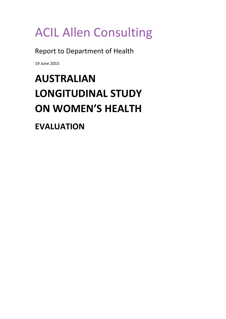# ACIL Allen Consulting

Report to Department of Health

19 June 2015

# **AUSTRALIAN LONGITUDINAL STUDY ON WOMEN'S HEALTH**

**EVALUATION**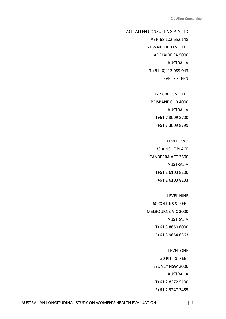#### ACIL ALLEN CONSULTING PTY LTD

ABN 68 102 652 148

61 WAKEFIELD STREET

ADELAIDE SA 5000

AUSTRALIA

T +61 (0)412 089 043

LEVEL FIFTEEN

127 CREEK STREET

BRISBANE QLD 4000 AUSTRALIA T+61 7 3009 8700

F+61 7 3009 8799

LEVEL TWO

33 AINSLIE PLACE CANBERRA ACT 2600 AUSTRALIA T+61 2 6103 8200 F+61 2 6103 8233

LEVEL NINE 60 COLLINS STREET MELBOURNE VIC 3000 AUSTRALIA T+61 3 8650 6000 F+61 3 9654 6363

> LEVEL ONE 50 PITT STREET SYDNEY NSW 2000 AUSTRALIA T+61 2 8272 5100 F+61 2 9247 2455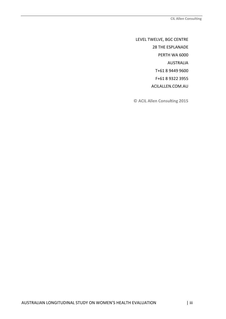LEVEL TWELVE, BGC CENTRE 28 THE ESPLANADE PERTH WA 6000 AUSTRALIA T+61 8 9449 9600 F+61 8 9322 3955 ACILALLEN.COM.AU

**© ACIL Allen Consulting 2015**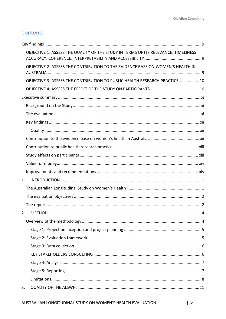# Contents

|    | OBJECTIVE 1: ASSESS THE QUALITY OF THE STUDY IN TERMS OF ITS RELEVANCE, TIMELINESS |
|----|------------------------------------------------------------------------------------|
|    | OBJECTIVE 2: ASSESS THE CONTRIBUTION TO THE EVIDENCE BASE ON WOMEN'S HEALTH IN     |
|    | OBJECTIVE 3: ASSESS THE CONTRIBUTION TO PUBLIC HEALTH RESEARCH PRACTICE10          |
|    |                                                                                    |
|    |                                                                                    |
|    |                                                                                    |
|    |                                                                                    |
|    |                                                                                    |
|    |                                                                                    |
|    |                                                                                    |
|    |                                                                                    |
|    |                                                                                    |
|    |                                                                                    |
|    |                                                                                    |
| 1. |                                                                                    |
|    |                                                                                    |
|    |                                                                                    |
|    |                                                                                    |
| 2. |                                                                                    |
|    |                                                                                    |
|    |                                                                                    |
|    |                                                                                    |
|    |                                                                                    |
|    |                                                                                    |
|    |                                                                                    |
|    |                                                                                    |
|    |                                                                                    |
| 3. |                                                                                    |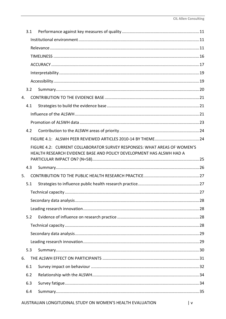|    | 3.1                                                                                                                                              |  |
|----|--------------------------------------------------------------------------------------------------------------------------------------------------|--|
|    |                                                                                                                                                  |  |
|    |                                                                                                                                                  |  |
|    |                                                                                                                                                  |  |
|    |                                                                                                                                                  |  |
|    |                                                                                                                                                  |  |
|    |                                                                                                                                                  |  |
|    | 3.2                                                                                                                                              |  |
| 4. |                                                                                                                                                  |  |
|    | 4.1                                                                                                                                              |  |
|    |                                                                                                                                                  |  |
|    |                                                                                                                                                  |  |
|    | 4.2                                                                                                                                              |  |
|    |                                                                                                                                                  |  |
|    | FIGURE 4.2: CURRENT COLLABORATOR SURVEY RESPONSES: WHAT AREAS OF WOMEN'S<br>HEALTH RESEARCH EVIDENCE BASE AND POLICY DEVELOPMENT HAS ALSWH HAD A |  |
|    | 4.3                                                                                                                                              |  |
|    |                                                                                                                                                  |  |
|    |                                                                                                                                                  |  |
| 5. |                                                                                                                                                  |  |
|    | 5.1                                                                                                                                              |  |
|    |                                                                                                                                                  |  |
|    |                                                                                                                                                  |  |
|    |                                                                                                                                                  |  |
|    | 5.2                                                                                                                                              |  |
|    |                                                                                                                                                  |  |
|    |                                                                                                                                                  |  |
|    | 5.3                                                                                                                                              |  |
| 6. |                                                                                                                                                  |  |
|    | 6.1                                                                                                                                              |  |
|    | 6.2                                                                                                                                              |  |
|    | 6.3                                                                                                                                              |  |
|    | 6.4                                                                                                                                              |  |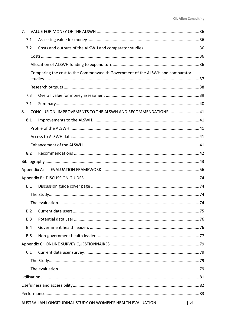| 7 <sub>1</sub> |                                                                               |    |
|----------------|-------------------------------------------------------------------------------|----|
| 7.1            |                                                                               |    |
| 7.2            |                                                                               |    |
|                |                                                                               |    |
|                |                                                                               |    |
|                | Comparing the cost to the Commonwealth Government of the ALSWH and comparator |    |
|                |                                                                               |    |
|                |                                                                               |    |
| 7.3            |                                                                               |    |
| 7.1            |                                                                               |    |
| 8.             | CONCLUSION: IMPROVEMENTS TO THE ALSWH AND RECOMMENDATIONS41                   |    |
| 8.1            |                                                                               |    |
|                |                                                                               |    |
|                |                                                                               |    |
|                |                                                                               |    |
| 8.2            |                                                                               |    |
|                |                                                                               |    |
|                | Appendix A:                                                                   |    |
|                |                                                                               |    |
| B.1            |                                                                               |    |
|                |                                                                               |    |
|                |                                                                               |    |
| B.2            |                                                                               |    |
| B.3            |                                                                               |    |
| B.4            |                                                                               |    |
| B.5            |                                                                               |    |
|                |                                                                               |    |
| C.1            |                                                                               |    |
|                |                                                                               |    |
|                |                                                                               |    |
|                |                                                                               |    |
|                |                                                                               |    |
|                |                                                                               |    |
|                | AUSTRALIAN LONGITUDINAL STUDY ON WOMEN'S HEALTH EVALUATION                    | vi |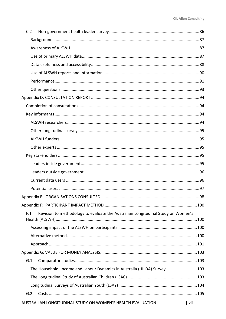| C.2                                                                                     |     |
|-----------------------------------------------------------------------------------------|-----|
|                                                                                         |     |
|                                                                                         |     |
|                                                                                         |     |
|                                                                                         |     |
|                                                                                         |     |
|                                                                                         |     |
|                                                                                         |     |
|                                                                                         |     |
|                                                                                         |     |
|                                                                                         |     |
|                                                                                         |     |
|                                                                                         |     |
|                                                                                         |     |
|                                                                                         |     |
|                                                                                         |     |
|                                                                                         |     |
|                                                                                         |     |
|                                                                                         |     |
|                                                                                         |     |
|                                                                                         |     |
|                                                                                         |     |
| Revision to methodology to evaluate the Australian Longitudinal Study on Women's<br>F.1 |     |
|                                                                                         |     |
|                                                                                         |     |
|                                                                                         |     |
|                                                                                         |     |
|                                                                                         |     |
| G.1                                                                                     |     |
| The Household, Income and Labour Dynamics in Australia (HILDA) Survey103                |     |
|                                                                                         |     |
|                                                                                         |     |
| G.2                                                                                     |     |
| AUSTRALIAN LONGITUDINAL STUDY ON WOMEN'S HEALTH EVALUATION                              | vii |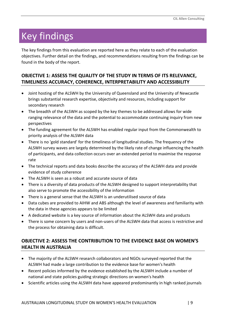# <span id="page-8-0"></span>Key findings

The key findings from this evaluation are reported here as they relate to each of the evaluation objectives. Further detail on the findings, and recommendations resulting from the findings can be found in the body of the report.

### <span id="page-8-1"></span>**OBJECTIVE 1: ASSESS THE QUALITY OF THE STUDY IN TERMS OF ITS RELEVANCE, TIMELINESS ACCURACY, COHERENCE, INTERPRETABILITY AND ACCESSIBILITY**

- Joint hosting of the ALSWH by the University of Queensland and the University of Newcastle brings substantial research expertise, objectivity and resources, including support for secondary research
- The breadth of the ALSWH as scoped by the key themes to be addressed allows for wide ranging relevance of the data and the potential to accommodate continuing inquiry from new perspectives
- The funding agreement for the ALSWH has enabled regular input from the Commonwealth to priority analysis of the ALSWH data
- There is no 'gold standard' for the timeliness of longitudinal studies. The frequency of the ALSWH survey waves are largely determined by the likely rate of change influencing the health of participants, and data collection occurs over an extended period to maximise the response rate
- The technical reports and data books describe the accuracy of the ALSWH data and provide evidence of study coherence
- The ALSWH is seen as a robust and accurate source of data
- There is a diversity of data products of the ALSWH designed to support interpretability that also serve to promote the accessibility of the information
- There is a general sense that the ALSWH is an underutilised source of data
- Data cubes are provided to AIHW and ABS although the level of awareness and familiarity with the data in these agencies appears to be limited
- A dedicated website is a key source of information about the ALSWH data and products
- There is some concern by users and non-users of the ALSWH data that access is restrictive and the process for obtaining data is difficult.

# <span id="page-8-2"></span>**OBJECTIVE 2: ASSESS THE CONTRIBUTION TO THE EVIDENCE BASE ON WOMEN'S HEALTH IN AUSTRALIA**

- The majority of the ALSWH research collaborators and NGOs surveyed reported that the ALSWH had made a large contribution to the evidence base for women's health
- Recent policies informed by the evidence established by the ALSWH include a number of national and state policies guiding strategic directions on women's health
- Scientific articles using the ALSWH data have appeared predominantly in high ranked journals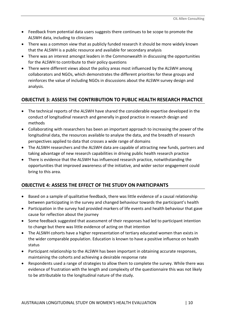- Feedback from potential data users suggests there continues to be scope to promote the ALSWH data, including to clinicians
- There was a common view that as publicly funded research it should be more widely known that the ALSWH is a public resource and available for secondary analysis
- There was an interest amongst leaders in the Commonwealth in discussing the opportunities for the ALSWH to contribute to their policy questions
- There were different views about the policy areas most influenced by the ALSWH among collaborators and NGOs, which demonstrates the different priorities for these groups and reinforces the value of including NGOs in discussions about the ALSWH survey design and analysis.

### <span id="page-9-0"></span>**OBJECTIVE 3: ASSESS THE CONTRIBUTION TO PUBLIC HEALTH RESEARCH PRACTICE**

- The technical reports of the ALSWH have shared the considerable expertise developed in the conduct of longitudinal research and generally in good practice in research design and methods
- Collaborating with researchers has been an important approach to increasing the power of the longitudinal data, the resources available to analyse the data, and the breadth of research perspectives applied to data that crosses a wide range of domains
- The ALSWH researchers and the ALSWH data are capable of attracting new funds, partners and taking advantage of new research capabilities in driving public health research practice
- There is evidence that the ALSWH has influenced research practice, notwithstanding the opportunities that improved awareness of the initiative, and wider sector engagement could bring to this area.

# <span id="page-9-1"></span>**OBJECTIVE 4: ASSESS THE EFFECT OF THE STUDY ON PARTICIPANTS**

- Based on a sample of qualitative feedback, there was little evidence of a causal relationship between participating in the survey and changed behaviour towards the participant's health
- Participation in the survey had provided markers of life events and health behaviour that gave cause for reflection about the journey
- Some feedback suggested that assessment of their responses had led to participant intention to change but there was little evidence of acting on that intention
- The ALSWH cohorts have a higher representation of tertiary educated women than exists in the wider comparable population. Education is known to have a positive influence on health status
- Participant relationship to the ALSWH has been important in obtaining accurate responses, maintaining the cohorts and achieving a desirable response rate
- Respondents used a range of strategies to allow them to complete the survey. While there was evidence of frustration with the length and complexity of the questionnaire this was not likely to be attributable to the longitudinal nature of the study.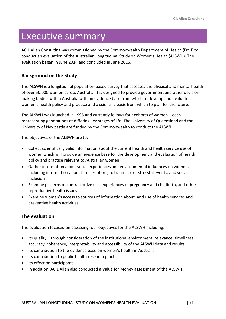# <span id="page-10-0"></span>Executive summary

ACIL Allen Consulting was commissioned by the Commonwealth Department of Health (DoH) to conduct an evaluation of the Australian Longitudinal Study on Women's Health (ALSWH). The evaluation began in June 2014 and concluded in June 2015.

#### <span id="page-10-1"></span>**Background on the Study**

The ALSWH is a longitudinal population-based survey that assesses the physical and mental health of over 50,000 women across Australia. It is designed to provide government and other decisionmaking bodies within Australia with an evidence base from which to develop and evaluate women's health policy and practice and a scientific basis from which to plan for the future.

The ALSWH was launched in 1995 and currently follows four cohorts of women – each representing generations at differing key stages of life. The University of Queensland and the University of Newcastle are funded by the Commonwealth to conduct the ALSWH.

The objectives of the ALSWH are to:

- Collect scientifically valid information about the current health and health service use of women which will provide an evidence base for the development and evaluation of health policy and practice relevant to Australian women
- Gather information about social experiences and environmental influences on women, including information about families of origin, traumatic or stressful events, and social inclusion
- Examine patterns of contraceptive use, experiences of pregnancy and childbirth, and other reproductive health issues
- Examine women's access to sources of information about, and use of health services and preventive health activities.

#### <span id="page-10-2"></span>**The evaluation**

The evaluation focused on assessing four objectives for the ALSWH including:

- Its quality through consideration of the institutional environment, relevance, timeliness, accuracy, coherence, interpretability and accessibility of the ALSWH data and results
- Its contribution to the evidence base on women's health in Australia
- Its contribution to public health research practice
- Its effect on participants.
- In addition, ACIL Allen also conducted a Value for Money assessment of the ALSWH.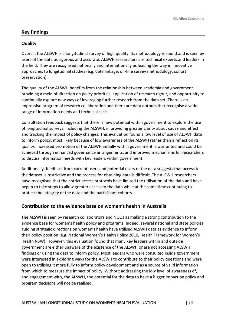#### <span id="page-11-0"></span>**Key findings**

#### <span id="page-11-1"></span>**Quality**

Overall, the ALSWH is a longitudinal survey of high quality. Its methodology is sound and is seen by users of the data as rigorous and accurate. ALSWH researchers are technical experts and leaders in the field. They are recognised nationally and internationally as leading the way in innovative approaches to longitudinal studies (e.g. data linkage, on-line survey methodology, cohort preservation).

The quality of the ALSWH benefits from the relationship between academia and government providing a meld of direction on policy priorities, application of research rigour, and opportunity to continually explore new ways of leveraging further research from the data set. There is an impressive program of research collaboration and there are data outputs that recognise a wide range of information needs and technical skills.

Consultation feedback suggests that there is new potential within government to explore the use of longitudinal surveys, including the ALSWH, in providing greater clarity about cause and effect, and tracking the impact of policy changes. This evaluation found a low level of use of ALSWH data to inform policy, most likely because of low awareness of the ALSWH rather than a reflection its quality. Increased promotion of the ALSWH initially within government is warranted and could be achieved through enhanced governance arrangements, and improved mechanisms for researchers to discuss information needs with key leaders within government.

Additionally, feedback from current users and potential users of the data suggests that access to the dataset is restrictive and the process for obtaining data is difficult. The ALSWH researchers have recognised that their strict access protocols have limited the utilisation of the data and have begun to take steps to allow greater access to the data while at the same time continuing to protect the integrity of the data and the participant cohorts.

#### <span id="page-11-2"></span>**Contribution to the evidence base on women's health in Australia**

The ALSWH is seen by research collaborators and NGOs as making a strong contribution to the evidence base for women's health policy and programs. Indeed, several national and state policies guiding strategic directions on women's health have utilised ALSWH data as evidence to inform their policy position (e.g. National Women's Health Policy 2010, Health Framework for Women's Health NSW). However, this evaluation found that many key leaders within and outside government are either unaware of the existence of the ALSWH or are not accessing ALSWH findings or using the data to inform policy. Most leaders who were consulted inside government were interested in exploring ways for the ALSWH to contribute to their policy questions and were open to utilising it more fully to inform policy development and as a source of valid information from which to measure the impact of policy. Without addressing the low level of awareness of, and engagement with, the ALSWH, the potential for the data to have a bigger impact on policy and program decisions will not be realised.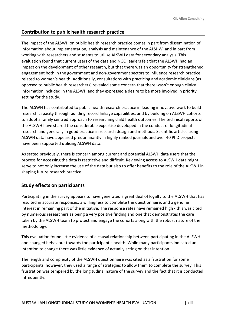#### <span id="page-12-0"></span>**Contribution to public health research practice**

The impact of the ALSWH on public health research practice comes in part from dissemination of information about implementation, analysis and maintenance of the ALSHW, and in part from working with researchers and students to utilise ALSWH data for secondary analysis. This evaluation found that current users of the data and NGO leaders felt that the ALSWH had an impact on the development of other research, but that there was an opportunity for strengthened engagement both in the government and non-government sectors to influence research practice related to women's health. Additionally, consultations with practicing and academic clinicians (as opposed to public health researchers) revealed some concern that there wasn't enough clinical information included in the ALSWH and they expressed a desire to be more involved in priority setting for the study.

The ALSWH has contributed to public health research practice in leading innovative work to build research capacity through building record linkage capabilities, and by building on ALSWH cohorts to adopt a family centred approach to researching child health outcomes. The technical reports of the ALSWH have shared the considerable expertise developed in the conduct of longitudinal research and generally in good practice in research design and methods. Scientific articles using ALSWH data have appeared predominantly in highly ranked journals and over 40 PhD projects have been supported utilising ALSWH data.

As stated previously, there is concern among current and potential ALSWH data users that the process for accessing the data is restrictive and difficult. Reviewing access to ALSWH data might serve to not only increase the use of the data but also to offer benefits to the role of the ALSWH in shaping future research practice.

#### <span id="page-12-1"></span>**Study effects on participants**

Participating in the survey appears to have generated a great deal of loyalty to the ALSWH that has resulted in accurate responses, a willingness to complete the questionnaire, and a genuine interest in remaining part of the initiative. The response rates have remained high - this was cited by numerous researchers as being a very positive finding and one that demonstrates the care taken by the ALSWH team to protect and engage the cohorts along with the robust nature of the methodology.

This evaluation found little evidence of a causal relationship between participating in the ALSWH and changed behaviour towards the participant's health. While many participants indicated an intention to change there was little evidence of actually acting on that intention.

The length and complexity of the ALSWH questionnaire was cited as a frustration for some participants, however, they used a range of strategies to allow them to complete the survey. This frustration was tempered by the longitudinal nature of the survey and the fact that it is conducted infrequently.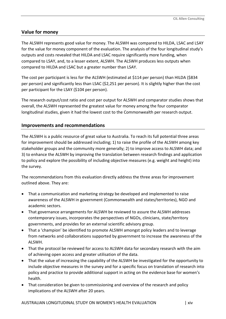#### <span id="page-13-0"></span>**Value for money**

The ALSWH represents good value for money. The ALSWH was compared to HILDA, LSAC and LSAY for the value for money component of the evaluation. The analysis of the four longitudinal study's outputs and costs revealed that HILDA and LSAC require significantly more funding, when compared to LSAY, and, to a lesser extent, ALSWH. The ALSWH produces less outputs when compared to HILDA and LSAC but a greater number than LSAY.

The cost per participant is less for the ALSWH (estimated at \$114 per person) than HILDA (\$834 per person) and significantly less than LSAC (\$2,251 per person). It is slightly higher than the cost per participant for the LSAY (\$104 per person).

The research output/cost ratio and cost per output for ALSWH and comparator studies shows that overall, the ALSWH represented the greatest value for money among the four comparator longitudinal studies, given it had the lowest cost to the Commonwealth per research output.

#### <span id="page-13-1"></span>**Improvements and recommendations**

The ALSWH is a public resource of great value to Australia. To reach its full potential three areas for improvement should be addressed including; 1) to raise the profile of the ALSWH among key stakeholder groups and the community more generally; 2) to improve access to ALSWH data; and 3) to enhance the ALSWH by improving the translation between research findings and application to policy and explore the possibility of including objective measures (e.g. weight and height) into the survey.

The recommendations from this evaluation directly address the three areas for improvement outlined above. They are:

- That a communication and marketing strategy be developed and implemented to raise awareness of the ALSWH in government (Commonwealth and states/territories), NGO and academic sectors.
- That governance arrangements for ALSWH be reviewed to assure the ALSWH addresses contemporary issues, incorporates the perspectives of NGOs, clinicians, state/territory governments, and provides for an external scientific advisory group.
- That a 'champion' be identified to promote ALSWH amongst policy leaders and to leverage from networks and collaborations supported by government to increase the awareness of the ALSWH.
- That the protocol be reviewed for access to ALSWH data for secondary research with the aim of achieving open access and greater utilisation of the data.
- That the value of increasing the capability of the ALSWH be investigated for the opportunity to include objective measures in the survey and for a specific focus on translation of research into policy and practice to provide additional support in acting on the evidence base for women's health.
- That consideration be given to commissioning and overview of the research and policy implications of the ALSWH after 20 years.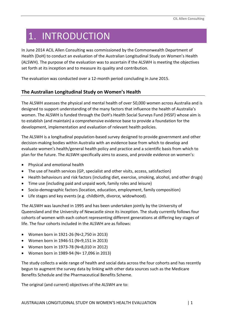# <span id="page-14-0"></span>1. INTRODUCTION

In June 2014 ACIL Allen Consulting was commissioned by the Commonwealth Department of Health (DoH) to conduct an evaluation of the Australian Longitudinal Study on Women's Health (ALSWH). The purpose of the evaluation was to ascertain if the ALSWH is meeting the objectives set forth at its inception and to measure its quality and contribution.

The evaluation was conducted over a 12-month period concluding in June 2015.

#### <span id="page-14-1"></span>**The Australian Longitudinal Study on Women's Health**

The ALSWH assesses the physical and mental health of over 50,000 women across Australia and is designed to support understanding of the many factors that influence the health of Australia's women. The ALSWH is funded through the DoH's Health Social Surveys Fund (HSSF) whose aim is to establish (and maintain) a comprehensive evidence base to provide a foundation for the development, implementation and evaluation of relevant health policies.

The ALSWH is a longitudinal population-based survey designed to provide government and other decision-making bodies within Australia with an evidence base from which to develop and evaluate women's health/general health policy and practice and a scientific basis from which to plan for the future. The ALSWH specifically aims to assess, and provide evidence on women's:

- Physical and emotional health
- The use of health services (GP, specialist and other visits, access, satisfaction)
- Health behaviours and risk factors (including diet, exercise, smoking, alcohol, and other drugs)
- Time use (including paid and unpaid work, family roles and leisure)
- Socio-demographic factors (location, education, employment, family composition)
- Life stages and key events (e.g. childbirth, divorce, widowhood).

The ALSWH was launched in 1995 and has been undertaken jointly by the University of Queensland and the University of Newcastle since its inception. The study currently follows four cohorts of women with each cohort representing different generations at differing key stages of life. The four cohorts included in the ALSWH are as follows:

- Women born in 1921-26 (N=2,750 in 2013)
- Women born in 1946-51 (N=9,151 in 2013)
- Women born in 1973-78 (N=8,010 in 2012)
- Women born in 1989-94 (N= 17,096 in 2013)

The study collects a wide range of health and social data across the four cohorts and has recently begun to augment the survey data by linking with other data sources such as the Medicare Benefits Schedule and the Pharmaceutical Benefits Scheme.

The original (and current) objectives of the ALSWH are to: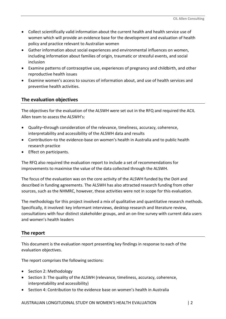- Collect scientifically valid information about the current health and health service use of women which will provide an evidence base for the development and evaluation of health policy and practice relevant to Australian women
- Gather information about social experiences and environmental influences on women, including information about families of origin, traumatic or stressful events, and social inclusion
- Examine patterns of contraceptive use, experiences of pregnancy and childbirth, and other reproductive health issues
- Examine women's access to sources of information about, and use of health services and preventive health activities.

### <span id="page-15-0"></span>**The evaluation objectives**

The objectives for the evaluation of the ALSWH were set out in the RFQ and required the ACIL Allen team to assess the ALSWH's:

- Quality–through consideration of the relevance, timeliness, accuracy, coherence, interpretability and accessibility of the ALSWH data and results
- Contribution–to the evidence-base on women's health in Australia and to public health research practice
- Effect on participants.

The RFQ also required the evaluation report to include a set of recommendations for improvements to maximise the value of the data collected through the ALSWH.

The focus of the evaluation was on the core activity of the ALSWH funded by the DoH and described in funding agreements. The ALSWH has also attracted research funding from other sources, such as the NHMRC, however, these activities were not in scope for this evaluation.

The methodology for this project involved a mix of qualitative and quantitative research methods. Specifically, it involved: key informant interviews, desktop research and literature review, consultations with four distinct stakeholder groups, and an on-line survey with current data users and women's health leaders

# <span id="page-15-1"></span>**The report**

This document is the evaluation report presenting key findings in response to each of the evaluation objectives.

The report comprises the following sections:

- Section 2: Methodology
- Section 3: The quality of the ALSWH (relevance, timeliness, accuracy, coherence, interpretability and accessibility)
- Section 4: Contribution to the evidence base on women's health in Australia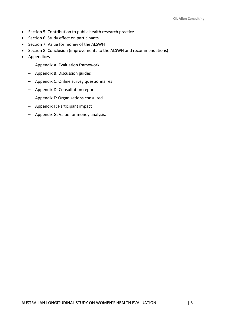- Section 5: Contribution to public health research practice
- Section 6: Study effect on participants
- Section 7: Value for money of the ALSWH
- Section 8: Conclusion (improvements to the ALSWH and recommendations)
- Appendices
	- Appendix A: Evaluation framework
	- Appendix B: Discussion guides
	- Appendix C: Online survey questionnaires
	- Appendix D: Consultation report
	- Appendix E: Organisations consulted
	- Appendix F: Participant impact
	- Appendix G: Value for money analysis.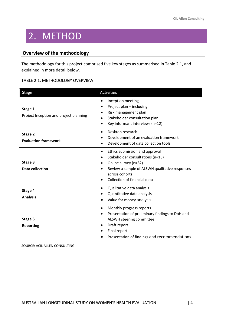# <span id="page-17-0"></span>2. METHOD

# <span id="page-17-1"></span>**Overview of the methodology**

The methodology for this project comprised five key stages as summarised in Table 2.1, and explained in more detail below.

#### TABLE 2.1: METHODOLOGY OVERVIEW

| Stage                                             | <b>Activities</b>                                                                                                                                                                                         |
|---------------------------------------------------|-----------------------------------------------------------------------------------------------------------------------------------------------------------------------------------------------------------|
| Stage 1<br>Project Inception and project planning | Inception meeting<br>Project plan - including:<br>Risk management plan<br>Stakeholder consultation plan<br>$\bullet$<br>Key informant interviews (n=12)                                                   |
| Stage 2<br><b>Evaluation framework</b>            | Desktop research<br>٠<br>Development of an evaluation framework<br>Development of data collection tools                                                                                                   |
| Stage 3<br>Data collection                        | Ethics submission and approval<br>٠<br>Stakeholder consultations (n=18)<br>Online survey (n=82)<br>Review a sample of ALSWH qualitative responses<br>across cohorts<br>Collection of financial data       |
| Stage 4<br><b>Analysis</b>                        | Qualitative data analysis<br>٠<br>Quantitative data analysis<br>Value for money analysis                                                                                                                  |
| Stage 5<br><b>Reporting</b>                       | Monthly progress reports<br>٠<br>Presentation of preliminary findings to DoH and<br>ALSWH steering committee<br>Draft report<br>$\bullet$<br>Final report<br>Presentation of findings and recommendations |

SOURCE: ACIL ALLEN CONSULTING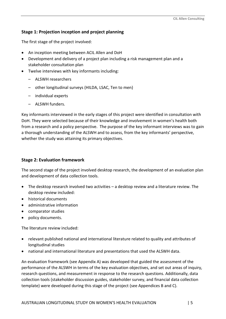#### <span id="page-18-0"></span>**Stage 1: Projection inception and project planning**

The first stage of the project involved:

- An inception meeting between ACIL Allen and DoH
- Development and delivery of a project plan including a risk management plan and a stakeholder consultation plan
- Twelve interviews with key informants including:
	- ALSWH researchers
	- other longitudinal surveys (HILDA, LSAC, Ten to men)
	- individual experts
	- ALSWH funders.

Key informants interviewed in the early stages of this project were identified in consultation with DoH. They were selected because of their knowledge and involvement in women's health both from a research and a policy perspective. The purpose of the key informant interviews was to gain a thorough understanding of the ALSWH and to assess, from the key informants' perspective, whether the study was attaining its primary objectives.

#### <span id="page-18-1"></span>**Stage 2: Evaluation framework**

The second stage of the project involved desktop research, the development of an evaluation plan and development of data collection tools.

- The desktop research involved two activities a desktop review and a literature review. The desktop review included:
- historical documents
- administrative information
- comparator studies
- policy documents.

The literature review included:

- relevant published national and international literature related to quality and attributes of longitudinal studies
- national and international literature and presentations that used the ALSWH data.

An evaluation framework (see Appendix A) was developed that guided the assessment of the performance of the ALSWH in terms of the key evaluation objectives, and set out areas of inquiry, research questions, and measurement in response to the research questions. Additionally, data collection tools (stakeholder discussion guides, stakeholder survey, and financial data collection template) were developed during this stage of the project (see Appendices B and C).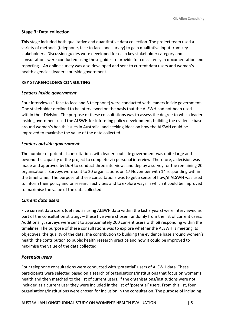#### <span id="page-19-0"></span>**Stage 3: Data collection**

This stage included both qualitative and quantitative data collection. The project team used a variety of methods (telephone, face to face, and survey) to gain qualitative input from key stakeholders. Discussion guides were developed for each key stakeholder category and consultations were conducted using these guides to provide for consistency in documentation and reporting. An online survey was also developed and sent to current data users and women's health agencies (leaders) outside government.

#### <span id="page-19-1"></span>**KEY STAKEHOLDERS CONSULTING**

#### *Leaders inside government*

Four interviews (1 face to face and 3 telephone) were conducted with leaders inside government. One stakeholder declined to be interviewed on the basis that the ALSWH had not been used within their Division. The purpose of these consultations was to assess the degree to which leaders inside government used the ALSWH for informing policy development, building the evidence base around women's health issues in Australia, and seeking ideas on how the ALSWH could be improved to maximise the value of the data collected.

#### *Leaders outside government*

The number of potential consultations with leaders outside government was quite large and beyond the capacity of the project to complete via personal interview. Therefore, a decision was made and approved by DoH to conduct three interviews and deploy a survey for the remaining 20 organisations. Surveys were sent to 20 organisations on 17 November with 14 responding within the timeframe. The purpose of these consultations was to get a sense of how/if ALSWH was used to inform their policy and or research activities and to explore ways in which it could be improved to maximise the value of the data collected.

#### *Current data users*

Five current data users (defined as using ALSWH data within the last 3 years) were interviewed as part of the consultation strategy – these five were chosen randomly from the list of current users. Additionally, surveys were sent to approximately 200 current users with 68 responding within the timelines. The purpose of these consultations was to explore whether the ALSWH is meeting its objectives, the quality of the data, the contribution to building the evidence base around women's health, the contribution to public health research practice and how it could be improved to maximise the value of the data collected.

#### *Potential users*

Four telephone consultations were conducted with 'potential' users of ALSWH data. These participants were selected based on a search of organisations/institutions that focus on women's health and then matched to the list of current users. If the organisations/institutions were not included as a current user they were included in the list of 'potential' users. From this list, four organisations/institutions were chosen for inclusion in the consultation. The purpose of including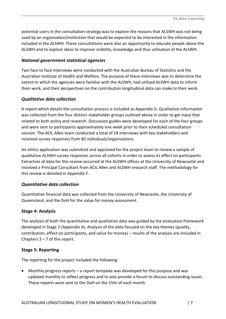potential users in the consultation strategy was to explore the reasons that ALSWH was not being used by an organisation/institution that would be expected to be interested in the information included in the ALSWH. These consultations were also an opportunity to educate people about the ALSWH and to explore ideas to improve visibility, knowledge and thus utilisation of the ALSWH.

#### *National government statistical agencies*

Two face to face interviews were conducted with the Australian Bureau of Statistics and the Australian Institute of Health and Welfare. The purpose of these interviews was to determine the extent to which the agencies were familiar with the ALSWH, had utilised ALSWH data to inform their work, and their perspectives on the contribution longitudinal data can make to their work.

#### *Qualitative data collection*

A report which details the consultation process is included as Appendix D. Qualitative information was collected from the four distinct stakeholder groups outlined above in order to get input that related to both policy and research. Discussion guides were developed for each of the four groups and were sent to participants approximately one week prior to their scheduled consultation session. The ACIL Allen team conducted a total of 18 interviews with key stakeholders and received survey responses from 82 individuals/organisations.

An ethics application was submitted and approved for the project team to review a sample of qualitative ALSWH survey responses across all cohorts in order to assess its effect on participants. Extraction of data for this review occurred at the ALSWH offices at the University of Newcastle and involved a Principal Consultant from ACIL Allen and ALSWH research staff. The methodology for this review is detailed in Appendix F.

#### *Quantitative data collection*

Quantitative financial data was collected from the University of Newcastle, the University of Queensland, and the DoH for the value for money assessment.

#### <span id="page-20-0"></span>**Stage 4: Analysis**

The analysis of both the quantitative and qualitative data was guided by the evaluation framework developed in Stage 2 (Appendix A). Analysis of the data focused on the key themes (quality, contribution, effect on participants, and value for money) – results of the analysis are included in Chapters  $3 - 7$  of this report.

#### <span id="page-20-1"></span>**Stage 5: Reporting**

The reporting for the project included the following:

• Monthly progress reports – a report template was developed for this purpose and was updated monthly to reflect progress and to also provide a forum to discuss outstanding issues. These reports were sent to the DoH on the 15th of each month.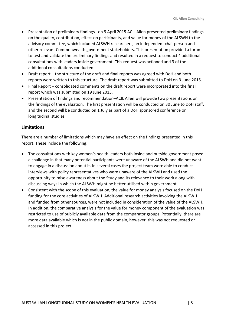- Presentation of preliminary findings –on 9 April 2015 ACIL Allen presented preliminary findings on the quality, contribution, effect on participants, and value for money of the ALSWH to the advisory committee, which included ALSWH researchers, an independent chairperson and other relevant Commonwealth government stakeholders. This presentation provided a forum to test and validate the preliminary findings and resulted in a request to conduct 4 additional consultations with leaders inside government. This request was actioned and 3 of the additional consultations conducted.
- Draft report the structure of the draft and final reports was agreed with DoH and both reports were written to this structure. The draft report was submitted to DoH on 3 June 2015.
- Final Report consolidated comments on the draft report were incorporated into the final report which was submitted on 19 June 2015.
- Presentation of findings and recommendation–ACIL Allen will provide two presentations on the findings of the evaluation. The first presentation will be conducted on 30 June to DoH staff, and the second will be conducted on 1 July as part of a DoH sponsored conference on longitudinal studies.

#### <span id="page-21-0"></span>**Limitations**

There are a number of limitations which may have an effect on the findings presented in this report. These include the following:

- The consultations with key women's health leaders both inside and outside government posed a challenge in that many potential participants were unaware of the ALSWH and did not want to engage in a discussion about it. In several cases the project team were able to conduct interviews with policy representatives who were unaware of the ALSWH and used the opportunity to raise awareness about the Study and its relevance to their work along with discussing ways in which the ALSWH might be better utilised within government.
- Consistent with the scope of this evaluation, the value for money analysis focused on the DoH funding for the core activities of ALSWH. Additional research activities involving the ALSWH and funded from other sources, were not included in consideration of the value of the ALSWH. In addition, the comparative analysis for the value for money component of the evaluation was restricted to use of publicly available data from the comparator groups. Potentially, there are more data available which is not in the public domain, however, this was not requested or accessed in this project.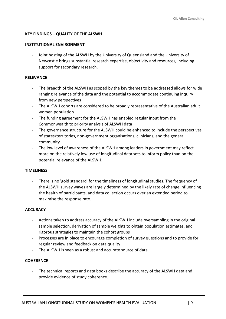#### **KEY FINDINGS – QUALITY OF THE ALSWH**

#### **INSTITUTIONAL ENVIRONMENT**

- Joint hosting of the ALSWH by the University of Queensland and the University of Newcastle brings substantial research expertise, objectivity and resources, including support for secondary research.

#### **RELEVANCE**

- The breadth of the ALSWH as scoped by the key themes to be addressed allows for wide ranging relevance of the data and the potential to accommodate continuing inquiry from new perspectives
- The ALSWH cohorts are considered to be broadly representative of the Australian adult women population
- The funding agreement for the ALSWH has enabled regular input from the Commonwealth to priority analysis of ALSWH data
- The governance structure for the ALSWH could be enhanced to include the perspectives of states/territories, non-government organisations, clinicians, and the general community
- The low level of awareness of the ALSWH among leaders in government may reflect more on the relatively low use of longitudinal data sets to inform policy than on the potential relevance of the ALSWH.

#### **TIMELINESS**

- There is no 'gold standard' for the timeliness of longitudinal studies. The frequency of the ALSWH survey waves are largely determined by the likely rate of change influencing the health of participants, and data collection occurs over an extended period to maximise the response rate.

#### **ACCURACY**

- Actions taken to address accuracy of the ALSWH include oversampling in the original sample selection, derivation of sample weights to obtain population estimates, and rigorous strategies to maintain the cohort groups
- Processes are in place to encourage completion of survey questions and to provide for regular review and feedback on data quality
- The ALSWH is seen as a robust and accurate source of data.

#### **COHERENCE**

The technical reports and data books describe the accuracy of the ALSWH data and provide evidence of study coherence.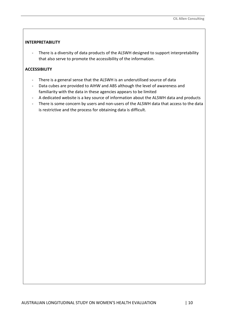#### **INTERPRETABILITY**

- There is a diversity of data products of the ALSWH designed to support interpretability that also serve to promote the accessibility of the information.

#### **ACCESSIBILITY**

- There is a general sense that the ALSWH is an underutilised source of data
- Data cubes are provided to AIHW and ABS although the level of awareness and familiarity with the data in these agencies appears to be limited
- A dedicated website is a key source of information about the ALSWH data and products
- There is some concern by users and non-users of the ALSWH data that access to the data is restrictive and the process for obtaining data is difficult.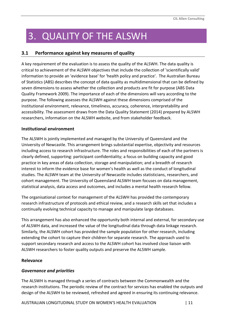# <span id="page-24-0"></span>3. QUALITY OF THE ALSWH

### <span id="page-24-1"></span>**3.1 Performance against key measures of quality**

A key requirement of the evaluation is to assess the quality of the ALSWH. The data quality is critical to achievement of the ALSWH objectives that include the collection of 'scientifically valid' information to provide an 'evidence base' for 'health policy and practice'. The Australian Bureau of Statistics (ABS) describes the concept of data quality as multidimensional that can be defined by seven dimensions to assess whether the collection and products are fit for purpose (ABS Data Quality Framework 2009). The importance of each of the dimensions will vary according to the purpose. The following assesses the ALSWH against these dimensions comprised of the institutional environment, relevance, timeliness, accuracy, coherence, interpretability and accessibility. The assessment draws from the Data Quality Statement (2014) prepared by ALSWH researchers, information on the ALSWH website, and from stakeholder feedback.

#### <span id="page-24-2"></span>**Institutional environment**

The ALSWH is jointly implemented and managed by the University of Queensland and the University of Newcastle. This arrangement brings substantial expertise, objectivity and resources including access to research infrastructure. The roles and responsibilities of each of the partners is clearly defined, supporting: participant confidentiality; a focus on building capacity and good practice in key areas of data collection, storage and manipulation; and a breadth of research interest to inform the evidence base for women's health as well as the conduct of longitudinal studies. The ALSWH team at the University of Newcastle includes statisticians, researchers, and cohort management. The University of Queensland ALSWH team focuses on data management, statistical analysis, data access and outcomes, and includes a mental health research fellow.

The organisational context for management of the ALSWH has provided the contemporary research infrastructure of protocols and ethical review, and a research skills set that includes a continually evolving technical capacity to manage and manipulate large databases.

This arrangement has also enhanced the opportunity both internal and external, for secondary use of ALSWH data, and increased the value of the longitudinal data through data linkage research. Similarly, the ALSWH cohort has provided the sample population for other research, including extending the cohort to capture their children for separate research. The approach used to support secondary research and access to the ALSWH cohort has involved close liaison with ALSWH researchers to foster quality outputs and preserve the ALSWH sample.

#### <span id="page-24-3"></span>**Relevance**

#### *Governance and priorities*

The ALSWH is managed through a series of contracts between the Commonwealth and the research institutions. The periodic review of the contract for services has enabled the outputs and design of the ALSWH to be reviewed, refreshed and agreed in ensuring its continuing relevance.

AUSTRALIAN LONGITUDINAL STUDY ON WOMEN'S HEALTH EVALUATION | 11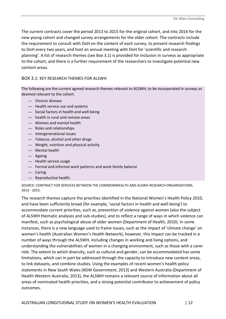The current contracts cover the period 2013 to 2015 for the original cohort, and into 2016 for the new young cohort and changed survey arrangements for the older cohort. The contracts include the requirement to consult with DoH on the content of each survey, to present research findings to DoH every two years, and host an annual meeting with DoH for 'scientific and research planning'. A list of research themes (see Box 3.1) is provided for inclusion in surveys as appropriate to the cohort, and there is a further requirement of the researchers to investigate potential new content areas.

#### BOX 3.1: KEY RESEARCH THEMES FOR ALSWH

The following are the current agreed research themes relevant to ALSWH, to be incorporated in surveys as deemed relevant to the cohort.

- Chronic disease
- Health service use and systems
- Social factors in health and well-being
- health in rural and remote areas
- Women and mental health
- Roles and relationships
- Intergenerational issues
- Tobacco, alcohol and other drugs
- Weight, nutrition and physical activity
- Mental health
- Ageing
- Health service usage
- Formal and informal work patterns and work-family balance
- Caring
- Reproductive health.

SOURCE: CONTRACT FOR SERVICES BETWEEN THE COMMONWEALTH AND ALSWH RESEARCH ORGANISATIONS, 2013 - 2015.

The research themes capture the priorities identified in the National Women's Health Policy 2010, and have been sufficiently broad (for example, 'social factors in health and well-being') to accommodate current priorities, such as, prevention of violence against women (also the subject of ALSWH thematic analyses and sub-studies), and to reflect a range of ways in which violence can manifest, such as psychological abuse of older women (Department of Health, 2010). In some instances, there is a new language used to frame issues, such as the impact of 'climate change' on women's health (Australian Women's Health Network), however, this impact can be tracked in a number of ways through the ALSWH, including changes in working and living options, and understanding the vulnerabilities of women in a changing environment, such as those with a carer role. The extent to which diversity, such as cultural and gender, can be accommodated has some limitations, which can in part be addressed through the capacity to introduce new content areas, to link datasets, and combine studies. Using the examples of recent women's health policy statements in New South Wales (NSW Government, 2013) and Western Australia (Department of Health Western Australia, 2013), the ALSWH remains a relevant source of information about all areas of nominated health priorities, and a strong potential contributor to achievement of policy outcomes.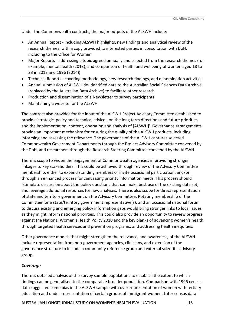Under the Commonwealth contracts, the major outputs of the ALSWH include:

- An Annual Report including ALSWH highlights, new findings and analytical review of the research themes, with a copy provided to interested parties in consultation with DoH, including to the Office for Women
- Major Reports addressing a topic agreed annually and selected from the research themes (for example, mental health (2013), and comparison of health and wellbeing of women aged 18 to 23 in 2013 and 1996 (2014))
- Technical Reports covering methodology, new research findings, and dissemination activities
- Annual submission of ALSWH de-identified data to the Australian Social Sciences Data Archive (replaced by the Australian Data Archive) to facilitate other research
- Production and dissemination of a Newsletter to survey participants
- Maintaining a website for the ALSWH.

The contract also provides for the input of the ALSWH Project Advisory Committee established to provide 'strategic, policy and technical advice...on the long term directions and future priorities and the implementation, content, operation and analysis of [ALSWH]'. Governance arrangements provide an important mechanism for ensuring the quality of the ALSWH products, including informing and assessing the relevance. The governance of the ALSWH captures selected Commonwealth Government Departments through the Project Advisory Committee convened by the DoH, and researchers through the Research Steering Committee convened by the ALSWH.

There is scope to widen the engagement of Commonwealth agencies in providing stronger linkages to key stakeholders. This could be achieved through review of the Advisory Committee membership, either to expand standing members or invite occasional participation, and/or through an enhanced process for canvassing priority information needs. This process should `stimulate discussion about the policy questions that can make best use of the existing data set, and leverage additional resources for new analyses. There is also scope for direct representation of state and territory government on the Advisory Committee. Rotating membership of the Committee for a state/territory government representative(s), and an occasional national forum to discuss existing and emerging policy information gaps would bring stronger links to local issues as they might inform national priorities. This could also provide an opportunity to review progress against the National Women's Health Policy 2010 and the key planks of advancing women's health through targeted health services and prevention programs, and addressing health inequities.

Other governance models that might strengthen the relevance, and awareness, of the ALSWH include representation from non-government agencies, clinicians, and extension of the governance structure to include a community reference group and external scientific advisory group.

#### *Coverage*

There is detailed analysis of the survey sample populations to establish the extent to which findings can be generalised to the comparable broader population. Comparison with 1996 census data suggested some bias in the ALSWH sample with over-representation of women with tertiary education and under-representation of certain groups of immigrant women. Later census data

AUSTRALIAN LONGITUDINAL STUDY ON WOMEN'S HEALTH EVALUATION | 13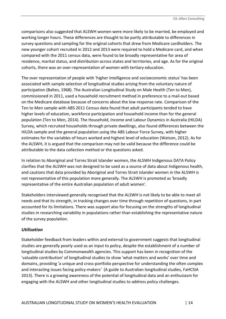comparisons also suggested that ALSWH women were more likely to be married, be employed and working longer hours. These differences are thought to be partly attributable to differences in survey questions and sampling for the original cohorts that drew from Medicare cardholders. The new younger cohort recruited in 2012 and 2013 were required to hold a Medicare card, and when compared with the 2011 census data, were found to be broadly representative for area of residence, marital status, and distribution across states and territories, and age. As for the original cohorts, there was an over-representation of women with tertiary education.

The over representation of people with 'higher intelligence and socioeconomic status' has been associated with sample selection of longitudinal studies arising from the voluntary nature of participation (Baltes, 1968). The Australian Longitudinal Study on Male Health (Ten to Men), commissioned in 2011, used a household recruitment method in preference to a mail-out based on the Medicare database because of concerns about the low response rate. Comparison of the Ten to Men sample with ABS 2011 Census data found that adult participants tended to have higher levels of education, workforce participation and household income than for the general population (Ten to Men, 2014). The Household, Income and Labour Dynamics in Australia (HILDA) Survey, which recruited households through private dwellings, also found differences between the HILDA sample and the general population using the ABS Labour Force Survey, with higher estimates for the variables of hours worked and highest level of education (Watson, 2012). As for the ALSWH, it is argued that the comparison may not be valid because the difference could be attributable to the data collection method or the questions asked.

In relation to Aboriginal and Torres Strait Islander women, the ALSWH Indigenous DATA Policy clarifies that the ALSWH was not designed to be used as a source of data about Indigenous health, and cautions that data provided by Aboriginal and Torres Strait Islander women in the ALSWH is not representative of this population more generally. The ALSWH is promoted as 'broadly representative of the entire Australian population of adult women'.

Stakeholders interviewed generally recognised that the ALSWH is not likely to be able to meet all needs and that its strength, in tracking changes over time through repetition of questions, in part accounted for its limitations. There was support also for focusing on the strengths of longitudinal studies in researching variability in populations rather than establishing the representative nature of the survey population.

#### *Utilisation*

Stakeholder feedback from leaders within and external to government suggests that longitudinal studies are generally poorly used as an input to policy, despite the establishment of a number of longitudinal studies by Commonwealth agencies. This support has been in recognition of the 'valuable contribution' of longitudinal studies to show 'what matters and works' over time and domains, providing 'a unique and cross-portfolio perspective for understanding the often complex and interacting issues facing policy-makers' (A guide to Australian longitudinal studies, FaHCSIA 2013). There is a growing awareness of the potential of longitudinal data and an enthusiasm for engaging with the ALSWH and other longitudinal studies to address policy challenges.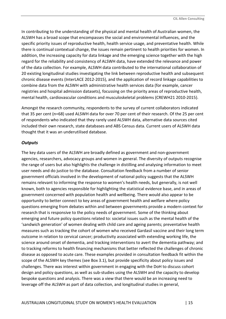In contributing to the understanding of the physical and mental health of Australian women, the ALSWH has a broad scope that encompasses the social and environmental influences, and the specific priority issues of reproductive health, health service usage, and preventative health. While there is continual contextual change, the issues remain pertinent to health priorities for women. In addition, the increasing capacity for data linkage and the emerging science together with the high regard for the reliability and consistency of ALSWH data, have extended the relevance and power of the data collection. For example, ALSWH data contributed to the international collaboration of 20 existing longitudinal studies investigating the link between reproductive health and subsequent chronic disease events (InterLACE 2012-2015), and the application of record linkage capabilities to combine data from the ALSWH with administrative health services data (for example, cancer registries and hospital admission datasets), focussing on the priority areas of reproductive health, mental health, cardiovascular conditions and musculoskeletal problems (CREWH21 2010-2015).

Amongst the research community, respondents to the survey of current collaborators indicated that 35 per cent (n=68) used ALSWH data for over 70 per cent of their research. Of the 25 per cent of respondents who indicated that they rarely used ALSWH data, alternative data sources cited included their own research, state databases and ABS Census data. Current users of ALSWH data thought that it was an underutilised database.

#### *Outputs*

The key data users of the ALSWH are broadly defined as government and non-government agencies, researchers, advocacy groups and women in general. The diversity of outputs recognise the range of users but also highlights the challenge in distilling and analysing information to meet user needs and do justice to the database. Consultation feedback from a number of senior government officials involved in the development of national policy suggests that the ALSWH remains relevant to informing the response to women's health needs, but generally, is not well known, both to agencies responsible for highlighting the statistical evidence base, and in areas of government concerned with population health and wellbeing. There would also appear to be opportunity to better connect to key areas of government health and welfare where policy questions emerging from debates within and between governments provide a modern context for research that is responsive to the policy needs of government. Some of the thinking about emerging and future policy questions related to: societal issues such as the mental health of the 'sandwich generation' of women dealing with child care and ageing parents; preventative health measures such as tracking the cohort of women who received Gardasil vaccine and their long term outcome in relation to cervical cancer; productivity associated with extending working life, the science around onset of dementia, and tracking interventions to avert the dementia pathway; and to tracking reforms to health financing mechanisms that better reflected the challenges of chronic disease as opposed to acute care. These examples provided in consultation feedback fit within the scope of the ALSWH key themes (see Box 3.1), but provide specificity about policy issues and challenges. There was interest within government in engaging with the DoH to discuss cohort design and policy questions, as well as sub-studies using the ALSWH and the capacity to develop bespoke questions and analysis. There was a view that there would be an increasing need to leverage off the ALSWH as part of data collection, and longitudinal studies in general,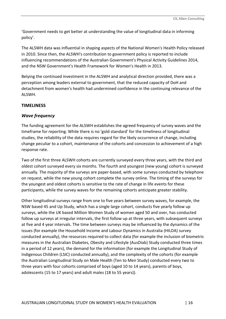'Government needs to get better at understanding the value of longitudinal data in informing policy'.

The ALSWH data was influential in shaping aspects of the National Women's Health Policy released in 2010. Since then, the ALSWH's contribution to government policy is reported to include influencing recommendations of the Australian Government's Physical Activity Guidelines 2014, and the NSW Government's Health Framework for Women's Health in 2013.

Belying the continued investment in the ALSWH and analytical direction provided, there was a perception among leaders external to government, that the reduced capacity of DoH and detachment from women's health had undermined confidence in the continuing relevance of the ALSWH.

#### <span id="page-29-0"></span>**TIMELINESS**

#### *Wave frequency*

The funding agreement for the ALSWH establishes the agreed frequency of survey waves and the timeframe for reporting. While there is no 'gold standard' for the timeliness of longitudinal studies, the reliability of the data requires regard for the likely occurrence of change, including change peculiar to a cohort, maintenance of the cohorts and concession to achievement of a high response rate.

Two of the first three ALSWH cohorts are currently surveyed every three years, with the third and oldest cohort surveyed every six months. The fourth and youngest (new young) cohort is surveyed annually. The majority of the surveys are paper-based, with some surveys conducted by telephone on request, while the new young cohort complete the survey online. The timing of the surveys for the youngest and oldest cohorts is sensitive to the rate of change in life events for these participants, while the survey waves for the remaining cohorts anticipate greater stability.

Other longitudinal surveys range from one to five years between survey waves, for example, the NSW based 45 and Up Study, which has a single large cohort, conducts five yearly follow up surveys, while the UK based Million Women Study of women aged 50 and over, has conducted follow up surveys at irregular intervals, the first follow up at three years, with subsequent surveys at five and 4 year intervals. The time between surveys may be influenced by the dynamics of the issues (for example the Household Income and Labour Dynamics in Australia (HILDA) survey conducted annually), the resources required to collect data (for example the inclusion of biometric measures in the Australian Diabetes, Obesity and Lifestyle (AusDiab) Study conducted three times in a period of 12 years), the demand for the information (for example the Longitudinal Study of Indigenous Children (LSIC) conducted annually), and the complexity of the cohorts (for example the Australian Longitudinal Study on Male Health (Ten to Men Study) conducted every two to three years with four cohorts comprised of boys (aged 10 to 14 years), parents of boys, adolescents (15 to 17 years) and adult males (18 to 55 years)).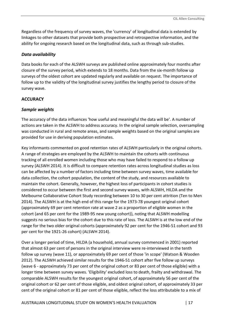Regardless of the frequency of survey waves, the 'currency' of longitudinal data is extended by linkages to other datasets that provide both prospective and retrospective information, and the ability for ongoing research based on the longitudinal data, such as through sub-studies.

#### *Data availability*

Data books for each of the ALSWH surveys are published online approximately four months after closure of the survey period, which extends to 18 months. Data from the six-month follow up surveys of the oldest cohort are updated regularly and available on request. The importance of follow up to the validity of the longitudinal survey justifies the lengthy period to closure of the survey wave.

#### <span id="page-30-0"></span>**ACCURACY**

#### *Sample weights*

The accuracy of the data influences 'how useful and meaningful the data will be'. A number of actions are taken in the ALSWH to address accuracy. In the original sample selection, oversampling was conducted in rural and remote areas, and sample weights based on the original samples are provided for use in deriving population estimates.

Key informants commented on good retention rates of ALSWH particularly in the original cohorts. A range of strategies are employed by the ALSWH to maintain the cohorts with continuous tracking of all enrolled women including those who may have failed to respond to a follow up survey (ALSWH 2014). It is difficult to compare retention rates across longitudinal studies as loss can be affected by a number of factors including time between survey waves, time available for data collection, the cohort population, the content of the study, and resources available to maintain the cohort. Generally, however, the highest loss of participants in cohort studies is considered to occur between the first and second survey waves, with ALSWH, HILDA and the Melbourne Collaborative Cohort Study recording between 10 to 30 per cent attrition (Ten to Men 2014). The ALSWH is at the high end of this range for the 1973-78 youngest original cohort (approximately 69 per cent retention rate at wave 2 as a proportion of eligible women in the cohort (and 65 per cent for the 1989-95 new young cohort)), noting that ALSWH modelling suggests no serious bias for the cohort due to this rate of loss. The ALSWH is at the low end of the range for the two older original cohorts (approximately 92 per cent for the 1946-51 cohort and 93 per cent for the 1921-26 cohort) (ALSWH 2014).

Over a longer period of time, HILDA (a household, annual survey commenced in 2001) reported that almost 63 per cent of persons in the original interview were re-interviewed in the tenth follow up survey (wave 11), or approximately 69 per cent of those 'in scope' (Watson & Wooden 2012). The ALSWH achieved similar results for the 1946-51 cohort after five follow up surveys (wave 6 - approximately 73 per cent of the original cohort or 83 per cent of those eligible) with a longer time between survey waves. 'Eligibility' excluded loss to death, frailty and withdrawal. The comparable ALSWH results for the youngest original cohort, of approximately 56 per cent of the original cohort or 62 per cent of those eligible, and oldest original cohort, of approximately 33 per cent of the original cohort or 81 per cent of those eligible, reflect the loss attributable to a mix of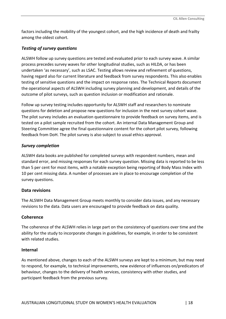factors including the mobility of the youngest cohort, and the high incidence of death and frailty among the oldest cohort.

#### *Testing of survey questions*

ALSWH follow up survey questions are tested and evaluated prior to each survey wave. A similar process precedes survey waves for other longitudinal studies, such as HILDA, or has been undertaken 'as necessary', such as LSAC. Testing allows review and refinement of questions, having regard also for current literature and feedback from survey respondents. This also enables testing of sensitive questions and the impact on response rates. The Technical Reports document the operational aspects of ALSWH including survey planning and development, and details of the outcome of pilot surveys, such as question inclusion or modification and rationale.

Follow up survey testing includes opportunity for ALSWH staff and researchers to nominate questions for deletion and propose new questions for inclusion in the next survey cohort wave. The pilot survey includes an evaluation questionnaire to provide feedback on survey items, and is tested on a pilot sample recruited from the cohort. An internal Data Management Group and Steering Committee agree the final questionnaire content for the cohort pilot survey, following feedback from DoH. The pilot survey is also subject to usual ethics approval.

#### *Survey completion*

ALSWH data books are published for completed surveys with respondent numbers, mean and standard error, and missing responses for each survey question. Missing data is reported to be less than 5 per cent for most items, with a notable exception being reporting of Body Mass Index with 10 per cent missing data. A number of processes are in place to encourage completion of the survey questions.

#### **Data revisions**

The ALSWH Data Management Group meets monthly to consider data issues, and any necessary revisions to the data. Data users are encouraged to provide feedback on data quality.

#### **Coherence**

The coherence of the ALSWH relies in large part on the consistency of questions over time and the ability for the study to incorporate changes in guidelines, for example, in order to be consistent with related studies.

#### **Internal**

As mentioned above, changes to each of the ALSWH surveys are kept to a minimum, but may need to respond, for example, to technical improvements, new evidence of influences on/predicators of behaviour, changes to the delivery of health services, consistency with other studies, and participant feedback from the previous survey.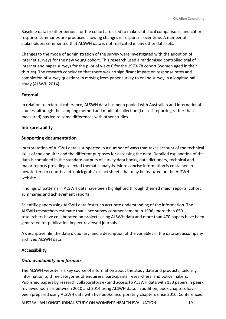Baseline data or other periods for the cohort are used to make statistical comparisons, and cohort response summaries are produced showing changes in responses over time. A number of stakeholders commented that ALSWH data is not replicated in any other data sets.

Changes to the mode of administration of the survey were investigated with the adoption of internet surveys for the new young cohort. This research used a randomised controlled trial of internet and paper surveys for the pilot of wave 6 for the 1973-78 cohort (women aged in their thirties). The research concluded that there was no significant impact on response rates and completion of survey questions in moving from paper survey to online survey in a longitudinal study (ALSWH 2014).

#### **External**

In relation to external coherence, ALSWH data has been pooled with Australian and international studies, although the sampling method and mode of collection (i.e. self-reporting rather than measured) has led to some differences with other studies.

#### <span id="page-32-0"></span>**Interpretability**

#### **Supporting documentation**

Interpretation of ALSWH data is supported in a number of ways that takes account of the technical skills of the enquirer and the different purposes for accessing the data. Detailed explanation of the data is contained in the standard outputs of survey data books, data dictionary, technical and major reports providing selected thematic analysis. More concise information is contained in newsletters to cohorts and 'quick grabs' or fact sheets that may be featured on the ALSWH website.

Findings of patterns in ALSWH data have been highlighted through themed major reports, cohort summaries and achievement reports.

Scientific papers using ALSWH data foster an accurate understanding of the information. The ALSWH researchers estimate that since survey commencement in 1996, more than 650 researchers have collaborated on projects using ALSWH data and more than 470 papers have been generated for publication in peer reviewed journals.

A descriptive file, the data dictionary, and a description of the variables in the data set accompany archived ALSWH data.

#### <span id="page-32-1"></span>**Accessibility**

#### *Data availability and formats*

The ALSWH website is a key source of information about the study data and products, tailoring information to three categories of enquirers: participants, researchers, and policy makers. Published papers by research collaborators extend access to ALSWH data with 130 papers in peerreviewed journals between 2010 and 2014 using ALSWH data. In addition, book chapters have been prepared using ALSWH data with five books incorporating chapters since 2010. Conferences

AUSTRALIAN LONGITUDINAL STUDY ON WOMEN'S HEALTH EVALUATION | 19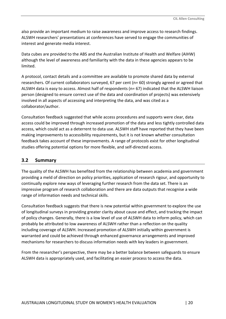also provide an important medium to raise awareness and improve access to research findings. ALSWH researchers' presentations at conferences have served to engage the communities of interest and generate media interest.

Data cubes are provided to the ABS and the Australian Institute of Health and Welfare (AIHW) although the level of awareness and familiarity with the data in these agencies appears to be limited.

A protocol, contact details and a committee are available to promote shared data by external researchers. Of current collaborators surveyed, 67 per cent (n= 60) strongly agreed or agreed that ALSWH data is easy to access. Almost half of respondents (n= 67) indicated that the ALSWH liaison person (designed to ensure correct use of the data and coordination of projects) was extensively involved in all aspects of accessing and interpreting the data, and was cited as a collaborator/author.

Consultation feedback suggested that while access procedures and supports were clear, data access could be improved through increased promotion of the data and less tightly controlled data access, which could act as a deterrent to data use. ALSWH staff have reported that they have been making improvements to accessibility requirements, but it is not known whether consultation feedback takes account of these improvements. A range of protocols exist for other longitudinal studies offering potential options for more flexible, and self-directed access.

### <span id="page-33-0"></span>**3.2 Summary**

The quality of the ALSWH has benefited from the relationship between academia and government providing a meld of direction on policy priorities, application of research rigour, and opportunity to continually explore new ways of leveraging further research from the data set. There is an impressive program of research collaboration and there are data outputs that recognise a wide range of information needs and technical skills.

Consultation feedback suggests that there is new potential within government to explore the use of longitudinal surveys in providing greater clarity about cause and effect, and tracking the impact of policy changes. Generally, there is a low level of use of ALSWH data to inform policy, which can probably be attributed to low awareness of ALSWH rather than a reflection on the quality including coverage of ALSWH. Increased promotion of ALSWH initially within government is warranted and could be achieved through enhanced governance arrangements and improved mechanisms for researchers to discuss information needs with key leaders in government.

From the researcher's perspective, there may be a better balance between safeguards to ensure ALSWH data is appropriately used, and facilitating an easier process to access the data.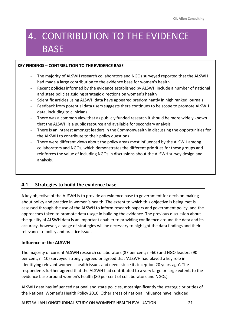# <span id="page-34-0"></span>4. CONTRIBUTION TO THE EVIDENCE **BASE**

#### **KEY FINDINGS – CONTRIBUTION TO THE EVIDENCE BASE**

- The majority of ALSWH research collaborators and NGOs surveyed reported that the ALSWH had made a large contribution to the evidence base for women's health
- Recent policies informed by the evidence established by ALSWH include a number of national and state policies guiding strategic directions on women's health
- Scientific articles using ALSWH data have appeared predominantly in high ranked journals
- Feedback from potential data users suggests there continues to be scope to promote ALSWH data, including to clinicians.
- There was a common view that as publicly funded research it should be more widely known that the ALSWH is a public resource and available for secondary analysis
- There is an interest amongst leaders in the Commonwealth in discussing the opportunities for the ALSWH to contribute to their policy questions
- There were different views about the policy areas most influenced by the ALSWH among collaborators and NGOs, which demonstrates the different priorities for these groups and reinforces the value of including NGOs in discussions about the ALSWH survey design and analysis.

### <span id="page-34-1"></span>**4.1 Strategies to build the evidence base**

A key objective of the ALSWH is to provide an evidence base to government for decision making about policy and practice in women's health. The extent to which this objective is being met is assessed through the use of the ALSWH to inform research papers and government policy, and the approaches taken to promote data usage in building the evidence. The previous discussion about the quality of ALSWH data is an important enabler to providing confidence around the data and its accuracy, however, a range of strategies will be necessary to highlight the data findings and their relevance to policy and practice issues.

#### <span id="page-34-2"></span>**Influence of the ALSWH**

The majority of current ALSWH research collaborators (87 per cent; n=60) and NGO leaders (90 per cent; n=10) surveyed strongly agreed or agreed that 'ALSWH had played a key role in identifying relevant women's health issues and needs since its inception 20 years ago'. The respondents further agreed that the ALSWH had contributed to a very large or large extent, to the evidence base around women's health (80 per cent of collaborators and NGOs).

ALSWH data has influenced national and state policies, most significantly the strategic priorities of the National Women's Health Policy 2010. Other areas of national influence have included

AUSTRALIAN LONGITUDINAL STUDY ON WOMEN'S HEALTH EVALUATION | 21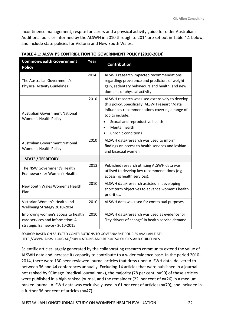incontinence management, respite for carers and a physical activity guide for older Australians. Additional policies informed by the ALSWH in 2010 through to 2014 are set out in Table 4.1 below, and include state policies for Victoria and New South Wales.

| <b>Commonwealth Government</b><br><b>Policy</b>                                                         | Year | Contribution                                                                                                                                                                                                                                          |
|---------------------------------------------------------------------------------------------------------|------|-------------------------------------------------------------------------------------------------------------------------------------------------------------------------------------------------------------------------------------------------------|
| The Australian Government's<br><b>Physical Activity Guidelines</b>                                      | 2014 | ALSWH research impacted recommendations<br>regarding: prevalence and predictors of weight<br>gain, sedentary behaviours and health; and new<br>domains of physical activity                                                                           |
| <b>Australian Government National</b><br>Women's Health Policy                                          | 2010 | ALSWH research was used extensively to develop<br>this policy. Specifically, ALSWH research/data<br>influences recommendations covering a range of<br>topics include:<br>Sexual and reproductive health<br>Mental health<br><b>Chronic conditions</b> |
| <b>Australian Government National</b><br>Women's Health Policy                                          | 2010 | ALSWH data/research was used to inform<br>findings on access to health services and lesbian<br>and bisexual women.                                                                                                                                    |
| <b>STATE / TERRITORY</b>                                                                                |      |                                                                                                                                                                                                                                                       |
| The NSW Government's Health<br>Framework for Women's Health                                             | 2013 | Published research utilising ALSWH data was<br>utilised to develop key recommendations (e.g.<br>accessing health services).                                                                                                                           |
| New South Wales Women's Health<br>Plan                                                                  | 2010 | ALSWH data/research assisted in developing<br>short term objectives to advance women's health<br>priorities.                                                                                                                                          |
| Victorian Women's Health and<br>Wellbeing Strategy 2010-2014                                            | 2010 | ALSWH data was used for contextual purposes.                                                                                                                                                                                                          |
| Improving women's access to health<br>care services and information: A<br>strategic framework 2010-2015 | 2010 | ALSWH data/research was used as evidence for<br>'key drivers of change' in health service demand.                                                                                                                                                     |

#### **TABLE 4.1: ALSWH'S CONTRIBUTION TO GOVERNMENT POLICY (2010-2014)**

SOURCE: BASED ON SELECTED CONTRIBUTIONS TO GOVERNMENT POLICIES AVAILABLE AT: HTTP://WWW.ALSWH.ORG.AU/PUBLICATIONS-AND-REPORTS/POLICIES-AND-GUIDELINES

Scientific articles largely generated by the collaborating research community extend the value of ALSWH data and increase its capacity to contribute to a wider evidence base. In the period 2010- 2014, there were 130 peer-reviewed journal articles that drew upon ALSWH data, delivered to between 36 and 44 conferences annually. Excluding 14 articles that were published in a journal not ranked by SCImago (medical journal rank), the majority (78 per cent; n=90) of these articles were published in a high ranked journal, and the remainder (22 per cent of n=26) in a medium ranked journal. ALSWH data was exclusively used in 61 per cent of articles (n=79), and included in a further 36 per cent of articles (n=47).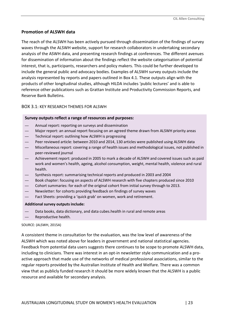#### **Promotion of ALSWH data**

The reach of the ALSWH has been actively pursued through dissemination of the findings of survey waves through the ALSWH website, support for research collaborators in undertaking secondary analysis of the ASWH data, and presenting research findings at conferences. The different avenues for dissemination of information about the findings reflect the website categorisation of potential interest, that is, participants, researchers and policy makers. This could be further developed to include the general public and advocacy bodies. Examples of ALSWH survey outputs include the analysis represented by reports and papers outlined in Box 4.1. These outputs align with the products of other longitudinal studies, although HILDA includes 'public lectures' and is able to reference other publications such as Grattan Institute and Productivity Commission Reports, and Reserve Bank Bulletins.

#### BOX 3.1: KEY RESEARCH THEMES FOR ALSWH

#### **Survey outputs reflect a range of resources and purposes:**

- Annual report: reporting on surveys and dissemination
- Major report: an annual report focusing on an agreed theme drawn from ALSWH priority areas
- Technical report: outlining how ALSWH is progressing
- Peer reviewed article: between 2010 and 2014, 130 articles were published using ALSWH data
- Miscellaneous report: covering a range of health issues and methodological issues, not published in peer-reviewed journal
- Achievement report: produced in 2005 to mark a decade of ALSWH and covered issues such as paid work and women's health, ageing, alcohol consumption, weight, mental health, violence and rural health.
- Synthesis report: summarising technical reports and produced in 2003 and 2004
- Book chapter: focusing on aspects of ALSWH research with five chapters produced since 2010
- Cohort summaries: for each of the original cohort from initial survey through to 2013.
- Newsletter: for cohorts providing feedback on findings of survey waves
- Fact Sheets: providing a 'quick grab' on women, work and retirement.

#### **Additional survey outputs include:**

- Data books, data dictionary, and data cubes.health in rural and remote areas
- Reproductive health.

#### SOURCE: (ALSWH, 2015A)

A consistent theme in consultation for the evaluation, was the low level of awareness of the ALSWH which was noted above for leaders in government and national statistical agencies. Feedback from potential data users suggests there continues to be scope to promote ALSWH data, including to clinicians. There was interest in an opt-in newsletter style communication and a proactive approach that made use of the networks of medical professional associations, similar to the regular reports provided by the Australian Institute of Health and Welfare. There was a common view that as publicly funded research it should be more widely known that the ALSWH is a public resource and available for secondary analysis.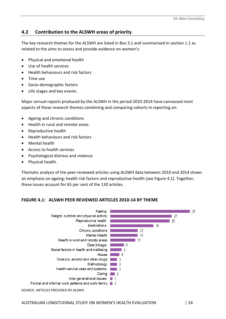## **4.2 Contribution to the ALSWH areas of priority**

The key research themes for the ALSWH are listed in Box 3.1 and summarised in section 1.1 as related to the aims to assess and provide evidence on women's:

- Physical and emotional health
- Use of health services
- Health behaviours and risk factors
- Time use
- Socio-demographic factors
- Life stages and key events.

Major annual reports produced by the ALSWH in the period 2010-2014 have canvassed most aspects of these research themes combining and comparing cohorts in reporting on:

- Ageing and chronic conditions
- Health in rural and remote areas
- Reproductive health
- Health behaviours and risk factors
- Mental health
- Access to health services
- Psychological distress and violence
- Physical health.

Thematic analysis of the peer-reviewed articles using ALSWH data between 2010 and 2014 shows an emphasis on ageing; health risk factors and reproductive health (see Figure 4.1). Together, these issues account for 65 per cent of the 130 articles.

## **FIGURE 4.1: ALSWH PEER REVIEWED ARTICLES 2010-14 BY THEME**

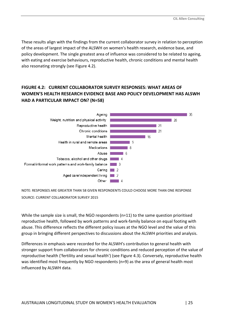These results align with the findings from the current collaborator survey in relation to perception of the areas of largest impact of the ALSWH on women's health research, evidence base, and policy development. The single greatest area of influence was considered to be related to ageing, with eating and exercise behaviours, reproductive health, chronic conditions and mental health also resonating strongly (see Figure 4.2).

## **FIGURE 4.2: CURRENT COLLABORATOR SURVEY RESPONSES: WHAT AREAS OF WOMEN'S HEALTH RESEARCH EVIDENCE BASE AND POLICY DEVELOPMENT HAS ALSWH HAD A PARTICULAR IMPACT ON? (N=58)**



NOTE: RESPONSES ARE GREATER THAN 58 GIVEN RESPONDENTS COULD CHOOSE MORE THAN ONE RESPONSE SOURCE: CURRENT COLLABORATOR SURVEY 2015

While the sample size is small, the NGO respondents (n=11) to the same question prioritised reproductive health, followed by work patterns and work-family balance on equal footing with abuse. This difference reflects the different policy issues at the NGO level and the value of this group in bringing different perspectives to discussions about the ALSWH priorities and analysis.

Differences in emphasis were recorded for the ALSWH's contribution to general health with stronger support from collaborators for chronic conditions and reduced perception of the value of reproductive health ('fertility and sexual health') (see Figure 4.3). Conversely, reproductive health was identified most frequently by NGO respondents (n=9) as the area of general health most influenced by ALSWH data.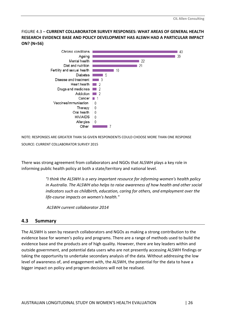#### FIGURE 4.3 – **CURRENT COLLABORATOR SURVEY RESPONSES: WHAT AREAS OF GENERAL HEALTH RESEARCH EVIDENCE BASE AND POLICY DEVELOPMENT HAS ALSWH HAD A PARTICULAR IMPACT ON? (N=56)**



NOTE: RESPONSES ARE GREATER THAN 56 GIVEN RESPONDENTS COULD CHOOSE MORE THAN ONE RESPONSE SOURCE: CURRENT COLLABORATOR SURVEY 2015

There was strong agreement from collaborators and NGOs that ALSWH plays a key role in informing public health policy at both a state/territory and national level.

> *"I think the ALSWH is a very important resource for informing women's health policy in Australia. The ALSWH also helps to raise awareness of how health and other social indicators such as childbirth, education, caring for others, and employment over the life-course impacts on women's health."*

*ALSWH current collaborator 2014*

## **4.3 Summary**

The ALSWH is seen by research collaborators and NGOs as making a strong contribution to the evidence base for women's policy and programs. There are a range of methods used to build the evidence base and the products are of high quality. However, there are key leaders within and outside government, and potential data users who are not presently accessing ALSWH findings or taking the opportunity to undertake secondary analysis of the data. Without addressing the low level of awareness of, and engagement with, the ALSWH, the potential for the data to have a bigger impact on policy and program decisions will not be realised.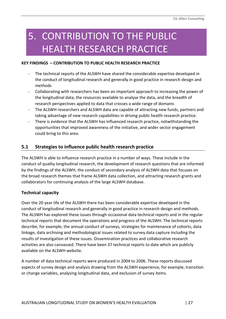# 5. CONTRIBUTION TO THE PUBLIC HEALTH RESEARCH PRACTICE

#### **KEY FINDINGS – CONTRIBUTION TO PUBLIC HEALTH RESEARCH PRACTICE**

- The technical reports of the ALSWH have shared the considerable expertise developed in the conduct of longitudinal research and generally in good practice in research design and methods
- Collaborating with researchers has been an important approach to increasing the power of the longitudinal data, the resources available to analyse the data, and the breadth of research perspectives applied to data that crosses a wide range of domains
- The ALSWH researchers and ALSWH data are capable of attracting new funds, partners and taking advantage of new research capabilities in driving public health research practice.
- There is evidence that the ALSWH has influenced research practice, notwithstanding the opportunities that improved awareness of the initiative, and wider sector engagement could bring to this area.

## **5.1 Strategies to influence public health research practice**

The ALSWH is able to influence research practice in a number of ways. These include in the conduct of quality longitudinal research, the development of research questions that are informed by the findings of the ALSWH, the conduct of secondary analysis of ALSWH data that focuses on the broad research themes that frame ALSWH data collection, and attracting research grants and collaborators for continuing analysis of the large ALSWH database.

#### **Technical capacity**

Over the 20 year life of the ALSWH there has been considerable expertise developed in the conduct of longitudinal research and generally in good practice in research design and methods. The ALSWH has explored these issues through occasional data technical reports and in the regular technical reports that document the operations and progress of the ALSWH. The technical reports describe, for example, the annual conduct of surveys, strategies for maintenance of cohorts, data linkage, data archiving and methodological issues related to survey data capture including the results of investigation of these issues. Dissemination practices and collaborative research activities are also canvassed. There have been 37 technical reports to date which are publicly available on the ALSWH website.

A number of data technical reports were produced in 2004 to 2006. These reports discussed aspects of survey design and analysis drawing from the ALSWH experience, for example, transition or change variables, analysing longitudinal data, and exclusion of survey items.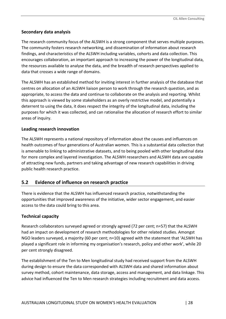#### **Secondary data analysis**

The research community focus of the ALSWH is a strong component that serves multiple purposes. The community fosters research networking, and dissemination of information about research findings, and characteristics of the ALSWH including variables, cohorts and data collection. This encourages collaboration, an important approach to increasing the power of the longitudinal data, the resources available to analyse the data, and the breadth of research perspectives applied to data that crosses a wide range of domains.

The ALSWH has an established method for inviting interest in further analysis of the database that centres on allocation of an ALSWH liaison person to work through the research question, and as appropriate, to access the data and continue to collaborate on the analysis and reporting. Whilst this approach is viewed by some stakeholders as an overly restrictive model, and potentially a deterrent to using the data, it does respect the integrity of the longitudinal data, including the purposes for which it was collected, and can rationalise the allocation of research effort to similar areas of inquiry.

#### **Leading research innovation**

The ALSWH represents a national repository of information about the causes and influences on health outcomes of four generations of Australian women. This is a substantial data collection that is amenable to linking to administrative datasets, and to being pooled with other longitudinal data for more complex and layered investigation. The ALSWH researchers and ALSWH data are capable of attracting new funds, partners and taking advantage of new research capabilities in driving public health research practice.

## **5.2 Evidence of influence on research practice**

There is evidence that the ALSWH has influenced research practice, notwithstanding the opportunities that improved awareness of the initiative, wider sector engagement, and easier access to the data could bring to this area.

#### **Technical capacity**

Research collaborators surveyed agreed or strongly agreed (72 per cent; n=57) that the ALSWH had an impact on development of research methodologies for other related studies. Amongst NGO leaders surveyed, a majority (60 per cent; n=10) agreed with the statement that 'ALSWH has played a significant role in informing my organisation's research, policy and other work', while 20 per cent strongly disagreed.

The establishment of the Ten to Men longitudinal study had received support from the ALSWH during design to ensure the data corresponded with ALSWH data and shared information about survey method, cohort maintenance, data storage, access and management, and data linkage. This advice had influenced the Ten to Men research strategies including recruitment and data access.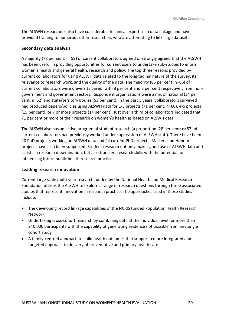The ALSWH researchers also have considerable technical expertise in data linkage and have provided training to numerous other researchers who are attempting to link large datasets.

## **Secondary data analysis**

A majority (78 per cent, n=59) of current collaborators agreed or strongly agreed that the ALSWH has been useful in providing opportunities for current users to undertake sub-studies to inform women's health and general health, research and policy. The top three reasons provided by current collaborators for using ALSWH data related to the longitudinal nature of the survey, its relevance to research work, and the quality of the data. The majority (85 per cent; n=66) of current collaborators were university based, with 8 per cent and 3 per cent respectively from nongovernment and government sectors. Respondent organisations were a mix of national (34 per cent; n=62) and state/territory bodies (53 per cent). In the past 5 years, collaborators surveyed had produced papers/policies using ALSWH data for 1-3 projects (71 per cent, n=60), 4-6 projects (15 per cent), or 7 or more projects (14 per cent). Just over a third of collaborators indicated that 71 per cent or more of their research on women's health as based on ALSWH data.

The ALSWH also has an active program of student research (a proportion (28 per cent; n=67) of current collaborators had previously worked under supervision of ALSWH staff). There have been 40 PhD projects working on ALSWH data and 24 current PhD projects. Masters and Honours projects have also been supported. Student research not only makes good use of ALSWH data and assists in research dissemination, but also transfers research skills with the potential for influencing future public health research practice.

## **Leading research innovation**

Current large scale multi-year research funded by the National Health and Medical Research Foundation utilises the ALSWH to explore a range of research questions through three associated studies that represent innovation in research practice. The approaches used in these studies include:

- The developing record linkage capabilities of the NCRIS funded Population Health Research Network
- Undertaking cross-cohort research by combining data at the individual level for more than 240,000 participants with the capability of generating evidence not possible from any single cohort study
- A family-centred approach to child health outcomes that support a more integrated and targeted approach to delivery of preventative and primary health care.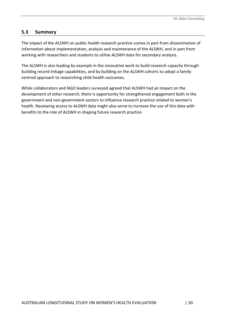## **5.3 Summary**

The impact of the ALSWH on public health research practice comes in part from dissemination of information about implementation, analysis and maintenance of the ALSWH, and in part from working with researchers and students to utilise ALSWH data for secondary analysis.

The ALSWH is also leading by example in the innovative work to build research capacity through building record linkage capabilities, and by building on the ALSWH cohorts to adopt a family centred approach to researching child health outcomes.

While collaborators and NGO leaders surveyed agreed that ALSWH had an impact on the development of other research, there is opportunity for strengthened engagement both in the government and non-government sectors to influence research practice related to women's health. Reviewing access to ALSWH data might also serve to increase the use of this data with benefits to the role of ALSWH in shaping future research practice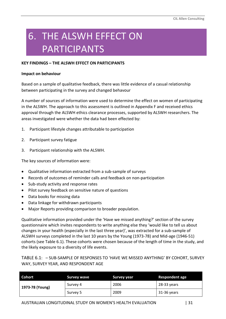# 6. THE ALSWH EFFECT ON PARTICIPANTS

#### **KEY FINDINGS – THE ALSWH EFFECT ON PARTICIPANTS**

#### **Impact on behaviour**

Based on a sample of qualitative feedback, there was little evidence of a casual relationship between participating in the survey and changed behavour

A number of sources of information were used to determine the effect on women of participating in the ALSWH. The approach to this assessment is outlined in Appendix F and received ethics approval through the ALSWH ethics clearance processes, supported by ALSWH researchers. The areas investigated were whether the data had been effected by:

- 1. Participant lifestyle changes attributable to participation
- 2. Participant survey fatigue
- 3. Participant relationship with the ALSWH.

The key sources of information were:

- Qualitative information extracted from a sub-sample of surveys
- Records of outcomes of reminder calls and feedback on non-participation
- Sub-study activity and response rates
- Pilot survey feedback on sensitive nature of questions
- Data books for missing data
- Data linkage for withdrawn participants
- Major Reports providing comparison to broader population.

Qualitative information provided under the 'Have we missed anything?' section of the survey questionnaire which invites respondents to write anything else they 'would like to tell us about changes in your health (especially in the last three year)', was extracted for a sub-sample of ALSWH surveys completed in the last 10 years by the Young (1973-78) and Mid-age (1946-51) cohorts (see Table 6.1). These cohorts were chosen because of the length of time in the study, and the likely exposure to a diversity of life events.

TABLE 6.1: – SUB-SAMPLE OF RESPONSES TO 'HAVE WE MISSED ANYTHING' BY COHORT, SURVEY WAY, SURVEY YEAR, AND RESPONDENT AGE

| <b>Cohort</b>   | Survey wave | Survey year | <b>Respondent age</b> |
|-----------------|-------------|-------------|-----------------------|
| 1973-78 (Young) | Survey 4    | 2006        | 28-33 years           |
|                 | Survey 5    | 2009        | 31-36 years           |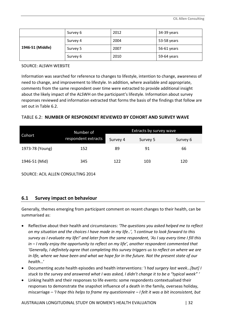|                  | Survey 6 | 2012 | 34-39 years |
|------------------|----------|------|-------------|
| 1946-51 (Middle) | Survey 4 | 2004 | 53-58 years |
|                  | Survey 5 | 2007 | 56-61 years |
|                  | Survey 6 | 2010 | 59-64 years |

SOURCE: ALSWH WEBSITE

Information was searched for reference to changes to lifestyle, intention to change, awareness of need to change, and improvement to lifestyle. In addition, where available and appropriate, comments from the same respondent over time were extracted to provide additional insight about the likely impact of the ALSWH on the participant's lifestyle. Information about survey responses reviewed and information extracted that forms the basis of the findings that follow are set out in Table 6.2.

#### TABLE 6.2: **NUMBER OF RESPONDENT REVIEWED BY COHORT AND SURVEY WAVE**

| Cohort          | Number of<br>respondent extracts | Extracts by survey wave |          |          |
|-----------------|----------------------------------|-------------------------|----------|----------|
|                 |                                  | Survey 4                | Survey 5 | Survey 6 |
| 1973-78 (Young) | 152                              | 89                      | 91       | 66       |
| 1946-51 (Mid)   | 345                              | 122                     | 103      | 120      |

SOURCE: ACIL ALLEN CONSULTING 2014

#### **6.1 Survey impact on behaviour**

Generally, themes emerging from participant comment on recent changes to their health, can be summarised as:

- Reflective about their health and circumstances: *'The questions you asked helped me to reflect on my situation and the choices I have made in my life..', 'I continue to look forward to this survey as I evaluate my life!' and later from the same respondent, 'As I say every time I fill this in – I really enjoy the opportunity to reflect on my life', another respondent commented that 'Generally, I definitely agree that completing this survey triggers us to reflect on where we are in life, where we have been and what we hope for in the future. Not the present state of our health…*'
- Documenting acute health episodes and health interventions: '*I had surgery last week…[but] I stuck to the survey and answered what I was asked, I didn't change it to be a "typical week" '*
- Linking health and their responses to life events: some respondents contextualised their responses to demonstrate the snapshot influence of a death in the family, overseas holiday, miscarriage *– 'I hope this helps to frame my questionnaire – I felt it was a bit inconsistent, but*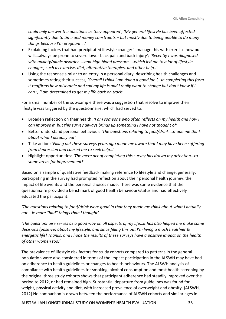*could only answer the questions as they appeared'; 'My general lifestyle has been affected significantly due to time and money constraints – but mostly due to being unable to do many things because I'm pregnant….'* 

- Explaining factors that had precipitated lifestyle change: 'I manage this with exercise now but will….always be prone to severe lower back pain and back injury'*; 'Recently I was diagnosed with anxiety/panic disorder ...and high blood pressure…..which led me to a lot of lifestyle changes, such as exercise, diet, alternative therapies, and other help..'*
- Using the response similar to an entry in a personal diary, describing health challenges and sometimes rating their success, *'Overall I think I am doing a good job.', 'In completing this form it reaffirms how miserable and sad my life is and I really want to change but don't know if I can.', 'I am determined to get my life back on track'*

For a small number of the sub-sample there was a suggestion that resolve to improve their lifestyle was triggered by the questionnaire, which had served to:

- Broaden reflection on their health: *'I am someone who often reflects on my health and how I can improve it, but this survey always brings up something I have not thought of'*
- Better understand personal behaviour: *'The questions relating to food/drink….made me think about what I actually eat'*
- Take action: *'Filling out these surveys years ago made me aware that I may have been suffering from depression and caused me to seek help…'*
- Highlight opportunities: *'The mere act of completing this survey has drawn my attention…to some areas for improvement!'*

Based on a sample of qualitative feedback making reference to lifestyle and change, generally, participating in the survey had prompted reflection about their personal health journey, the impact of life events and the personal choices made. There was some evidence that the questionnaire provided a benchmark of good health behaviour/status and had effectively educated the participant:

*'The questions relating to food/drink were good in that they made me think about what I actually eat – ie more "bad" things than I thought'*

*'The questionnaire serves as a good way on all aspects of my life…it has also helped me make some decisions (positive) about my lifestyle, and since filling this out I'm living a much healthier & energetic life! Thanks, and I hope the results of these surveys have a positive impact on the health of other women too.'*

The prevalence of lifestyle risk factors for study cohorts compared to patterns in the general population were also considered in terms of the impact participation in the ALSWH may have had on adherence to health guidelines or changes to health behaviours. The ALSWH analysis of compliance with health guidelines for smoking, alcohol consumption and most health screening by the original three study cohorts shows that participant adherence had steadily improved over the period to 2012, or had remained high. Substantial departure from guidelines was found for weight, physical activity and diet, with increased prevalence of overweight and obesity. (ALSWH, 2012) No comparison is drawn between the performance of ALSWH cohorts and similar ages in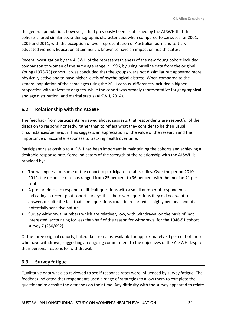the general population, however, it had previously been established by the ALSWH that the cohorts shared similar socio-demographic characteristics when compared to censuses for 2001, 2006 and 2011, with the exception of over-representation of Australian born and tertiary educated women. Education attainment is known to have an impact on health status.

Recent investigation by the ALSWH of the representativeness of the new Young cohort included comparison to women of the same age range in 1996, by using baseline data from the original Young (1973-78) cohort. It was concluded that the groups were not dissimilar but appeared more physically active and to have higher levels of psychological distress. When compared to the general population of the same ages using the 2011 census, differences included a higher proportion with university degrees, while the cohort was broadly representative for geographical and age distribution, and marital status (ALSWH, 2014).

## **6.2 Relationship with the ALSWH**

The feedback from participants reviewed above, suggests that respondents are respectful of the direction to respond honestly, rather than to reflect what they consider to be their usual circumstances/behaviour. This suggests an appreciation of the value of the research and the importance of accurate responses to tracking health over time.

Participant relationship to ALSWH has been important in maintaining the cohorts and achieving a desirable response rate. Some indicators of the strength of the relationship with the ALSWH is provided by:

- The willingness for some of the cohort to participate in sub-studies. Over the period 2010- 2014, the response rate has ranged from 25 per cent to 96 per cent with the median 71 per cent
- A preparedness to respond to difficult questions with a small number of respondents indicating in recent pilot cohort surveys that there were questions they did not want to answer, despite the fact that some questions could be regarded as highly personal and of a potentially sensitive nature
- Survey withdrawal numbers which are relatively low, with withdrawal on the basis of 'not interested' accounting for less than half of the reason for withdrawal for the 1946-51 cohort survey 7 (280/692).

Of the three original cohorts, linked data remains available for approximately 90 per cent of those who have withdrawn, suggesting an ongoing commitment to the objectives of the ALSWH despite their personal reasons for withdrawal.

## **6.3 Survey fatigue**

Qualitative data was also reviewed to see if response rates were influenced by survey fatigue. The feedback indicated that respondents used a range of strategies to allow them to complete the questionnaire despite the demands on their time. Any difficulty with the survey appeared to relate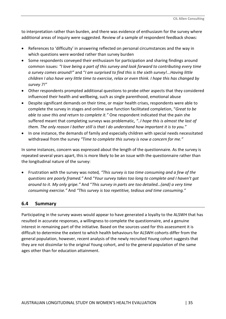to interpretation rather than burden, and there was evidence of enthusiasm for the survey where additional areas of inquiry were suggested. Review of a sample of respondent feedback shows:

- References to 'difficulty' in answering reflected on personal circumstances and the way in which questions were worded rather than survey burden
- Some respondents conveyed their enthusiasm for participation and sharing findings around common issues: *"I love being a part of this survey and look forward to contributing every time a survey comes around!"* and "*I am surprised to find this is the sixth survey!...Having little children I also have very little time to exercise, relax or even think. I hope this has changed by survey 7!"*
- Other respondents prompted additional questions to probe other aspects that they considered influenced their health and wellbeing, such as single parenthood, emotional abuse
- Despite significant demands on their time, or major health crises, respondents were able to complete the survey in stages and online save function facilitated completion, "*Great to be able to save this and return to complete it."* One respondent indicated that the pain she suffered meant that completing surveys was problematic, *"..I hope this is almost the last of them. The only reason I bother still is that I do understand how important it is to you."*
- In one instance, the demands of family and especially children with special needs necessitated withdrawal from the survey *"Time to complete this survey is now a concern for me."*

In some instances, concern was expressed about the length of the questionnaire. As the survey is repeated several years apart, this is more likely to be an issue with the questionnaire rather than the longitudinal nature of the survey:

• Frustration with the survey was noted*, "This survey is too time consuming and a few of the questions are poorly framed."* And "*Your survey takes too long to complete and I haven't got around to it. My only gripe."* And "*This survey in parts are too detailed…(and) a very time consuming exercise."* And *"This survey is too repetitive, tedious and time consuming."*

## **6.4 Summary**

Participating in the survey waves would appear to have generated a loyalty to the ALSWH that has resulted in accurate responses, a willingness to complete the questionnaire, and a genuine interest in remaining part of the initiative. Based on the sources used for this assessment it is difficult to determine the extent to which health behaviours for ALSWH cohorts differ from the general population, however, recent analysis of the newly recruited Young cohort suggests that they are not dissimilar to the original Young cohort, and to the general population of the same ages other than for education attainment.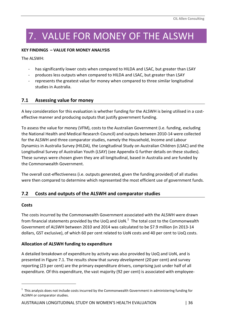# 7. VALUE FOR MONEY OF THE ALSWH

#### **KEY FINDINGS – VALUE FOR MONEY ANALYSIS**

The ALSWH:

- has significantly lower costs when compared to HILDA and LSAC, but greater than LSAY
- produces less outputs when compared to HILDA and LSAC, but greater than LSAY
- represents the greatest value for money when compared to three similar longitudinal studies in Australia.

## **7.1 Assessing value for money**

A key consideration for this evaluation is whether funding for the ALSWH is being utilised in a costeffective manner and producing outputs that justify government funding.

To assess the value for money (VFM), costs to the Australian Government (i.e. funding, excluding the National Health and Medical Research Council) and outputs between 2010-14 were collected for the ALSWH and three comparator studies, namely the Household, Income and Labour Dynamics in Australia Survey (HILDA), the Longitudinal Study on Australian Children (LSAC) and the Longitudinal Survey of Australian Youth (LSAY) (see Appendix G further details on these studies). These surveys were chosen given they are all longitudinal, based in Australia and are funded by the Commonwealth Government.

The overall cost-effectiveness (i.e. outputs generated, given the funding provided) of all studies were then compared to determine which represented the most efficient use of government funds.

## **7.2 Costs and outputs of the ALSWH and comparator studies**

#### **Costs**

1

The costs incurred by the Commonwealth Government associated with the ALSWH were drawn from financial statements provided by the UoQ and UoN.<sup>[1](#page-49-0)</sup> The total cost to the Commonwealth Government of ALSWH between 2010 and 2014 was calculated to be \$7.9 million (in 2013-14 dollars, GST exclusive), of which 60 per cent related to UoN costs and 40 per cent to UoQ costs.

## **Allocation of ALSWH funding to expenditure**

A detailed breakdown of expenditure by activity was also provided by UoQ and UoN, and is presented in Figure 7.1. The results show that *survey development* (20 per cent) and survey reporting (23 per cent) are the primary expenditure drivers, comprising just under half of all expenditure. Of this expenditure, the vast majority (92 per cent) is associated with employee-

<span id="page-49-0"></span> $1$  This analysis does not include costs incurred by the Commonwealth Government in administering funding for ALSWH or comparator studies.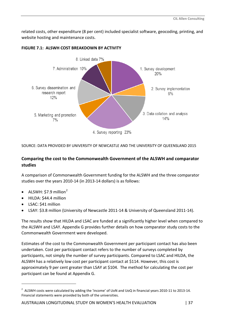related costs, other expenditure (8 per cent) included specialist software, geocoding, printing, and website hosting and maintenance costs.



#### **FIGURE 7.1: ALSWH COST BREAKDOWN BY ACTIVITY**

SOURCE: DATA PROVIDED BY UNIVERSITY OF NEWCASTLE AND THE UNIVERSITY OF QUEENSLAND 2015

## **Comparing the cost to the Commonwealth Government of the ALSWH and comparator studies**

A comparison of Commonwealth Government funding for the ALSWH and the three comparator studies over the years 2010-14 (in 2013-14 dollars) is as follows:

- ALSWH:  $$7.9$  million<sup>[2](#page-50-0)</sup>
- HILDA: \$44.4 million
- LSAC: \$41 million

1

• LSAY: \$3.8 million (University of Newcastle 2011-14 & University of Queensland 2011-14).

The results show that HILDA and LSAC are funded at a significantly higher level when compared to the ALSWH and LSAY. Appendix G provides further details on how comparator study costs to the Commonwealth Government were developed.

Estimates of the cost to the Commonwealth Government per participant contact has also been undertaken. Cost per participant contact refers to the number of surveys completed by participants, not simply the number of survey participants. Compared to LSAC and HILDA, the ALSWH has a relatively low cost per participant contact at \$114. However, this cost is approximately 9 per cent greater than LSAY at \$104. The method for calculating the cost per participant can be found at Appendix G.

<span id="page-50-0"></span><sup>&</sup>lt;sup>2</sup> ALSWH costs were calculated by adding the 'income' of UoN and UoQ in financial years 2010-11 to 2013-14. Financial statements were provided by both of the universities.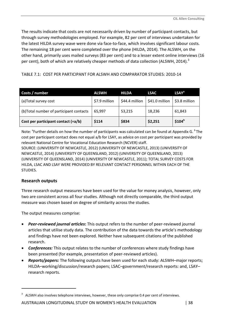The results indicate that costs are not necessarily driven by number of participant contacts, but through survey methodologies employed. For example, 82 per cent of interviews undertaken for the latest HILDA survey wave were done via face-to-face, which involves significant labour costs. The remaining 18 per cent were completed over the phone (HILDA, 2014). The ALSWH, on the other hand, primarily uses mailed surveys (83 per cent) and to a lesser extent online interviews (16 per cent), both of which are relatively cheaper methods of data collection (ALSWH, 2014).<sup>[3](#page-51-0)</sup>

TABLE 7.1: COST PER PARTICIPANT FOR ALSWH AND COMPARATOR STUDIES: 2010-14

| Costs / number                          | <b>ALSWH</b>  | <b>HILDA</b>   | <b>LSAC</b>    | LSAY <sup>a</sup>  |
|-----------------------------------------|---------------|----------------|----------------|--------------------|
| (a)Total survey cost                    | \$7.9 million | \$44.4 million | \$41.0 million | \$3.8 million      |
| (b)Total number of participant contacts | 65,997        | 53,215         | 18,236         | 61,843             |
| Cost per participant contact (=a/b)     | \$114         | \$834          | \$2,251        | \$104 <sup>b</sup> |

Note: <sup>a</sup>Further details on how the number of participants was calculated can be found at Appendix G. <sup>b</sup> The cost per participant contact does not equal a/b for LSAY, as advice on cost per participant was provided by relevant National Centre for Vocational Education Research (NCVER) staff. SOURCE: (UNIVERSITY OF NEWCASTLE, 2012) (UNIVERSITY OF NEWCASTLE, 2013) (UNIVERSITY OF NEWCASTLE, 2014) (UNIVERSITY OF QUEENSLAND, 2012) (UNIVERSITY OF QUEENSLAND, 2013) (UNIVERSITY OF QUEENSLAND, 2014) (UNIVERSITY OF NEWCASTLE, 2011); TOTAL SURVEY COSTS FOR

HILDA, LSAC AND LSAY WERE PROVIDED BY RELEVANT CONTACT PERSONNEL WITHIN EACH OF THE STUDIES.

## **Research outputs**

-

Three research output measures have been used for the value for money analysis, however, only two are consistent across all four studies. Although not directly comparable, the third output measure was chosen based on degree of similarity across the studies.

The output measures comprise:

- *Peer-reviewed journal articles***:** This output refers to the number of peer-reviewed journal articles that utilise study data. The contribution of the data towards the article's methodology and findings have not been explored. Neither have subsequent citations of the published research.
- *Conferences:* This output relates to the number of conferences where study findings have been presented (for example, presentation of peer-reviewed articles).
- *Reports/papers:* The following outputs have been used for each study: ALSWH–major reports; HILDA–working/discussion/research papers; LSAC–government/research reports: and, LSAY– research reports.

<span id="page-51-0"></span> $3$  ALSWH also involves telephone interviews, however, these only comprise 0.4 per cent of interviews.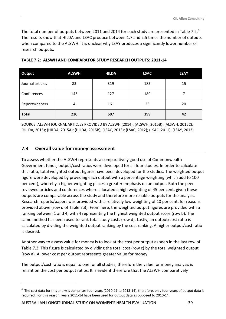The total number of outputs between 2011 and 201[4](#page-52-0) for each study are presented in Table 7.2.<sup>4</sup> The results show that HILDA and LSAC produce between 1.7 and 2.5 times the number of outputs when compared to the ALSWH. It is unclear why LSAY produces a significantly lower number of research outputs.

| <b>Output</b>    | <b>ALSWH</b> | <b>HILDA</b> | <b>LSAC</b> | <b>LSAY</b> |
|------------------|--------------|--------------|-------------|-------------|
| Journal articles | 83           | 319          | 185         | 15          |
| Conferences      | 143          | 127          | 189         |             |
| Reports/papers   | 4            | 161          | 25          | 20          |
| <b>Total</b>     | 230          | 607          | 399         | 42          |

#### TABLE 7.2: **ALSWH AND COMPARATOR STUDY RESEARCH OUTPUTS: 2011-14**

SOURCE: ALSWH JOURNAL ARTICLES PROVIDED BY ALSWH (2014); (ALSWH, 2015B); (ALSWH, 2015C); (HILDA, 2015); (HILDA, 2015A); (HILDA, 2015B); (LSAC, 2013); (LSAC, 2012); (LSAC, 2011); (LSAY, 2013)

#### **7.3 Overall value for money assessment**

To assess whether the ALSWH represents a comparatively good use of Commonwealth Government funds, output/cost ratios were developed for all four studies. In order to calculate this ratio, total weighted output figures have been developed for the studies. The weighted output figure were developed by providing each output with a percentage weighting (which add to 100 per cent), whereby a higher weighting places a greater emphasis on an output. Both the peerreviewed articles and conferences where allocated a high weighting of 45 per cent, given these outputs are comparable across the study and therefore more reliable outputs for the analysis. Research reports/papers was provided with a relatively low weighting of 10 per cent, for reasons provided above (row *a* of Table 7.3). From here, the weighted output figures are provided with a ranking between 1 and 4, with 4 representing the highest weighted output score (row b). The same method has been used to rank total study costs (row d). Lastly, an output/cost ratio is calculated by dividing the weighted output ranking by the cost ranking. A higher output/cost ratio is desired.

Another way to assess value for money is to look at the cost per output as seen in the last row of Table 7.3. This figure is calculated by dividing the total cost (row c) by the total weighted output (row a). A lower cost per output represents greater value for money.

The output/cost ratio is equal to one for all studies, therefore the value for money analysis is reliant on the cost per output ratios. It is evident therefore that the ALSWH comparatively

1

<span id="page-52-0"></span> $^4$  The cost data for this analysis comprises four years (2010-11 to 2013-14), therefore, only four years of output data is required. For this reason, years 2011-14 have been used for output data as opposed to 2010-14.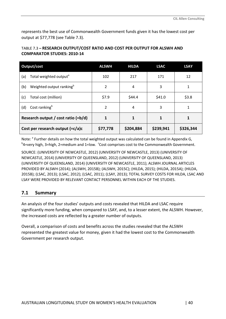represents the best use of Commonwealth Government funds given it has the lowest cost per output at \$77,778 (see Table 7.3).

## TABLE 7.3 **– RESEARCH OUTPUT/COST RATIO AND COST PER OUTPUT FOR ALSWH AND COMPARATOR STUDIES: 2010-14**

| Output/cost                                 | <b>ALSWH</b> | <b>HILDA</b> | <b>LSAC</b> | <b>LSAY</b> |
|---------------------------------------------|--------------|--------------|-------------|-------------|
| Total weighted output <sup>a</sup><br>(a)   | 102          | 217          | 171         | 12          |
| Weighted output ranking <sup>b</sup><br>(b) | 2            | 4            | 3           | 1           |
| Total cost (million)<br>(c)                 | \$7.9        | \$44.4       | \$41.0      | \$3.8       |
| Cost ranking <sup>b</sup><br>(d)            | 2            | 4            | 3           | 1           |
| Research output / cost ratio (=b/d)         | 1            | 1            | 1           | 1           |
| Cost per research output (=c/a)c            | \$77,778     | \$204,884    | \$239,941   | \$326,344   |

Note: <sup>a</sup> Further details on how the total weighted output was calculated can be found in Appendix G. <sup>b</sup>4=very high, 3=high, 2=medium and 1=low. Cost comprises cost to the Commonwealth Government.

SOURCE: (UNIVERSITY OF NEWCASTLE, 2012) (UNIVERSITY OF NEWCASTLE, 2013) (UNIVERSITY OF NEWCASTLE, 2014) (UNIVERSITY OF QUEENSLAND, 2012) (UNIVERSITY OF QUEENSLAND, 2013) (UNIVERSITY OF QUEENSLAND, 2014) (UNIVERSITY OF NEWCASTLE, 2011); ALSWH JOURNAL ARTICLES PROVIDED BY ALSWH (2014); (ALSWH, 2015B); (ALSWH, 2015C); (HILDA, 2015); (HILDA, 2015A); (HILDA, 2015B); (LSAC, 2013); (LSAC, 2012); (LSAC, 2011); (LSAY, 2013); TOTAL SURVEY COSTS FOR HILDA, LSAC AND LSAY WERE PROVIDED BY RELEVANT CONTACT PERSONNEL WITHIN EACH OF THE STUDIES.

## **7.1 Summary**

An analysis of the four studies' outputs and costs revealed that HILDA and LSAC require significantly more funding, when compared to LSAY, and, to a lesser extent, the ALSWH. However, the increased costs are reflected by a greater number of outputs.

Overall, a comparison of costs and benefits across the studies revealed that the ALSWH represented the greatest value for money, given it had the lowest cost to the Commonwealth Government per research output.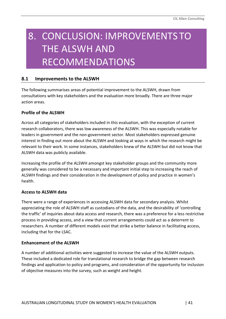# 8. CONCLUSION: IMPROVEMENTS TO THE ALSWH AND RECOMMENDATIONS

## **8.1 Improvements to the ALSWH**

The following summarises areas of potential improvement to the ALSWH, drawn from consultations with key stakeholders and the evaluation more broadly. There are three major action areas.

#### **Profile of the ALSWH**

Across all categories of stakeholders included in this evaluation, with the exception of current research collaborators, there was low awareness of the ALSWH. This was especially notable for leaders in government and the non-government sector. Most stakeholders expressed genuine interest in finding out more about the ALSWH and looking at ways in which the research might be relevant to their work. In some instances, stakeholders knew of the ALSWH but did not know that ALSWH data was publicly available.

Increasing the profile of the ALSWH amongst key stakeholder groups and the community more generally was considered to be a necessary and important initial step to increasing the reach of ALSWH findings and their consideration in the development of policy and practice in women's health.

#### **Access to ALSWH data**

There were a range of experiences in accessing ALSWH data for secondary analysis. Whilst appreciating the role of ALSWH staff as custodians of the data, and the desirability of 'controlling the traffic' of inquiries about data access and research, there was a preference for a less restrictive process in providing access, and a view that current arrangements could act as a deterrent to researchers. A number of different models exist that strike a better balance in facilitating access, including that for the LSAC.

#### **Enhancement of the ALSWH**

A number of additional activities were suggested to increase the value of the ALSWH outputs. These included a dedicated role for translational research to bridge the gap between research findings and application to policy and programs, and consideration of the opportunity for inclusion of objective measures into the survey, such as weight and height.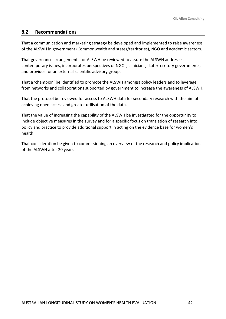## **8.2 Recommendations**

That a communication and marketing strategy be developed and implemented to raise awareness of the ALSWH in government (Commonwealth and states/territories), NGO and academic sectors.

That governance arrangements for ALSWH be reviewed to assure the ALSWH addresses contemporary issues, incorporates perspectives of NGOs, clinicians, state/territory governments, and provides for an external scientific advisory group.

That a 'champion' be identified to promote the ALSWH amongst policy leaders and to leverage from networks and collaborations supported by government to increase the awareness of ALSWH.

That the protocol be reviewed for access to ALSWH data for secondary research with the aim of achieving open access and greater utilisation of the data.

That the value of increasing the capability of the ALSWH be investigated for the opportunity to include objective measures in the survey and for a specific focus on translation of research into policy and practice to provide additional support in acting on the evidence base for women's health.

That consideration be given to commissioning an overview of the research and policy implications of the ALSWH after 20 years.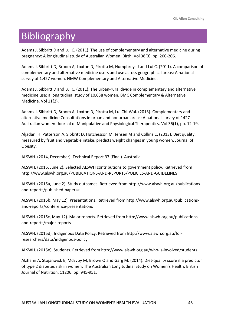## **Bibliography**

Adams J, Sibbritt D and Lui C. (2011). The use of complementary and alternative medicine during pregnancy: A longitudinal study of Australian Women. Birth. Vol 38(3), pp. 200-206.

Adams J, Sibbritt D, Broom A, Loxton D, Pirotta M, Humphreys J and Lui C. (2011). A comparison of complementary and alternative medicine users and use across geographical areas: A national survey of 1,427 women. NMW Complementary and Alternative Medicine.

Adams J, Sibbritt D and Lui C. (2011). The urban-rural divide in complementary and alternative medicine use: a longitudinal study of 10,638 women. BMC Complementary & Alternative Medicine. Vol 11(2).

Adams J, Sibbritt D, Broom A, Loxton D, Pirotta M, Lui Chi-Wai. (2013). Complementary and alternative medicine Consultations in urban and nonurban areas: A national survey of 1427 Australian women. Journal of Manipulative and Physiological Therapeutics. Vol 36(1), pp. 12-19.

Aljadani H, Patterson A, Sibbritt D, Hutchesson M, Jensen M and Collins C. (2013). Diet quality, measured by fruit and vegetable intake, predicts weight changes in young women. Journal of Obesity.

ALSWH. (2014, December). Technical Report 37 (Final). Australia.

ALSWH. (2015, June 2). Selected ALSWH contributions to government policy. Retrieved from http://www.alswh.org.au/PUBLICATIONS-AND-REPORTS/POLICIES-AND-GUIDELINES

ALSWH. (2015a, June 2). Study outcomes. Retrieved from http://www.alswh.org.au/publicationsand-reports/published-papers#

ALSWH. (2015b, May 12). Presentations. Retrieved from http://www.alswh.org.au/publicationsand-reports/conference-presentations

ALSWH. (2015c, May 12). Major reports. Retrieved from http://www.alswh.org.au/publicationsand-reports/major-reports

ALSWH. (2015d). Indigenous Data Policy. Retrieved from http://www.alswh.org.au/forresearchers/data/indigenous-policy

ALSWH. (2015e). Students. Retrieved from http://www.alswh.org.au/who-is-involved/students

Alzhami A, Stojanovsk E, McEvoy M, Brown Q and Garg M. (2014). Diet-quality score if a predictor of type 2 diabetes risk in women: The Australian Longitudinal Study on Women's Health. British Journal of Nutrition. 11206, pp. 945-951.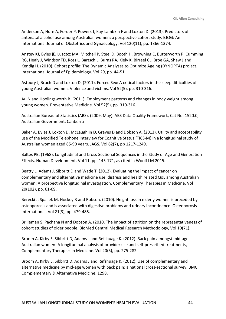Anderson A, Hure A, Forder P, Powers J, Kay-Lambkin F and Loxton D. (2013). Predictors of antenatal alcohol use among Australian women: a perspective cohort study. BJOG: An International Journal of Obstetrics and Gynaecology. Vol 120(11), pp. 1366-1374.

Anstey KJ, Byles jE, Lusczcz MA, Mitchell P, Steel D, Booth H, Browning C, Butterworth P, Cumming RG, Healy J, Windsor TD, Ross L, Bartsch L, Burns RA, Kiely K, Birreel CL, Broe GA, Shaw J and Kendig H. (2010). Cohort profile: The Dynamic Analyses to Optimize Ageing (DYNOPTA) project. International Journal of Epidemiology. Vol 29, pp. 44-51.

Astbury J, Bruch D and Loxton D. (2011). Forced Sex: A critical factors in the sleep difficulties of young Australian women. Violence and victims. Vol 52(5), pp. 310-316.

Au N and Hoolingsworth B. (2011). Employment patterns and changes in body weight among young women. Preventative Medicine. Vol 52(5), pp. 310-316.

Australian Bureau of Statistics (ABS). (2009, May). ABS Data Quality Framework, Cat No. 1520.0, Australian Government, Canberra

Baker A, Byles J, Loxton D, McLaughlin D, Graves D and Dobson A. (2013). Utility and acceptability use of the Modified Telephone Interview for Cognitive Status (TICS-M) in a longitudinal study of Australian women aged 85-90 years. JAGS. Vol 62(7), pp 1217-1249.

Baltes PB. (1968). Longitudinal and Cross-Sectional Sequences in the Study of Age and Generation Effects. Human Development. Vol 11, pp. 145-171, as cited in Woolf LM 2015.

Beatty L, Adams J, Sibbritt D and Wade T. (2012). Evaluating the impact of cancer on complementary and alternative medicine use, distress and health related QoL among Australian women: A prospective longitudinal investigation. Complementary Therapies in Medicine. Vol 20(102), pp. 61-69.

Berecki J, Spallek M, Hockey R and Robson. (2010). Height loss in elderly women is preceded by osteoporosis and is associated with digestive problems and urinary incontinence. Osteoporosis International. Vol 21(3), pp. 479-485.

Brilleman S, Pachana N and Dobson A. (2010. The impact of attrition on the representativeness of cohort studies of older people. BioMed Central Medical Research Methodology, Vol 10(71).

Broom A, Kirby E, Sibbritt D, Adams J and Refshuage K. (2012). Back pain amongst mid-age Australian women: A longitudinal analysis of provider use and self-prescribed treatments, Complementary Therapies in Medicine. Vol 20(5), pp. 275-282.

Broom A, Kirby E, Sibbritt D, Adams J and Refshuage K. (2012). Use of complementary and alternative medicine by mid-age women with pack pain: a national cross-sectional survey. BMC Complementary & Alternative Medicine, 1298.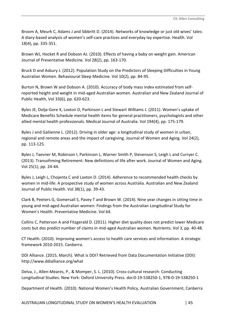Broom A, Meurk C, Adams J and Sibbritt D. (2014). Networks of knowledge or just old wives' tales: A diary-based analysis of women's self-care practices and everyday lay expertise. Health. Vol 18)4), pp. 335-351.

Brown WJ, Hocket R and Dobson AJ. (2010). Effects of having a baby on weight gain. American Journal of Preventative Medicine. Vol 28(2), pp. 163-170.

Bruck D and Asbury J. (2012). Population Study on the Predictors of Sleeping Difficulties in Young Australian Women. Behavioural Sleep Medicine. Vol 10(2), pp. 84-95.

Burton N, Brown W and Dobson A. (2010). Accuracy of body mass index estimated from selfreported height and weight in mid-aged Australian women. Australian and New Zealand Journal of Public Health, Vol 33(6), pp. 620-623.

Byles JE, Dolja-Gore X, Loxton D, Parkinson L and Stewart Williams J. (2011). Women's uptake of Medicare Benefits Schedule mental health items for general practitioners, psychologists and other allied mental health professionals. Medical Journal of Australia. Vol 194(4), pp. 175-179.

Byles J and Galiienne L. (2012). Driving in older age: a longitudinal study of women in urban, regional and remote areas and the impact of caregiving. Journal of Women and Aging. Vol 24(2), pp. 113-125.

Byles J, Taevner M, Robinson I, Parkinson L, Warner Smith P, Stevenson S, Leigh L and Curryer C. (2013). Transofrming Retirement: New definitions of life after work. Journal of Women and Aging. Vol 25(1), pp. 24-44.

Byles J, Leigh L, Chojenta C and Loxton D. (2014). Adherence to recommended health checks by women in mid-life: A prospective study of women across Australia. Australian and New Zealand Journal of Public Health. Vol 38(1), pp. 39-43.

Clark B, Peeters G, Gomersall S, Pavey T and Brown W. (2014). Nine year changes in sitting time in young and mid-aged Australian women: Findings from the Australian Longitudinal Study for Women's Health. Preventative Medicine. Vol 64.

Collins C, Patterson A and Fitzgerald D. (2011). Higher diet quality does not predict lower Medicare costs but dos predict number of claims in mid-aged Australian women. Nutrients. Vol 3, pp. 40-48.

CT Health. (2010). Improving women's access to health care services and information: A strategic framework 2010-2015. Canberra.

DDI Alliance. (2015, March). What is DDI? Retrieved from Data Documentation Initiative (DDI): http://www.ddialliance.org/what

Delva, J., Allen-Meares, P., & Momper, S. L. (2010). Cross-cultural research: Conducting Longitudinal Studies. New York: Oxford University Press. doi:0-19-538250-1, 978-0-19-538250-1

Department of Health. (2010). National Women's Health Policy, Australian Government, Canberra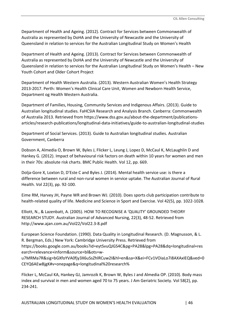Department of Health and Ageing. (2012). Contract for Services between Commonwealth of Australia as represented by DoHA and the University of Newcastle and the University of Queensland in relation to services for the Australian Longitudinal Study on Women's Health

Department of Health and Ageing. (2013). Contract for Services between Commonwealth of Australia as represented by DoHA and the University of Newcastle and the University of Queensland in relation to services for the Australian Longitudinal Study on Women's Health – New Youth Cohort and Older Cohort Project

Department of Health Western Australia. (2013). Western Australian Women's Health Strategy 2013-2017. Perth: Women's Health Clinical Care Unit, Women and Newborn Health Service, Department og Health Western Australia.

Department of Families, Housing, Community Services and Indigenous Affairs. (2013). Guide to Australian longitudinal studies. FaHCSIA Research and Analysis Branch. Canberra: Commonwealth of Australia 2013. Retrieved from https://www.dss.gov.au/about-the-department/publicationsarticles/research-publications/longitudinal-data-initiatives/guide-to-australian-longitudinal-studies

Department of Social Services. (2013). Guide to Australian longitudinal studies. Australian Government, Canberra

Dobson A, Almedia O, Brown W, Byles J, Flicker L, Leung J, Lopez D, McCaul K, McLaughlin D and Hankey G. (2012). Impact of behavioural risk factors on death within 10 years for women and men in their 70s: absolute risk charts. BMC Public Health. Vol 12, pp. 669.

Dolja-Gore X, Loxton D, D'Este C and Byles J. (2014). Mental health service use: is there a difference between rural and non-rural women in service uptake. The Australian Journal of Rural Health. Vol 22(3), pp. 92-100.

Eime RM, Harvey JH, Payne WR and Brown WJ. (2010). Does sports club participation contribute to health-related quality of life. Medicine and Science in Sport and Exercise. Vol 42(5), pp. 1022-1028.

Elliott, N., & Lazenbatt, A. (2005). HOW TO RECOGNISE A 'QUALITY' GROUNDED THEORY RESEARCH STUDY. Australian Journal of Advanced Nursing, 22(3), 48-52. Retrieved from http://www.ajan.com.au/Vol22/Vol22.3-8.pdf

European Science Foundation. (1990). Data Quality in Longitudinal Research. (D. Magnusson, & L. R. Bergman, Eds.) New York: Cambridge University Press. Retrieved from https://books.google.com.au/books?id=eytSvuQJGS4C&pg=PA28&lpg=PA28&dq=longitudinal+res earch+relevance+inform&source=bl&ots=w-

u7MRMa7R&sig=bGXfoYVA0fjy3X6uSsZhlRCuw2I&hl=en&sa=X&ei=FCv1VOiaLo7i8AXAxIEQ&ved=0 CEYQ6AEwBjgK#v=onepage&q=longitudinal%20research%

Flicker L, McCaul KA, Hankey GJ, Jamrozik K, Brown W, Byles J and Almedia OP. (2010). Body mass index and survival in men and women aged 70 to 75 years. J Am Geriatric Society. Vol 58(2), pp. 234-241.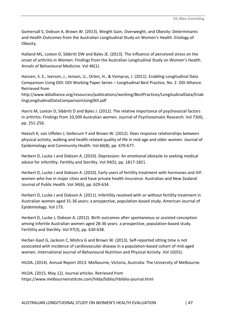Gomersall S, Dobson A, Brown W. (2013). Weight Gain, Overweight, and Obesity: Determinants and Health Outcomes from the Australian Longitudinal Study on Women's Health. Etiology of Obesity.

Halland ML, Loxton D, Sibbritt DW and Byles JE. (2013). The influence of perceived stress on the onset of arthritis in Women: Findings from the Australian Longitudinal Study on Women's Health. Annals of Behavioural Medicine. Vol 46(1).

Hansen, S. E., Iverson, J., Jensen, U., Orten, H., & Vompras, J. (2011). Enabling Longitudinal Data Comparison Using DDI: DDI Working Paper Series – Longitudinal Best Practice, No. 2. DDI Alliance. Retrieved from

http://www.ddialliance.org/resources/publications/working/BestPractices/LongitudinalData/Enab lingLongitudinalDataComparisonUsingDDI.pdf

Harris M, Loxton D, Sibbritt D and Byles J. (2012). The relative importance of psychosocial factors in arthritis: Findings from 10,509 Australian women. Journal of Psychosomatic Research. Vol 73(4), pp. 251-256.

Heesch K, van Uffelen J, Gellecum Y and Brown W. (2012). Does response relationships between physical activity, walking and health-related quality of life in mid-age and older women. Journal of Epidemiology and Community Health. Vol 66(8), pp. 670-677.

Herbert D, Lucke J and Dobson A. (2010). Depression: An emotional obstacle to seeking medical advice for infertility. Fertility and Sterility. Vol 94(5), pp. 1817-1821.

Herbert D, Lucke J and Dobson A. (2010). Early users of fertility treatment with hormones and IVF: women who live in major cities and have private health insurance. Australian and New Zealand Journal of Public Health. Vol 34(6), pp. 629-634.

Herbert D, Lucke J and Dobson A. (2011). Infertility resolved with or without fertility treatment in Australian women aged 31-36 years: a prospective, population-based study. American Journal of Epidemiology. Vol 173.

Herbert D, Lucke J, Dobson A. (2012). Birth outcomes after spontaneous or assisted conception among infertile Australian women aged 28-36 years: a prospective, population-based study. Fertitlity and Sterility. Vol 97(3), pp. 630-638.

Herber-Gast G, Jackson C, Mishra G and Brown W. (2013). Self-reported sitting time is not associated with incidence of cardiovascular disease in a population-based cohort of mid-aged women. International Journal of Behavioural Nutrition and Physical Activity. Vol 10(55).

HILDA. (2014). Annual Report 2013. Melbourne, Victoria, Australia: The University of Melbourne.

HILDA. (2015, May 12). Journal articles. Retrieved from https://www.melbourneinstitute.com/hilda/biblio/hbiblio-journal.html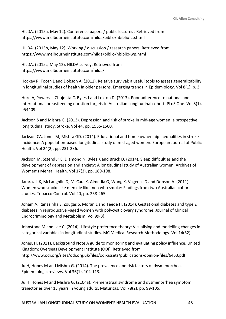HILDA. (2015a, May 12). Conference papers / public lectures . Retrieved from https://www.melbourneinstitute.com/hilda/biblio/hbiblio-cp.html

HILDA. (2015b, May 12). Working / discussion / research papers. Retrieved from https://www.melbourneinstitute.com/hilda/biblio/hbiblio-wp.html

HILDA. (2015c, May 12). HILDA survey. Retrieved from https://www.melbourneinstitute.com/hilda/

Hockey R, Tooth L and Dobson A. (2011). Relative survival: a useful tools to assess generalizability in longitudinal studies of health in older persons. Emerging trends in Epidemiology. Vol 8(1), p. 3

Hure A, Powers J, Chojenta C, Byles J and Loxton D. (2013). Poor adherence to national and international breastfeeding duration targets in Australian Longitudinal cohort. PLoS One. Vol 8(1). e54409.

Jackson S and Mishra G. (2013). Depression and risk of stroke in mid-age women: a prospective longitudinal study. Stroke. Vol 44, pp. 1555-1560.

Jackson CA, Jones M, Mishra GD. (2014). Educational and home ownership inequalities in stroke incidence: A population-based longitudinal study of mid-aged women. European Journal of Public Health. Vol 24(2), pp. 231-236.

Jackson M, Sztendur E, Diamond N, Byles K and Bruck D. (2014). Sleep difficulties and the development of depression and anxiety: A longitudinal study of Australian women. Archives of Women's Mental Health. Vol 17(3), pp. 189-198.

Jamrozik K, McLaughlin D, McCaul K, Almedia O, Wong K, Vagenas D and Dobson A. (2011). Women who smoke like men die like men who smoke: Findings from two Australian cohort studies. Tobacco Control. Vol 20, pp. 258-265.

Joham A, Ranasinha S, Zougas S, Moran L and Teede H. (2014). Gestational diabetes and type 2 diabetes in reproductive –aged women with polycystic ovary syndrome. Journal of Clinical Endrocriminology and Metabolism. Vol 99(3).

Johnstone M and Lee C. (2014). Lifestyle preference theory: Visualising and modelling changes in categorical variables in longitudinal studies. MC Medical Research Methodology. Vol 14(32).

Jones, H. (2011). Background Note A guide to monitoring and evaluating policy influence. United Kingdom: Overseas Development Institute (ODI). Retrieved from http://www.odi.org/sites/odi.org.uk/files/odi-assets/publications-opinion-files/6453.pdf

Ju H, Hones M and Mishra G. (2014). The prevalence and risk factors of dysmenorrhea. Epidemiologic reviews. Vol 36(1), 104-113.

Ju H, Hones M and Mishra G. (2104a). Premenstrual syndrome and dysmenorrhea symptom trajectories over 13 years in young adults. Maturitas. Vol 78(2), pp. 99-105.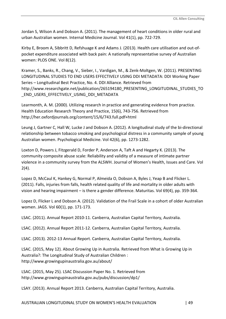Jordan S, Wilson A and Dobson A. (2011). The management of heart conditions in older rural and urban Australian women. Internal Medicine Journal. Vol 41(1), pp. 722-729.

Kirby E, Broom A, Sibbritt D, Refshuage K and Adams J. (2013). Health care utilisation and out-ofpocket expenditure associated with back pain: A nationally representative survey of Australian women: PLOS ONE. Vol 8(12).

Kramer, S., Banks, R., Chang, V., Sieber, I., Vardigan, M., & Zenk-Moltgen, W. (2011). PRESENTING LONGITUDINAL STUDIES TO END USERS EFFECTIVELY USING DDI METADATA: DDI Working Paper Series – Longitudinal Best Practice, No. 4. DDI Alliance. Retrieved from http://www.researchgate.net/publication/265194180\_PRESENTING\_LONGITUDINAL\_STUDIES\_TO \_END\_USERS\_EFFECTIVELY\_USING\_DDI\_METADATA

Learmonth, A. M. (2000). Utilizing research in practice and generating evidence from practice. Health Education Research Theory and Practice, 15(6), 743-756. Retrieved from http://her.oxfordjournals.org/content/15/6/743.full.pdf+html

Leung J, Gartner C, Hall W, Lucke J and Dobson A. (2012). A longitudinal study of the bi-directional relationship between tobacco smoking and psychological distress in a community sample of young Australian women. Psychological Medicine. Vol 42(6), pp. 1273-1282.

Loxton D, Powers J, Fitzgerald D, Forder P, Anderson A, Taft A and Hegarty K. (2013). The community composite abuse scale: Reliability and validity of a measure of intimate partner violence in a community survey from the ALSWH. Journal of Women's Health, Issues and Care. Vol  $2(4)$ .

Lopez D, McCaul K, Hankey G, Normal P, Almeida O, Dobson A, Byles J, Yeap B and Flicker L. (2011). Falls, injuries from falls, health related quality of life and mortality in older adults with vision and hearing impairment – is there a gender difference. Maturitas. Vol 69(4), pp. 359-364.

Lopez D, Flicker L and Dobson A. (2012). Validation of the Frail Scale in a cohort of older Australian women. JAGS. Vol 60(1), pp. 171-173.

LSAC. (2011). Annual Report 2010-11. Canberra, Australian Capital Territory, Australia.

LSAC. (2012). Annual Report 2011-12. Canberra, Australian Capital Territory, Australia.

LSAC. (2013). 2012-13 Annual Report. Canberra, Australian Capital Territory, Australia.

LSAC. (2015, May 12). About Growing Up in Australia. Retrieved from What is Growing Up in Australia?: The Longitudinal Study of Australian Children : http://www.growingupinaustralia.gov.au/about/

LSAC. (2015, May 25). LSAC Discussion Paper No. 1. Retrieved from http://www.growingupinaustralia.gov.au/pubs/discussion/dp1/

LSAY. (2013). Annual Report 2013. Canberra, Australian Capital Territory, Australia.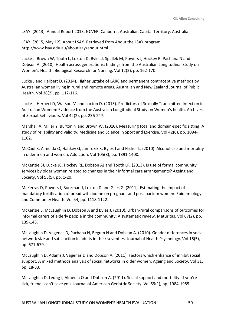LSAY. (2013). Annual Report 2013. NCVER. Canberra, Australian Capital Territory, Australia.

LSAY. (2015, May 12). About LSAY. Retrieved from About the LSAY program: http://www.lsay.edu.au/aboutlsay/about.html

Lucke J, Brown W, Tooth L, Loxton D, Byles J, Spallek M, Powers J, Hockey R, Pachana N and Dobson A. (2010). Health across generations: findings from the Australian Longitudinal Study on Women's Health. Biological Research for Nursing. Vol 12(2), pp. 162-170.

Lucke J and Herbert D. (2014). Higher uptake of LARC and permanent contraceptive methods by Australian women living in rural and remote areas. Australian and New Zealand Journal of Public Health. Vol 38(2), pp. 112-116.

Lucke J, Herbert D, Watson M and Loxton D. (2013). Predictors of Sexually Transmitted Infection in Australian Women: Evidence from the Australian Longitudinal Study on Women's health. Archives of Sexual Behaviours. Vol 42(2), pp. 236-247.

Marshall A, Miller Y, Burton N and Brown W. (2010). Measuring total and domain-specific sitting: A study of reliability and validity. Medicine and Science in Sport and Exercise. Vol 42(6), pp. 1094- 1102.

McCaul K, Almeida O, Hankey G, Jamrozik K, Byles J and Flicker L. (2010). Alcohol use and mortality in older men and women. Addiction. Vol 105(8), pp. 1391-1400.

McKenzie SJ, Lucke JC, Hockey RL, Dobson AJ and Tooth LR. (2013). Is use of formal community services by older women related to changes in their informal care arrangements? Ageing and Society. Vol 55(5), pp. 1-20.

McKerras D, Powers J, Boorman J, Loxton D and Giles G. (2011). Estimating the impact of mandatory fortification of bread with iodine on pregnant and post-partum women. Epidemiology and Community Health. Vol 54, pp. 1118-1122.

McKenzie S, McLaughlin D, Dobson A and Byles J. (2010). Urban-rural comparisons of outcomes for informal carers of elderly people in the community: A systematic review. Maturitas. Vol 67(2), pp. 139-143.

McLaughlin D, Vagenas D, Pachana N, Begum N and Dobson A. (2010). Gender differences in social network size and satisfaction in adults in their seventies. Journal of Health Psychology. Vol 16(5), pp. 671-679.

McLaughlin D, Adams J, Vagenas D and Dobson A. (2011). Factors which enhance of inhibit social support. A mixed methods analysis of social networks in older women. Ageing and Society. Vol 31, pp. 18-33.

McLaughlin D, Leung J, Almedia O and Dobson A. (2011). Social support and mortality: If you're sick, friends can't save you. Journal of American Geriatric Society. Vol 59(1), pp. 1984-1985.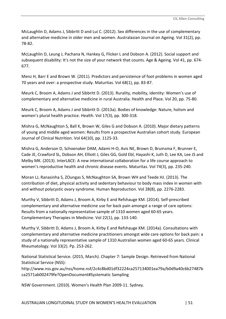McLaughlin D, Adams J, Sibbritt D and Lui C. (2012). Sex differences in the use of complementary and alternative medicine in older men and women. Australasian Journal on Ageing. Vol 31(2), pp. 78-82.

McLaughlin D, Leung J, Pachana N, Hankey G, Flicker L and Dobson A. (2012). Social support and subsequent disability: It's not the size of your network that counts. Age & Ageing. Vol 41, pp. 674- 677.

Menz H, Barr E and Brown W. (2011). Predictors and persistence of foot problems in women aged 70 years and over: a prospective study. Maturitas. Vol 68(1), pp. 83-87.

Meurk C, Broom A, Adams J and Sibbritt D. (2013). Rurality, mobility, identity: Women's use of complementary and alternative medicine in rural Australia. Health and Place. Vol 20, pp. 75-80.

Meurk C, Broom A, Adams J and Sibbritt D. (2013a). Bodies of knowledge: Nature, holism and women's plural health practice. Health. Vol 17(3), pp. 300-318.

Mishra G, McNaughton S, Ball K, Brown W, Giles G and Dobson A. (2010). Major dietary patterns of young and middle aged women: Results from a prospective Australian cohort study. European Journal of Clinical Nutrition. Vol 64(10), pp. 1125-33.

Mishra G, Anderson D, Schoenaker DAM, Adami H-O, Avis NE, Brown D, Bruinsma F, Brunner E, Cade JE, Crawford SL, Dobson AH, Elliott J, Giles GG, Gold Ebl, Hayashi K, Juth D, Lee KA, Lee JS and Melby MK. (2013). InterLACE: A new international collaboration for a life course approach to women's reproductive health and chronic disease events. Maturitas. Vol 74(3), pp. 235-240.

Moran LJ, Ranasinha S, ZOungas S, McNaughton SA, Brown WH and Teede HJ. (2013). The contribution of diet, physical activity and sedentary behaviour to body mass index in women with and without polycystic ovary syndrome. Human Reproduction. Vol 28(8), pp. 2276-2283.

Murthy V, Sibbritt D, Adams J, Broom A, Kirby E and Refshauge KM. (2014). Self-prescribed complementary and alternative medicine use for back pain amongst a range of care options: Results from a nationally representative sample of 1310 women aged 60-65 years. Complementary Therapies in Medicine. Vol 22(1), pp. 133-140.

Murthy V, Sibbritt D, Adams J, Broom A, Kirby E and Refshauge KM. (2014a). Consultations with complementary and alternative medicine practitioners amongst wide care options for back pain: a study of a nationally representative sample of 1310 Australian women aged 60-65 years. Clinical Rheumatology. Vol 33(2). Pp. 253-262.

National Statistical Service. (2015, March). Chapter 7: Sample Design. Retrieved from National Statistical Service (NSS):

http://www.nss.gov.au/nss/home.nsf/2c4c8bd01df32224ca257134001ea79a/b0d9a40c6b27487b ca2571ab002479fe?OpenDocument#Systematic Sampling

NSW Government. (2010). Women's Health Plan 2009-11. Sydney.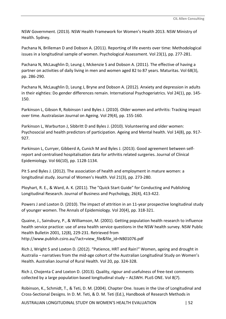NSW Government. (2013). NSW Health Framework for Women's Health 2013. NSW Ministry of Health. Sydney.

Pachana N, Brilleman D and Dobson A. (2011). Reporting of life events over time: Methodological issues in a longitudinal sample of women. Psychological Assessment. Vol 23(1), pp. 277-281.

Pachana N, McLaughlin D, Leung J, Mckenzie S and Dobson A. (2011). The effective of having a partner on activities of daily living in men and women aged 82 to 87 years. Maturitas. Vol 68(3), pp. 286-290.

Pachana N, McLaughlin D, Leung J, Bryne and Dobson A. (2012). Anxiety and depression in adults in their eighties: Do gender differences remain. International Psychogeriatrics. Vol 24(1), pp. 145- 150.

Parkinson L, Gibson R, Robinson I and Byles J. (2010). Older women and arthritis: Tracking impact over time. Australasian Journal on Ageing. Vol 29(4), pp. 155-160.

Parkinson L, Warburton J, Sibbritt D and Byles J. (2010). Volunteering and older women: Psychosocial and health predictors of participation. Ageing and Mental health. Vol 14(8), pp. 917- 927.

Parkinson L, Curryer, Gibberd A, Cunich M and Byles J. (2013). Good agreement between selfreport and centralised hospitalisation data for arthritis related surgeries. Journal of Clinical Epidemiology. Vol 66(10), pp. 1128-1134.

Pit S and Byles J. (2012). The association of health and employment in mature women: a longitudinal study. Journal of Women's Health. Vol 21(3), pp. 273-280.

Ployhart, R. E., & Ward, A. K. (2011). The "Quick Start Guide" for Conducting and Publishing Longitudinal Research. Journal of Business and Psychology, 26(4), 413-422.

Powers J and Loxton D. (2010). The impact of attrition in an 11-year prospective longitudinal study of younger women. The Annals of Epidemiology. Vol 20(4), pp. 318-321.

Quaine, J., Sainsbury, P., & Williamson, M. (2001). Getting population health research to influence health service practice: use of area health service questions in the NSW health survey. NSW Public Health Bulletin 2001, 12(8), 229-231. Retrieved from http://www.publish.csiro.au/?act=view\_file&file\_id=NB01076.pdf

Rich J, Wright S and Loxton D. (2012). "Patience, HRT and Rain!" Women, ageing and drought in Australia – narratives from the mid-age cohort of the Australian Longitudinal Study on Women's Health. Australian Journal of Rural Health. Vol 20, pp. 324-328.

Rich J, Chojenta C and Loxton D. (2013). Quality, rigour and usefulness of free-text comments collected by a large population based longitudinal study – ALSWH. PLoS ONE. Vol 8(7).

Robinson, K., Schmidt, T., & Teti, D. M. (2004). Chapter One. Issues in the Use of Longitudinal and Cross-Sectional Designs. In D. M. Teti, & D. M. Teti (Ed.), Handbook of Research Methods in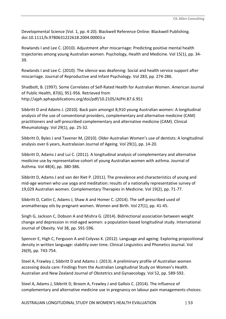Developmental Science (Vol. 1, pp. 4-20). Blackwell Reference Online: Blackwell Publishing. doi:10.1111/b.9780631222618.2004.00003.x

Rowlands I and Lee C. (2010). Adjustment after miscarriage: Predicting positive mental health trajectories among young Australian women. Psychology, Health and Medicine. Vol 15(1), pp. 34- 39.

Rowlands I and Lee C. (2010). The silence was deafening: Social and health service support after miscarriage. Journal of Reproductive and Infant Psychology. Vol 283, pp. 274-286.

Shadbolt, B. (1997). Some Correlates of Self-Rated Health for Australian Women. American Journal of Public Health, 87(6), 951-956. Retrieved from http://ajph.aphapublications.org/doi/pdf/10.2105/AJPH.87.6.951

Sibbritt D and Adams J. (2010). Back pain amongst 8,910 young Australian women: A longitudinal analysis of the use of conventional providers, complementary and alternative medicine (CAM) practitioners and self-prescribed complementary and alternative medicine (CAM). Clinical Rheumatology. Vol 29(1), pp. 25-32.

Sibbritt D, Byles J and Tavener M, (2010). Older Australian Women's use of dentists: A longitudinal analysis over 6 years, Australasian Journal of Ageing. Vol 29(1), pp. 14-20.

Sibbritt D, Adams J and Lui C. (2011). A longitudinal analysis of complementary and alternative medicine use by representative cohort of young Australian women with asthma. Journal of Asthma. Vol 48(4), pp. 380-386.

Sibbritt D, Adams J and van der Riet P. (2011). The prevalence and characteristics of young and mid-age women who use yoga and meditation: results of a nationally representative survey of 19,029 Australian women. Complementary Therapies in Medicine. Vol 19(2), pp. 71-77.

Sibbritt D, Catlin C, Adams J, Shaw A and Homer C. (2014). The self-prescribed used of aromatherapy oils by pregnant women. Women and Birth. Vol 27(1), pp. 41-45.

Singh G, Jackson C, Dobson A and Mishra G. (2014). Bidirectional association between weight change and depression in mid-aged women: a population-based longitudinal study. International Journal of Obesity. Vol 38, pp. 591-596.

Spencer E, High C, Ferguson A and Colyvas K. (2012). Language and ageing: Exploring propositional density in written language: stability over time. Clinical Linguistics and Phonetics Journal. Vol 26(9), pp. 743-754.

Steel A, Frawley J, Sibbritt D and Adams J. (2013). A preliminary profile of Australian women accessing doula care: Findings from the Australian Longitudinal Study on Women's Health. Australian and New Zealand Journal of Obstetrics and Gynaecology. Vol 52, pp. 589-592.

Steel A, Adams J, Sibbritt D, Broom A, Frawley J and Gallois C. (2014). The influence of complementary and alternative medicine use in pregnancy on labour pain managements choices: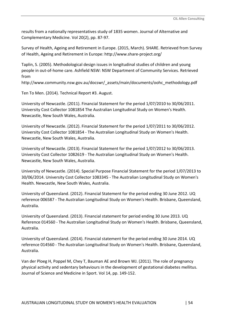results from a nationally representatives study of 1835 women. Journal of Alternative and Complementary Medicine. Vol 20(2), pp. 87-97.

Survey of Health, Ageing and Retirement in Europe. (2015, March). SHARE. Retrieved from Survey of Health, Ageing and Retirement in Europe: http://www.share-project.org/

Taplin, S. (2005). Methodological design issues in longitudinal studies of children and young people in out-of-home care. Ashfield NSW: NSW Department of Community Services. Retrieved from

http://www.community.nsw.gov.au/docswr/\_assets/main/documents/oohc\_methodology.pdf

Ten To Men. (2014). Technical Report #3. August.

University of Newcastle. (2011). Financial Statement for the period 1/07/2010 to 30/06/2011. University Cost Collector 1081854 The Australian Longitudinal Study on Women's Health. Newcastle, New South Wales, Australia.

University of Newcastle. (2012). Financial Statement for the period 1/07/2011 to 30/06/2012. University Cost Collector 1081854 - The Australian Longitudinal Study on Women's Health. Newcastle, New South Wales, Australia.

University of Newcastle. (2013). Financial Statement for the period 1/07/2012 to 30/06/2013. University Cost Collector 1082619 - The Australian Longitudinal Study on Women's Health. Newcastle, New South Wales, Australia.

University of Newcastle. (2014). Special Purpose Financial Statement for the period 1/07/2013 to 30/06/2014. University Cost Collector 1083345 - The Australian Longitudinal Study on Women's Health. Newcastle, New South Wales, Australia.

University of Queensland. (2012). Financial Statement for the period ending 30 June 2012. UQ reference 006587 - The Australian Longitudinal Study on Women's Health. Brisbane, Queensland, Australia.

University of Queensland. (2013). Financial statement for period ending 30 June 2013. UQ Reference 014560 - The Australian Longitudinal Study on Women's Health. Brisbane, Queensland, Australia.

University of Queensland. (2014). Financial statement for the period ending 30 June 2014. UQ reference 014560 - The Australian Longitudinal Study on Women's Health. Brisbane, Queensland, Australia.

Van der Ploeg H, Poppel M, Chey T, Bauman AE and Brown WJ. (2011). The role of pregnancy physical activity and sedentary behaviours in the development of gestational diabetes mellitus. Journal of Science and Medicine in Sport. Vol 14, pp. 149-152.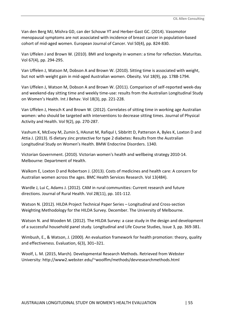Van den Berg MJ, Mishra GD, can der Schouw YT and Herber-Gast GC. (2014). Vasomotor menopausal symptoms are not associated with incidence of breast cancer in population-based cohort of mid-aged women. European Journal of Cancer. Vol 50(4), pp. 824-830.

Van Uffelen J and Brown W. (2010). BMI and longevity in women: a time for reflection. Maturitas. Vol 67(4), pp. 294-295.

Van Uffelen J, Watson M, Dobson A and Brown W. (2010). Sitting time is associated with weight, but not with weight gain in mid-aged Australian women. Obesity. Vol 18(9), pp. 1788-1794.

Van Uffelen J, Watson M, Dobson A and Brown W. (2011). Comparison of self-reported week-day and weekend-day sitting time and weekly time-use: results from the Australian Longitudinal Study on Women's Health. Int J Behav. Vol 18(3), pp. 221-228.

Van Uffelen J, Heesch K and Brown W. (2012). Correlates of sitting time in working age Australian women: who should be targeted with interventions to decrease sitting times. Journal of Physical Activity and Health. Vol 9(2), pp. 270-287.

Vashum K, McEvoy M, Zumin S, HAsnat M, Rafiqul I, Sibbritt D, Patterson A, Byles K, Loxton D and Attia J. (2013). IS dietary zinc protective for type 2 diabetes: Results from the Australian Longitudinal Study on Women's Health. BMW Endocrine Disorders. 1340.

Victorian Government. (2010). Victorian women's health and wellbeing strategy 2010-14. Melbourne: Department of Health.

Walkom E, Loxton D and Robertson J. (2013). Costs of medicines and health care: A concern for Australian women across the ages. BMC Health Services Research. Vol 13(484).

Wardle J, Lui C, Adams J. (2012). CAM in rural communities: Current research and future directions. Journal of Rural Health. Vol 28(11), pp. 101-112.

Watson N. (2012). HILDA Project Technical Paper Series – Longitudinal and Cross-section Weighting Methodology for the HILDA Survey. December. The University of Melbourne.

Watson N. and Wooden M. (2012). The HILDA Survey: a case study in the design and development of a successful household panel study. Longitudinal and Life Course Studies, Issue 3, pp. 369-381.

Wimbush, E., & Watson, J. (2000). An evaluation framework for health promotion: theory, quality and effectiveness. Evaluation, 6(3), 301–321.

Woolf, L. M. (2015, March). Developmental Research Methods. Retrieved from Webster University: http://www2.webster.edu/~woolflm/methods/devresearchmethods.html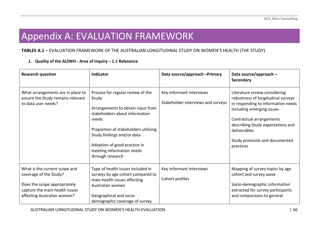# Appendix A: EVALUATION FRAMEWORK

## **TABLES A.1** – EVALUATION FRAMEWORK OF THE AUSTRALIAN LONGITUDINAL STUDY ON WOMEN'S HEALTH (THE STUDY)

**1. Quality of the ALSWH - Area of inquiry – 1.1 Relevance**

| <b>Research question</b>                                                                                                                                 | <b>Indicator</b>                                                                                                                                                                                                                                                                  | Data source/approach -Primary                                  | Data source/approach -<br>Secondary                                                                                                                                                                                                                                    |
|----------------------------------------------------------------------------------------------------------------------------------------------------------|-----------------------------------------------------------------------------------------------------------------------------------------------------------------------------------------------------------------------------------------------------------------------------------|----------------------------------------------------------------|------------------------------------------------------------------------------------------------------------------------------------------------------------------------------------------------------------------------------------------------------------------------|
| What arrangements are in place to<br>ensure the Study remains relevant<br>to data user needs?                                                            | Process for regular review of the<br>Study<br>Arrangements to obtain input from<br>stakeholders about information<br>needs<br>Proportion of stakeholders utilising<br>Study findings and/or data<br>Adoption of good practice in<br>meeting information needs<br>through research | Key informant interviews<br>Stakeholder interviews and surveys | Literature review considering<br>robustness of longitudinal surveys<br>in responding to information needs<br>including emerging issues<br>Contractual arrangements<br>describing Study expectations and<br>deliverables<br>Study protocols and documented<br>practices |
| What is the current scope and<br>coverage of the Study?<br>Does the scope appropriately<br>capture the main health issues<br>affecting Australian women? | Type of health issues included in<br>surveys by age cohort compared to<br>main health issues affecting<br>Australian women<br>Geographical and socio-<br>demographic coverage of survey                                                                                           | Key informant interviews<br>Cohort profiles                    | Mapping of survey topics by age<br>cohort and survey wave<br>Socio-demographic information<br>extracted for survey participants<br>and comparisons to general                                                                                                          |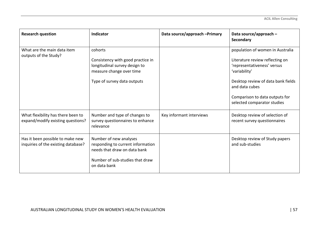| <b>Research question</b>                                                | Indicator                                                                                                                                      | Data source/approach -Primary | Data source/approach -<br>Secondary                                                                                                                                                                                                          |
|-------------------------------------------------------------------------|------------------------------------------------------------------------------------------------------------------------------------------------|-------------------------------|----------------------------------------------------------------------------------------------------------------------------------------------------------------------------------------------------------------------------------------------|
| What are the main data item<br>outputs of the Study?                    | cohorts<br>Consistency with good practice in<br>longitudinal survey design to<br>measure change over time<br>Type of survey data outputs       |                               | population of women in Australia<br>Literature review reflecting on<br>'representativeness' versus<br>'variability'<br>Desktop review of data bank fields<br>and data cubes<br>Comparison to data outputs for<br>selected comparator studies |
| What flexibility has there been to<br>expand/modify existing questions? | Number and type of changes to<br>survey questionnaires to enhance<br>relevance                                                                 | Key informant interviews      | Desktop review of selection of<br>recent survey questionnaires                                                                                                                                                                               |
| Has it been possible to make new<br>inquiries of the existing database? | Number of new analyses<br>responding to current information<br>needs that draw on data bank<br>Number of sub-studies that draw<br>on data bank |                               | Desktop review of Study papers<br>and sub-studies                                                                                                                                                                                            |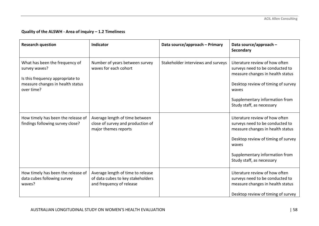## **Quality of the ALSWH - Area of inquiry – 1.2 Timeliness**

| <b>Research question</b>                                                                                                              | Indicator                                                                                          | Data source/approach - Primary     | Data source/approach -<br><b>Secondary</b>                                                                                                                                                                          |
|---------------------------------------------------------------------------------------------------------------------------------------|----------------------------------------------------------------------------------------------------|------------------------------------|---------------------------------------------------------------------------------------------------------------------------------------------------------------------------------------------------------------------|
| What has been the frequency of<br>survey waves?<br>Is this frequency appropriate to<br>measure changes in health status<br>over time? | Number of years between survey<br>waves for each cohort                                            | Stakeholder interviews and surveys | Literature review of how often<br>surveys need to be conducted to<br>measure changes in health status<br>Desktop review of timing of survey<br>waves<br>Supplementary information from<br>Study staff, as necessary |
| How timely has been the release of<br>findings following survey close?                                                                | Average length of time between<br>close of survey and production of<br>major themes reports        |                                    | Literature review of how often<br>surveys need to be conducted to<br>measure changes in health status<br>Desktop review of timing of survey<br>waves<br>Supplementary information from<br>Study staff, as necessary |
| How timely has been the release of<br>data cubes following survey<br>waves?                                                           | Average length of time to release<br>of data cubes to key stakeholders<br>and frequency of release |                                    | Literature review of how often<br>surveys need to be conducted to<br>measure changes in health status<br>Desktop review of timing of survey                                                                         |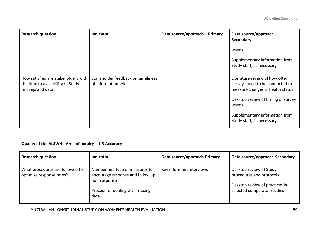| <b>Research question</b>                                                                       | <b>Indicator</b>                                             | Data source/approach - Primary | Data source/approach -<br>Secondary                                                                   |
|------------------------------------------------------------------------------------------------|--------------------------------------------------------------|--------------------------------|-------------------------------------------------------------------------------------------------------|
|                                                                                                |                                                              |                                | waves<br>Supplementary information from<br>Study staff, as necessary                                  |
| How satisfied are stakeholders with<br>the time to availability of Study<br>findings and data? | Stakeholder feedback on timeliness<br>of information release |                                | Literature review of how often<br>surveys need to be conducted to<br>measure changes in health status |
|                                                                                                |                                                              |                                | Desktop review of timing of survey<br>waves                                                           |
|                                                                                                |                                                              |                                | Supplementary information from<br>Study staff, as necessary                                           |

#### **Quality of the ALSWH - Area of inquiry – 1.3 Accuracy**

| <b>Research question</b>                                    | Indicator                                                                                                                      | Data source/approach-Primary | Data source/approach-Secondary                                                                                       |
|-------------------------------------------------------------|--------------------------------------------------------------------------------------------------------------------------------|------------------------------|----------------------------------------------------------------------------------------------------------------------|
| What procedures are followed to<br>optimise response rates? | Number and type of measures to<br>encourage response and follow up<br>non-response<br>Process for dealing with missing<br>data | Key informant interviews     | Desktop review of Study<br>procedures and protocols<br>Desktop review of practices in<br>selected comparator studies |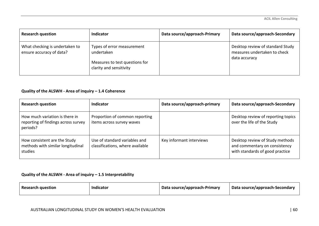| <b>Research question</b>                                   | Indicator                                                                                             | Data source/approach-Primary | Data source/approach-Secondary                                                    |
|------------------------------------------------------------|-------------------------------------------------------------------------------------------------------|------------------------------|-----------------------------------------------------------------------------------|
| What checking is undertaken to<br>ensure accuracy of data? | Types of error measurement<br>undertaken<br>Measures to test questions for<br>clarity and sensitivity |                              | Desktop review of standard Study<br>measures undertaken to check<br>data accuracy |

#### **Quality of the ALSWH - Area of inquiry – 1.4 Coherence**

| <b>Research question</b>                                                          | <b>Indicator</b>                                                  | Data source/approach-primary | Data source/approach-Secondary                                                                      |
|-----------------------------------------------------------------------------------|-------------------------------------------------------------------|------------------------------|-----------------------------------------------------------------------------------------------------|
| How much variation is there in<br>reporting of findings across survey<br>periods? | Proportion of common reporting<br>items across survey waves       |                              | Desktop review of reporting topics<br>over the life of the Study                                    |
| How consistent are the Study<br>methods with similar longitudinal<br>studies      | Use of standard variables and<br>classifications, where available | Key informant interviews     | Desktop review of Study methods<br>and commentary on consistency<br>with standards of good practice |

#### **Quality of the ALSWH - Area of inquiry – 1.5 Interpretability**

| <b>Research question</b><br>Indicator | Data source/approach-Primary | Data source/approach-Secondary |
|---------------------------------------|------------------------------|--------------------------------|
|---------------------------------------|------------------------------|--------------------------------|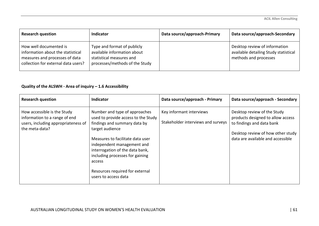| <b>Research question</b>                                                                                                             | <b>Indicator</b>                                                                                                         | Data source/approach-Primary | Data source/approach-Secondary                                                                  |
|--------------------------------------------------------------------------------------------------------------------------------------|--------------------------------------------------------------------------------------------------------------------------|------------------------------|-------------------------------------------------------------------------------------------------|
| How well documented is<br>information about the statistical<br>measures and processes of data<br>collection for external data users? | Type and format of publicly<br>available information about<br>statistical measures and<br>processes/methods of the Study |                              | Desktop review of information<br>available detailing Study statistical<br>methods and processes |

#### **Quality of the ALSWH - Area of inquiry – 1.6 Accessibility**

| <b>Research question</b>                                                                                              | <b>Indicator</b>                                                                                                                                                                                                                                                                                                                     | Data source/approach - Primary                                 | Data source/approach - Secondary                                                                                                                                        |
|-----------------------------------------------------------------------------------------------------------------------|--------------------------------------------------------------------------------------------------------------------------------------------------------------------------------------------------------------------------------------------------------------------------------------------------------------------------------------|----------------------------------------------------------------|-------------------------------------------------------------------------------------------------------------------------------------------------------------------------|
| How accessible is the Study<br>information to a range of end<br>users, including appropriateness of<br>the meta-data? | Number and type of approaches<br>used to provide access to the Study<br>findings and summary data by<br>target audience<br>Measures to facilitate data user<br>independent management and<br>interrogation of the data bank,<br>including processes for gaining<br>access<br>Resources required for external<br>users to access data | Key informant interviews<br>Stakeholder interviews and surveys | Desktop review of the Study<br>products designed to allow access<br>to findings and data bank<br>Desktop review of how other study<br>data are available and accessible |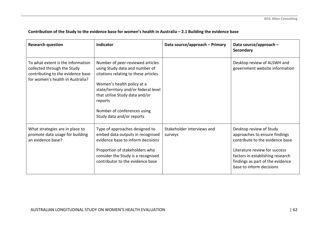| <b>Research question</b>                                                                                                                  | Indicator                                                                                                                                                                                                                                                                                 | Data source/approach - Primary        | Data source/approach -<br>Secondary                                                                                                                                                                                              |
|-------------------------------------------------------------------------------------------------------------------------------------------|-------------------------------------------------------------------------------------------------------------------------------------------------------------------------------------------------------------------------------------------------------------------------------------------|---------------------------------------|----------------------------------------------------------------------------------------------------------------------------------------------------------------------------------------------------------------------------------|
| To what extent is the information<br>collected through the Study<br>contributing to the evidence base<br>for women's health in Australia? | Number of peer-reviewed articles<br>using Study data and number of<br>citations relating to these articles<br>Women's health policy at a<br>state/territory and/or federal level<br>that utilise Study data and/or<br>reports<br>Number of conferences using<br>Study data and/or reports |                                       | Desktop review of ALSWH and<br>government website information                                                                                                                                                                    |
| What strategies are in place to<br>promote data usage for building<br>an evidence base?                                                   | Type of approaches designed to<br>embed data outputs in recognised<br>evidence base to inform decisions<br>Proportion of stakeholders who<br>consider the Study is a recognised<br>contributor to the evidence base                                                                       | Stakeholder interviews and<br>surveys | Desktop review of Study<br>approaches to ensure findings<br>contribute to the evidence base<br>Literature review for success<br>factors in establishing research<br>findings as part of the evidence<br>base to inform decisions |

#### **Contribution of the Study to the evidence base for women's health in Australia – 2.1 Building the evidence base**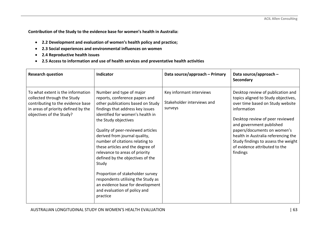**Contribution of the Study to the evidence base for women's health in Australia:**

- **2.2 Development and evaluation of women's health policy and practice;**
- **2.3 Social experiences and environmental influences on women**
- **2.4 Reproductive health issues**
- **2.5 Access to information and use of health services and preventative health activities**

| <b>Research question</b>                                                                                                                                                 | Indicator                                                                                                                                                                                                                                                                                                                                                                                                                                                                                                                                                                             | Data source/approach - Primary                                    | Data source/approach -<br>Secondary                                                                                                                                                                                                                                                                                                                  |
|--------------------------------------------------------------------------------------------------------------------------------------------------------------------------|---------------------------------------------------------------------------------------------------------------------------------------------------------------------------------------------------------------------------------------------------------------------------------------------------------------------------------------------------------------------------------------------------------------------------------------------------------------------------------------------------------------------------------------------------------------------------------------|-------------------------------------------------------------------|------------------------------------------------------------------------------------------------------------------------------------------------------------------------------------------------------------------------------------------------------------------------------------------------------------------------------------------------------|
| To what extent is the information<br>collected through the Study<br>contributing to the evidence base<br>in areas of priority defined by the<br>objectives of the Study? | Number and type of major<br>reports, conference papers and<br>other publications based on Study<br>findings that address key issues<br>identified for women's health in<br>the Study objectives<br>Quality of peer-reviewed articles<br>derived from journal quality,<br>number of citations relating to<br>these articles and the degree of<br>relevance to areas of priority<br>defined by the objectives of the<br>Study<br>Proportion of stakeholder survey<br>respondents utilising the Study as<br>an evidence base for development<br>and evaluation of policy and<br>practice | Key informant interviews<br>Stakeholder interviews and<br>surveys | Desktop review of publication and<br>topics aligned to Study objectives,<br>over time based on Study website<br>information<br>Desktop review of peer reviewed<br>and government published<br>papers/documents on women's<br>health in Australia referencing the<br>Study findings to assess the weight<br>of evidence attributed to the<br>findings |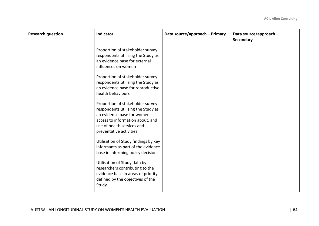| <b>Research question</b><br>Indicator                                                                                                                                                                                                                                                                                                                                                                                                                                                                                                                                                                                                                                                                                                                | Data source/approach - Primary | Data source/approach -<br>Secondary |
|------------------------------------------------------------------------------------------------------------------------------------------------------------------------------------------------------------------------------------------------------------------------------------------------------------------------------------------------------------------------------------------------------------------------------------------------------------------------------------------------------------------------------------------------------------------------------------------------------------------------------------------------------------------------------------------------------------------------------------------------------|--------------------------------|-------------------------------------|
| Proportion of stakeholder survey<br>respondents utilising the Study as<br>an evidence base for external<br>influences on women<br>Proportion of stakeholder survey<br>respondents utilising the Study as<br>an evidence base for reproductive<br>health behaviours<br>Proportion of stakeholder survey<br>respondents utilising the Study as<br>an evidence base for women's<br>access to information about, and<br>use of health services and<br>preventative activities<br>Utilisation of Study findings by key<br>informants as part of the evidence<br>base in informing policy decisions<br>Utilisation of Study data by<br>researchers contributing to the<br>evidence base in areas of priority<br>defined by the objectives of the<br>Study. |                                |                                     |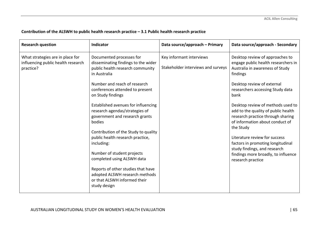| Contribution of the ALSWH to public health research practice $-3.1$ Public health research practice |
|-----------------------------------------------------------------------------------------------------|
|-----------------------------------------------------------------------------------------------------|

| <b>Research question</b>                                                            | <b>Indicator</b>                                                                                                                                                                                                                                                                                                                                                                                                                                                                                                                                                                                               | Data source/approach - Primary                                 | Data source/approach - Secondary                                                                                                                                                                                                                                                                                                                                                                                                                                                                                                   |
|-------------------------------------------------------------------------------------|----------------------------------------------------------------------------------------------------------------------------------------------------------------------------------------------------------------------------------------------------------------------------------------------------------------------------------------------------------------------------------------------------------------------------------------------------------------------------------------------------------------------------------------------------------------------------------------------------------------|----------------------------------------------------------------|------------------------------------------------------------------------------------------------------------------------------------------------------------------------------------------------------------------------------------------------------------------------------------------------------------------------------------------------------------------------------------------------------------------------------------------------------------------------------------------------------------------------------------|
| What strategies are in place for<br>influencing public health research<br>practice? | Documented processes for<br>disseminating findings to the wider<br>public health research community<br>in Australia<br>Number and reach of research<br>conferences attended to present<br>on Study findings<br>Established avenues for influencing<br>research agendas/strategies of<br>government and research grants<br>bodies<br>Contribution of the Study to quality<br>public health research practice,<br>including:<br>Number of student projects<br>completed using ALSWH data<br>Reports of other studies that have<br>adopted ALSWH research methods<br>or that ALSWH informed their<br>study design | Key informant interviews<br>Stakeholder interviews and surveys | Desktop review of approaches to<br>engage public health researchers in<br>Australia in awareness of Study<br>findings<br>Desktop review of external<br>researchers accessing Study data<br>bank<br>Desktop review of methods used to<br>add to the quality of public health<br>research practice through sharing<br>of information about conduct of<br>the Study<br>Literature review for success<br>factors in promoting longitudinal<br>study findings, and research<br>findings more broadly, to influence<br>research practice |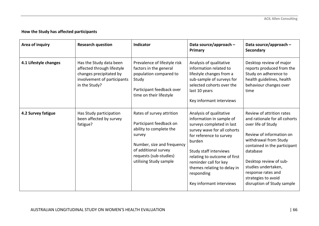#### **How the Study has affected participants**

| Area of inquiry       | <b>Research question</b>                                                                                                         | Indicator                                                                                                                                                                                           | Data source/approach -<br>Primary                                                                                                                                                                                                                                                                                | Data source/approach -<br>Secondary                                                                                                                                                                                                                                                                           |
|-----------------------|----------------------------------------------------------------------------------------------------------------------------------|-----------------------------------------------------------------------------------------------------------------------------------------------------------------------------------------------------|------------------------------------------------------------------------------------------------------------------------------------------------------------------------------------------------------------------------------------------------------------------------------------------------------------------|---------------------------------------------------------------------------------------------------------------------------------------------------------------------------------------------------------------------------------------------------------------------------------------------------------------|
| 4.1 Lifestyle changes | Has the Study data been<br>affected through lifestyle<br>changes precipitated by<br>involvement of participants<br>in the Study? | Prevalence of lifestyle risk<br>factors in the general<br>population compared to<br>Study<br>Participant feedback over<br>time on their lifestyle                                                   | Analysis of qualitative<br>information related to<br>lifestyle changes from a<br>sub-sample of surveys for<br>selected cohorts over the<br>last 10 years<br>Key informant interviews                                                                                                                             | Desktop review of major<br>reports produced from the<br>Study on adherence to<br>health guidelines, health<br>behaviour changes over<br>time                                                                                                                                                                  |
| 4.2 Survey fatigue    | Has Study participation<br>been affected by survey<br>fatigue?                                                                   | Rates of survey attrition<br>Participant feedback on<br>ability to complete the<br>survey<br>Number, size and frequency<br>of additional survey<br>requests (sub-studies)<br>utilising Study sample | Analysis of qualitative<br>information in sample of<br>surveys completed in last<br>survey wave for all cohorts<br>for reference to survey<br>burden<br>Study staff interviews<br>relating to outcome of first<br>reminder call for key<br>themes relating to delay in<br>responding<br>Key informant interviews | Review of attrition rates<br>and rationale for all cohorts<br>over life of Study<br>Review of information on<br>withdrawal from Study<br>contained in the participant<br>database<br>Desktop review of sub-<br>studies undertaken,<br>response rates and<br>strategies to avoid<br>disruption of Study sample |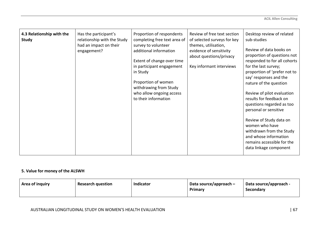| 4.3 Relationship with the<br><b>Study</b> | Has the participant's<br>relationship with the Study<br>had an impact on their<br>engagement? | Proportion of respondents<br>completing free text area of<br>survey to volunteer<br>additional information<br>Extent of change over time<br>in participant engagement<br>in Study<br>Proportion of women<br>withdrawing from Study<br>who allow ongoing access<br>to their information | Review of free text section<br>of selected surveys for key<br>themes, utilisation,<br>evidence of sensitivity<br>about questions/privacy<br>Key informant interviews | Desktop review of related<br>sub-studies<br>Review of data books on<br>proportion of questions not<br>responded to for all cohorts<br>for the last survey;<br>proportion of 'prefer not to<br>say' responses and the<br>nature of the question<br>Review of pilot evaluation<br>results for feedback on<br>questions regarded as too<br>personal or sensitive<br>Review of Study data on<br>women who have<br>withdrawn from the Study<br>and whose information<br>remains accessible for the<br>data linkage component |
|-------------------------------------------|-----------------------------------------------------------------------------------------------|----------------------------------------------------------------------------------------------------------------------------------------------------------------------------------------------------------------------------------------------------------------------------------------|----------------------------------------------------------------------------------------------------------------------------------------------------------------------|-------------------------------------------------------------------------------------------------------------------------------------------------------------------------------------------------------------------------------------------------------------------------------------------------------------------------------------------------------------------------------------------------------------------------------------------------------------------------------------------------------------------------|
|-------------------------------------------|-----------------------------------------------------------------------------------------------|----------------------------------------------------------------------------------------------------------------------------------------------------------------------------------------------------------------------------------------------------------------------------------------|----------------------------------------------------------------------------------------------------------------------------------------------------------------------|-------------------------------------------------------------------------------------------------------------------------------------------------------------------------------------------------------------------------------------------------------------------------------------------------------------------------------------------------------------------------------------------------------------------------------------------------------------------------------------------------------------------------|

#### **5. Value for money of the ALSWH**

| Area of inquiry | Research question | Indicator | Data source/approach –<br>Primary | Data source/approach -<br><b>Secondary</b> |
|-----------------|-------------------|-----------|-----------------------------------|--------------------------------------------|
|-----------------|-------------------|-----------|-----------------------------------|--------------------------------------------|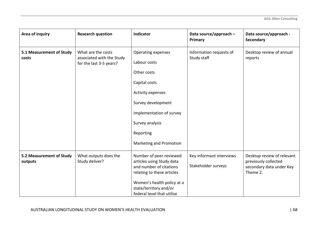| Area of inquiry                     | <b>Research question</b>                                                   | Indicator                                                                                                                                                                                                                      | Data source/approach -<br>Primary               | Data source/approach -<br><b>Secondary</b>                                                 |
|-------------------------------------|----------------------------------------------------------------------------|--------------------------------------------------------------------------------------------------------------------------------------------------------------------------------------------------------------------------------|-------------------------------------------------|--------------------------------------------------------------------------------------------|
| 5.1 Measurement of Study<br>costs   | What are the costs<br>associated with the Study<br>for the last 3-5 years? | Operating expenses<br>Labour costs<br>Other costs<br>Capital costs<br>Activity expenses<br>Survey development<br>Implementation of survey<br>Survey analysis<br>Reporting                                                      | Information requests of<br>Study staff          | Desktop review of annual<br>reports                                                        |
| 5.2 Measurement of Study<br>outputs | What outputs does the<br>Study deliver?                                    | Marketing and Promotion<br>Number of peer-reviewed<br>articles using Study data<br>and number of citations<br>relating to these articles<br>Women's health policy at a<br>state/territory and/or<br>federal level that utilise | Key informant interviews<br>Stakeholder surveys | Desktop review of relevant<br>previously collected<br>secondary data under Key<br>Theme 2. |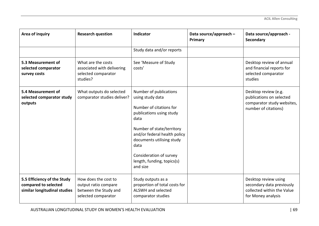| Area of inquiry                                                                     | <b>Research question</b>                                                                     | Indicator                                                                                                                                                                                                                                                                        | Data source/approach -<br>Primary | Data source/approach -<br><b>Secondary</b>                                                             |
|-------------------------------------------------------------------------------------|----------------------------------------------------------------------------------------------|----------------------------------------------------------------------------------------------------------------------------------------------------------------------------------------------------------------------------------------------------------------------------------|-----------------------------------|--------------------------------------------------------------------------------------------------------|
|                                                                                     |                                                                                              | Study data and/or reports                                                                                                                                                                                                                                                        |                                   |                                                                                                        |
| 5.3 Measurement of<br>selected comparator<br>survey costs                           | What are the costs<br>associated with delivering<br>selected comparator<br>studies?          | See 'Measure of Study<br>costs'                                                                                                                                                                                                                                                  |                                   | Desktop review of annual<br>and financial reports for<br>selected comparator<br>studies                |
| 5.4 Measurement of<br>selected comparator study<br>outputs                          | What outputs do selected<br>comparator studies deliver?                                      | Number of publications<br>using study data<br>Number of citations for<br>publications using study<br>data<br>Number of state/territory<br>and/or federal health policy<br>documents utilising study<br>data<br>Consideration of survey<br>length, funding, topics(s)<br>and size |                                   | Desktop review (e.g.<br>publications on selected<br>comparator study websites,<br>number of citations) |
| 5.5 Efficiency of the Study<br>compared to selected<br>similar longitudinal studies | How does the cost to<br>output ratio compare<br>between the Study and<br>selected comparator | Study outputs as a<br>proportion of total costs for<br>ALSWH and selected<br>comparator studies                                                                                                                                                                                  |                                   | Desktop review using<br>secondary data previously<br>collected within the Value<br>for Money analysis  |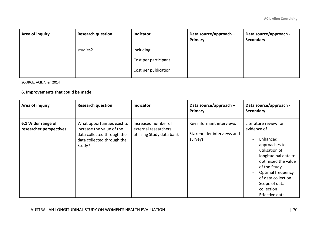| Area of inquiry | <b>Research question</b> | <b>Indicator</b>     | Data source/approach -<br>Primary | Data source/approach -<br>Secondary |
|-----------------|--------------------------|----------------------|-----------------------------------|-------------------------------------|
|                 | studies?                 | including:           |                                   |                                     |
|                 |                          | Cost per participant |                                   |                                     |
|                 |                          | Cost per publication |                                   |                                     |

SOURCE: ACIL Allen 2014

#### **6. Improvements that could be made**

| Area of inquiry                               | <b>Research question</b>                                                                                                       | <b>Indicator</b>                                                         | Data source/approach -<br>Primary                                 | Data source/approach -<br><b>Secondary</b>                                                                                                                                                                                                                                           |
|-----------------------------------------------|--------------------------------------------------------------------------------------------------------------------------------|--------------------------------------------------------------------------|-------------------------------------------------------------------|--------------------------------------------------------------------------------------------------------------------------------------------------------------------------------------------------------------------------------------------------------------------------------------|
| 6.1 Wider range of<br>researcher perspectives | What opportunities exist to<br>increase the value of the<br>data collected through the<br>data collected through the<br>Study? | Increased number of<br>external researchers<br>utilising Study data bank | Key informant interviews<br>Stakeholder interviews and<br>surveys | Literature review for<br>evidence of<br>Enhanced<br>approaches to<br>utilisation of<br>longitudinal data to<br>optimised the value<br>of the Study<br>Optimal frequency<br>$\sim$<br>of data collection<br>Scope of data<br>collection<br>Effective data<br>$\overline{\phantom{a}}$ |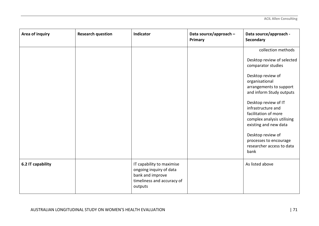| Area of inquiry   | <b>Research question</b> | <b>Indicator</b>                                                                                                  | Data source/approach -<br>Primary | Data source/approach -<br>Secondary                                                                                                                                                                                                                                                                                    |
|-------------------|--------------------------|-------------------------------------------------------------------------------------------------------------------|-----------------------------------|------------------------------------------------------------------------------------------------------------------------------------------------------------------------------------------------------------------------------------------------------------------------------------------------------------------------|
|                   |                          |                                                                                                                   |                                   | collection methods<br>Desktop review of selected<br>comparator studies<br>Desktop review of<br>organisational<br>arrangements to support<br>and inform Study outputs<br>Desktop review of IT<br>infrastructure and<br>facilitation of more<br>complex analysis utilising<br>existing and new data<br>Desktop review of |
|                   |                          |                                                                                                                   |                                   | processes to encourage<br>researcher access to data<br>bank                                                                                                                                                                                                                                                            |
| 6.2 IT capability |                          | IT capability to maximise<br>ongoing inquiry of data<br>bank and improve<br>timeliness and accuracy of<br>outputs |                                   | As listed above                                                                                                                                                                                                                                                                                                        |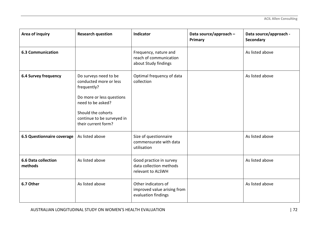| Area of inquiry                       | <b>Research question</b>                                                                                                                                                                    | Indicator                                                                 | Data source/approach -<br>Primary | Data source/approach -<br><b>Secondary</b> |
|---------------------------------------|---------------------------------------------------------------------------------------------------------------------------------------------------------------------------------------------|---------------------------------------------------------------------------|-----------------------------------|--------------------------------------------|
| <b>6.3 Communication</b>              |                                                                                                                                                                                             | Frequency, nature and<br>reach of communication<br>about Study findings   |                                   | As listed above                            |
| <b>6.4 Survey frequency</b>           | Do surveys need to be<br>conducted more or less<br>frequently?<br>Do more or less questions<br>need to be asked?<br>Should the cohorts<br>continue to be surveyed in<br>their current form? | Optimal frequency of data<br>collection                                   |                                   | As listed above                            |
| <b>6.5 Questionnaire coverage</b>     | As listed above                                                                                                                                                                             | Size of questionnaire<br>commensurate with data<br>utilisation            |                                   | As listed above                            |
| <b>6.6 Data collection</b><br>methods | As listed above                                                                                                                                                                             | Good practice in survey<br>data collection methods<br>relevant to ALSWH   |                                   | As listed above                            |
| 6.7 Other                             | As listed above                                                                                                                                                                             | Other indicators of<br>improved value arising from<br>evaluation findings |                                   | As listed above                            |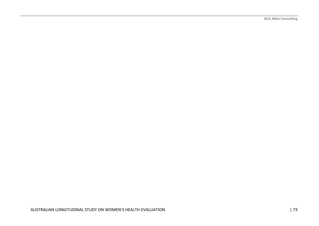**ACIL Allen Consulting**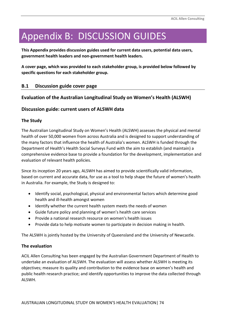## Appendix B: DISCUSSION GUIDES

**This Appendix provides discussion guides used for current data users, potential data users, government health leaders and non-government health leaders.** 

**A cover page, which was provided to each stakeholder group, is provided below followed by specific questions for each stakeholder group.** 

#### **B.1 Discussion guide cover page**

#### **Evaluation of the Australian Longitudinal Study on Women's Health (ALSWH)**

#### **Discussion guide: current users of ALSWH data**

#### **The Study**

The Australian Longitudinal Study on Women's Health (ALSWH) assesses the physical and mental health of over 50,000 women from across Australia and is designed to support understanding of the many factors that influence the health of Australia's women. ALSWH is funded through the Department of Health's Health Social Surveys Fund with the aim to establish (and maintain) a comprehensive evidence base to provide a foundation for the development, implementation and evaluation of relevant health policies.

Since its inception 20 years ago, ALSWH has aimed to provide scientifically valid information, based on current and accurate data, for use as a tool to help shape the future of women's health in Australia. For example, the Study is designed to:

- Identify social, psychological, physical and environmental factors which determine good health and ill-health amongst women
- Identify whether the current health system meets the needs of women
- Guide future policy and planning of women's health care services
- Provide a national research resource on women's health issues
- Provide data to help motivate women to participate in decision making in health.

The ALSWH is jointly hosted by the University of Queensland and the University of Newcastle.

#### **The evaluation**

ACIL Allen Consulting has been engaged by the Australian Government Department of Health to undertake an evaluation of ALSWH. The evaluation will assess whether ALSWH is meeting its objectives; measure its quality and contribution to the evidence base on women's health and public health research practice; and identify opportunities to improve the data collected through ALSWH.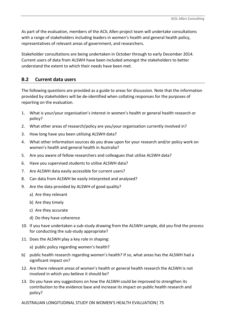As part of the evaluation, members of the ACIL Allen project team will undertake consultations with a range of stakeholders including leaders in women's health and general health policy, representatives of relevant areas of government, and researchers.

Stakeholder consultations are being undertaken in October through to early December 2014. Current users of data from ALSWH have been included amongst the stakeholders to better understand the extent to which their needs have been met.

#### **B.2 Current data users**

The following questions are provided as a guide to areas for discussion. Note that the information provided by stakeholders will be de-identified when collating responses for the purposes of reporting on the evaluation.

- 1. What is your/your organisation's interest in women's health or general health research or policy?
- 2. What other areas of research/policy are you/your organisation currently involved in?
- 3. How long have you been utilising ALSWH data?
- 4. What other information sources do you draw upon for your research and/or policy work on women's health and general health in Australia?
- 5. Are you aware of fellow researchers and colleagues that utilise ALSWH data?
- 6. Have you supervised students to utilise ALSWH data?
- 7. Are ALSWH data easily accessible for current users?
- 8. Can data from ALSWH be easily interpreted and analysed?
- 9. Are the data provided by ALSWH of good quality?
	- a) Are they relevant
	- b) Are they timely
	- c) Are they accurate
	- d) Do they have coherence
- 10. If you have undertaken a sub-study drawing from the ALSWH sample, did you find the process for conducting the sub-study appropriate?
- 11. Does the ALSWH play a key role in shaping:
	- a) public policy regarding women's health?
- b) public health research regarding women's health? If so, what areas has the ALSWH had a significant impact on?
- 12. Are there relevant areas of women's health or general health research the ALSWH is not involved in which you believe it should be?
- 13. Do you have any suggestions on how the ALSWH could be improved to strengthen its contribution to the evidence base and increase its impact on public health research and policy?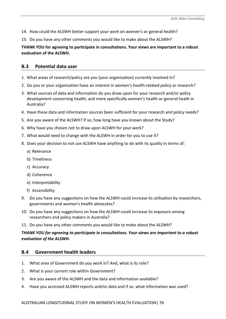- 14. How could the ALSWH better support your work on women's or general health?
- 15. Do you have any other comments you would like to make about the ALSWH?

#### **THANK YOU for agreeing to participate in consultations. Your views are important to a robust evaluation of the ALSWH.**

#### **B.3 Potential data user**

- 1. What areas of research/policy are you (your organisation) currently involved in?
- 2. Do you or your organisation have an interest in women's health-related policy or research?
- 3. What sources of data and information do you draw upon for your research and/or policy development concerning health, and more specifically women's health or general heath in Australia?
- 4. Have these data and information sources been sufficient for your research and policy needs?
- 5. Are you aware of the ALSWH? If so, how long have you known about the Study?
- 6. Why have you chosen not to draw upon ALSWH for your work?
- 7. What would need to change with the ALSWH in order for you to use it?
- 8. Does your decision to not use ALSWH have anything to do with its quality in terms of:
	- a) Relevance
	- b) Timeliness
	- c) Accuracy
	- d) Coherence
	- e) Interpretability
	- f) Accessibility
- 9. Do you have any suggestions on how the ALSWH could increase its utilisation by researchers, governments and women's health advocates?
- 10. Do you have any suggestions on how the ALSWH could increase its exposure among researchers and policy makers in Australia?
- 11. Do you have any other comments you would like to make about the ALSWH?

#### *THANK YOU for agreeing to participate in consultations. Your views are important to a robust evaluation of the ALSWH.*

#### **B.4 Government health leaders**

- 1. What area of Government do you work in? And, what is its role?
- 2. What is your current role within Government?
- 3. Are you aware of the ALSWH and the data and information available?
- 4. Have you accessed ALSWH reports and/or data and if so, what information was used?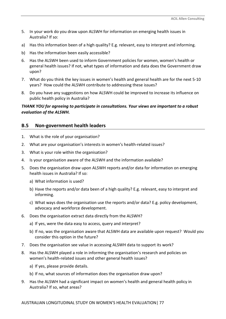- 5. In your work do you draw upon ALSWH for information on emerging health issues in Australia? If so:
- a) Has this information been of a high quality? E.g. relevant, easy to interpret and informing.
- b) Has the information been easily accessible?
- 6. Has the ALSWH been used to inform Government policies for women, women's health or general health issues? If not, what types of information and data does the Government draw upon?
- 7. What do you think the key issues in women's health and general health are for the next 5-10 years? How could the ALSWH contribute to addressing these issues?
- 8. Do you have any suggestions on how ALSWH could be improved to increase its influence on public health policy in Australia?

#### *THANK YOU for agreeing to participate in consultations. Your views are important to a robust evaluation of the ALSWH.*

#### **B.5 Non-government health leaders**

- 1. What is the role of your organisation?
- 2. What are your organisation's interests in women's health-related issues?
- 3. What is your role within the organisation?
- 4. Is your organisation aware of the ALSWH and the information available?
- 5. Does the organisation draw upon ALSWH reports and/or data for information on emerging health issues in Australia? If so:
	- a) What information is used?
	- b) Have the reports and/or data been of a high quality? E.g. relevant, easy to interpret and informing.
	- c) What ways does the organisation use the reports and/or data? E.g. policy development, advocacy and workforce development.
- 6. Does the organisation extract data directly from the ALSWH?
	- a) If yes, were the data easy to access, query and interpret?
	- b) If no, was the organisation aware that ALSWH data are available upon request? Would you consider this option in the future?
- 7. Does the organisation see value in accessing ALSWH data to support its work?
- 8. Has the ALSWH played a role in informing the organisation's research and policies on women's health-related issues and other general health issues?
	- a) If yes, please provide details.
	- b) If no, what sources of information does the organisation draw upon?
- 9. Has the ALSWH had a significant impact on women's health and general health policy in Australia? If so, what areas?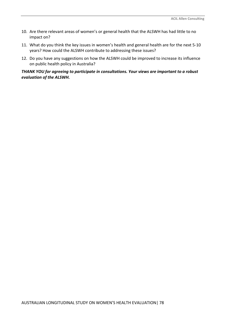- 10. Are there relevant areas of women's or general health that the ALSWH has had little to no impact on?
- 11. What do you think the key issues in women's health and general health are for the next 5-10 years? How could the ALSWH contribute to addressing these issues?
- 12. Do you have any suggestions on how the ALSWH could be improved to increase its influence on public health policy in Australia?

#### *THANK YOU for agreeing to participate in consultations. Your views are important to a robust evaluation of the ALSWH.*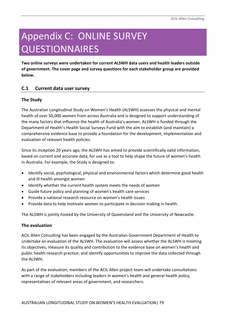# Appendix C: ONLINE SURVEY **QUESTIONNAIRES**

**Two online surveys were undertaken for current ALSWH data users and health leaders outside of government. The cover page and survey questions for each stakeholder group are provided below.** 

#### **C.1 Current data user survey**

#### **The Study**

The Australian Longitudinal Study on Women's Health (ALSWH) assesses the physical and mental health of over 50,000 women from across Australia and is designed to support understanding of the many factors that influence the health of Australia's women. ALSWH is funded through the Department of Health's Health Social Surveys Fund with the aim to establish (and maintain) a comprehensive evidence base to provide a foundation for the development, implementation and evaluation of relevant health policies.

Since its inception 20 years ago, the ALSWH has aimed to provide scientifically valid information, based on current and accurate data, for use as a tool to help shape the future of women's health in Australia. For example, the Study is designed to:

- Identify social, psychological, physical and environmental factors which determine good health and ill-health amongst women
- Identify whether the current health system meets the needs of women
- Guide future policy and planning of women's health care services
- Provide a national research resource on women's health issues
- Provide data to help motivate women to participate in decision making in health.

The ALSWH is jointly hosted by the University of Queensland and the University of Newcastle.

#### **The evaluation**

ACIL Allen Consulting has been engaged by the Australian Government Department of Health to undertake an evaluation of the ALSWH. The evaluation will assess whether the ALSWH is meeting its objectives; measure its quality and contribution to the evidence base on women's health and public health research practice; and identify opportunities to improve the data collected through the ALSWH.

As part of the evaluation, members of the ACIL Allen project team will undertake consultations with a range of stakeholders including leaders in women's health and general health policy, representatives of relevant areas of government, and researchers.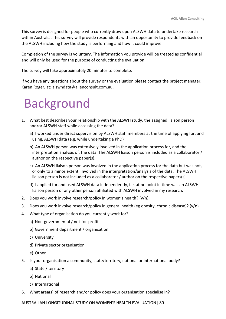This survey is designed for people who currently draw upon ALSWH data to undertake research within Australia. This survey will provide respondents with an opportunity to provide feedback on the ALSWH including how the study is performing and how it could improve.

Completion of the survey is voluntary. The information you provide will be treated as confidential and will only be used for the purpose of conducting the evaluation.

The survey will take approximately 20 minutes to complete.

If you have any questions about the survey or the evaluation please contact the project manager, Karen Roger, at: alswhdata@allenconsult.com.au.

# Background

- 1. What best describes your relationship with the ALSWH study, the assigned liaison person and/or ALSWH staff while accessing the data?
	- a) I worked under direct supervision by ALSWH staff members at the time of applying for, and using, ALSWH data (e.g. while undertaking a PhD)
	- b) An ALSWH person was extensively involved in the application process for, and the interpretation analysis of, the data. The ALSWH liaison person is included as a collaborator / author on the respective paper(s).
	- c) An ALSWH liaison person was involved in the application process for the data but was not, or only to a minor extent, involved in the interpretation/analysis of the data. The ALSWH liaison person is not included as a collaborator / author on the respective papers(s).
	- d) I applied for and used ALSWH data independently, i.e. at no point in time was an ALSWH liaison person or any other person affiliated with ALSWH involved in my research.
- 2. Does you work involve research/policy in women's health? (y/n)
- 3. Does you work involve research/policy in general health (eg obesity, chronic disease)? (y/n)
- 4. What type of organisation do you currently work for?
	- a) Non-governmental / not-for-profit
	- b) Government department / organisation
	- c) University
	- d) Private sector organisation
	- e) Other
- 5. Is your organisation a community, state/territory, national or international body?
	- a) State / territory
	- b) National
	- c) International
- 6. What area(s) of research and/or policy does your organisation specialise in?

AUSTRALIAN LONGITUDINAL STUDY ON WOMEN'S HEALTH EVALUATION| 80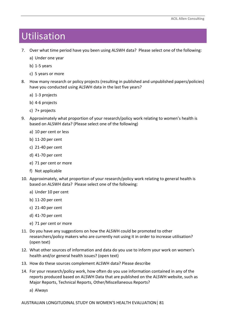### **Utilisation**

- 7. Over what time period have you been using ALSWH data? Please select one of the following:
	- a) Under one year
	- b) 1-5 years
	- c) 5 years or more
- 8. How many research or policy projects (resulting in published and unpublished papers/policies) have you conducted using ALSWH data in the last five years?
	- a) 1-3 projects
	- b) 4-6 projects
	- c) 7+ projects
- 9. Approximately what proportion of your research/policy work relating to women's health is based on ALSWH data? (Please select one of the following)
	- a) 10 per cent or less
	- b) 11-20 per cent
	- c) 21-40 per cent
	- d) 41-70 per cent
	- e) 71 per cent or more
	- f) Not applicable
- 10. Approximately, what proportion of your research/policy work relating to general health is based on ALSWH data? Please select one of the following:
	- a) Under 10 per cent
	- b) 11-20 per cent
	- c) 21-40 per cent
	- d) 41-70 per cent
	- e) 71 per cent or more
- 11. Do you have any suggestions on how the ALSWH could be promoted to other researchers/policy makers who are currently not using it in order to increase utilisation? (open text)
- 12. What other sources of information and data do you use to inform your work on women's health and/or general health issues? (open text)
- 13. How do these sources complement ALSWH data? Please describe
- 14. For your research/policy work, how often do you use information contained in any of the reports produced based on ALSWH Data that are published on the ALSWH website, such as Major Reports, Technical Reports, Other/Miscellaneous Reports?
	- a) Always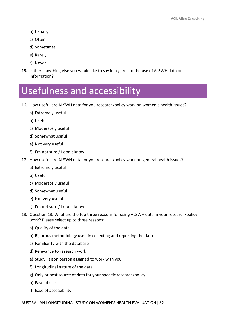- b) Usually
- c) Often
- d) Sometimes
- e) Rarely
- f) Never
- 15. Is there anything else you would like to say in regards to the use of ALSWH data or information?

### Usefulness and accessibility

- 16. How useful are ALSWH data for you research/policy work on women's health issues?
	- a) Extremely useful
	- b) Useful
	- c) Moderately useful
	- d) Somewhat useful
	- e) Not very useful
	- f) I'm not sure / I don't know
- 17. How useful are ALSWH data for you research/policy work on general health issues?
	- a) Extremely useful
	- b) Useful
	- c) Moderately useful
	- d) Somewhat useful
	- e) Not very useful
	- f) I'm not sure / I don't know
- 18. Question 18. What are the top three reasons for using ALSWH data in your research/policy work? Please select up to three reasons:
	- a) Quality of the data
	- b) Rigorous methodology used in collecting and reporting the data
	- c) Familiarity with the database
	- d) Relevance to research work
	- e) Study liaison person assigned to work with you
	- f) Longitudinal nature of the data
	- g) Only or best source of data for your specific research/policy
	- h) Ease of use
	- i) Ease of accessibility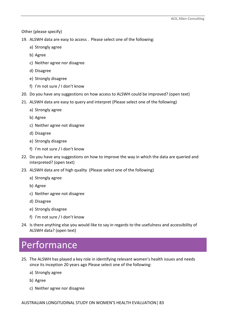Other (please specify)

- 19. ALSWH data are easy to access . Please select one of the following:
	- a) Strongly agree
	- b) Agree
	- c) Neither agree nor disagree
	- d) Disagree
	- e) Strongly disagree
	- f) I'm not sure / I don't know
- 20. Do you have any suggestions on how access to ALSWH could be improved? (open text)
- 21. ALSWH data are easy to query and interpret (Please select one of the following)
	- a) Strongly agree
	- b) Agree
	- c) Neither agree not disagree
	- d) Disagree
	- e) Strongly disagree
	- f) I'm not sure / I don't know
- 22. Do you have any suggestions on how to improve the way in which the data are queried and interpreted? (open text)
- 23. ALSWH data are of high quality (Please select one of the following)
	- a) Strongly agree
	- b) Agree
	- c) Neither agree not disagree
	- d) Disagree
	- e) Strongly disagree
	- f) I'm not sure / I don't know
- 24. Is there anything else you would like to say in regards to the usefulness and accessibility of ALSWH data? (open text)

### Performance

- 25. The ALSWH has played a key role in identifying relevant women's health issues and needs since its inception 20 years ago Please select one of the following:
	- a) Strongly agree
	- b) Agree
	- c) Neither agree nor disagree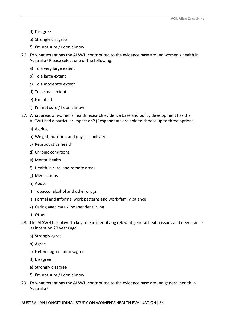- d) Disagree
- e) Strongly disagree
- f) I'm not sure / I don't know
- 26. To what extent has the ALSWH contributed to the evidence base around women's health in Australia? Please select one of the following:
	- a) To a very large extent
	- b) To a large extent
	- c) To a moderate extent
	- d) To a small extent
	- e) Not at all
	- f) I'm not sure / I don't know
- 27. What areas of women's health research evidence base and policy development has the ALSWH had a particular impact on? (Respondents are able to choose up to three options)
	- a) Ageing
	- b) Weight, nutrition and physical activity
	- c) Reproductive health
	- d) Chronic conditions
	- e) Mental health
	- f) Health in rural and remote areas
	- g) Medications
	- h) Abuse
	- i) Tobacco, alcohol and other drugs
	- j) Formal and informal work patterns and work-family balance
	- k) Caring aged care / independent living
	- l) Other
- 28. The ALSWH has played a key role in identifying relevant general health issues and needs since its inception 20 years ago
	- a) Strongly agree
	- b) Agree
	- c) Neither agree nor disagree
	- d) Disagree
	- e) Strongly disagree
	- f) I'm not sure / I don't know
- 29. To what extent has the ALSWH contributed to the evidence base around general health in Australia?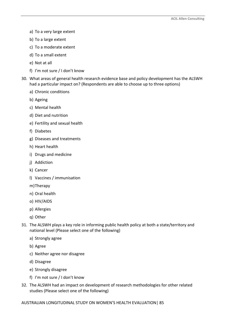- a) To a very large extent
- b) To a large extent
- c) To a moderate extent
- d) To a small extent
- e) Not at all
- f) I'm not sure / I don't know
- 30. What areas of general health research evidence base and policy development has the ALSWH had a particular impact on? (Respondents are able to choose up to three options)
	- a) Chronic conditions
	- b) Ageing
	- c) Mental health
	- d) Diet and nutrition
	- e) Fertility and sexual health
	- f) Diabetes
	- g) Diseases and treatments
	- h) Heart health
	- i) Drugs and medicine
	- j) Addiction
	- k) Cancer
	- l) Vaccines / immunisation
	- m)Therapy
	- n) Oral health
	- o) HIV/AIDS
	- p) Allergies
	- q) Other
- 31. The ALSWH plays a key role in informing public health policy at both a state/territory and national level (Please select one of the following)
	- a) Strongly agree
	- b) Agree
	- c) Neither agree nor disagree
	- d) Disagree
	- e) Strongly disagree
	- f) I'm not sure / I don't know
- 32. The ALSWH had an impact on development of research methodologies for other related studies (Please select one of the following)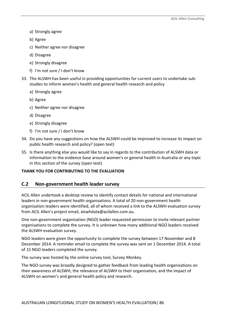- a) Strongly agree
- b) Agree
- c) Neither agree nor disagree
- d) Disagree
- e) Strongly disagree
- f) I'm not sure / I don't know
- 33. The ALSWH has been useful in providing opportunities for current users to undertake substudies to inform women's health and general health research and policy
	- a) Strongly agree
	- b) Agree
	- c) Neither agree nor disagree
	- d) Disagree
	- e) Strongly disagree
	- f) I'm not sure / I don't know
- 34. Do you have any suggestions on how the ALSWH could be improved to increase its impact on public health research and policy? (open text)
- 35. Is there anything else you would like to say in regards to the contribution of ALSWH data or information to the evidence base around women's or general health in Australia or any topic in this section of the survey (open text)

#### **THANK YOU FOR CONTRIBUTING TO THE EVALUATION**

#### **C.2 Non-government health leader survey**

ACIL Allen undertook a desktop review to identify contact details for national and international leaders in non-government health organisations. A total of 20 non-government health organisation leaders were identified, all of whom received a link to the ALSWH evaluation survey from ACIL Allen's project email, alswhdata@acilallen.com.au.

One non-government organisation (NGO) leader requested permission to invite relevant partner organisations to complete the survey. It is unknown how many additional NGO leaders received the ALSWH evaluation survey.

NGO leaders were given the opportunity to complete the survey between 17 November and 8 December 2014. A reminder email to complete the survey was sent on 1 December 2014. A total of 15 NGO leaders completed the survey.

The survey was hosted by the online survey tool, Survey Monkey.

The NGO survey was broadly designed to gather feedback from leading health organisations on their awareness of ALSWH, the relevance of ALSWH to their organisation, and the impact of ALSWH on women's and general health policy and research.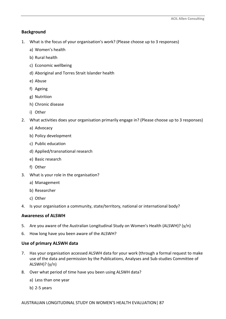#### **Background**

- 1. What is the focus of your organisation's work? (Please choose up to 3 responses)
	- a) Women's health
	- b) Rural health
	- c) Economic wellbeing
	- d) Aboriginal and Torres Strait Islander health
	- e) Abuse
	- f) Ageing
	- g) Nutrition
	- h) Chronic disease
	- i) Other
- 2. What activities does your organisation primarily engage in? (Please choose up to 3 responses)
	- a) Advocacy
	- b) Policy development
	- c) Public education
	- d) Applied/transnational research
	- e) Basic research
	- f) Other
- 3. What is your role in the organisation?
	- a) Management
	- b) Researcher
	- c) Other
- 4. Is your organisation a community, state/territory, national or international body?

#### **Awareness of ALSWH**

- 5. Are you aware of the Australian Longitudinal Study on Women's Health (ALSWH)? (y/n)
- 6. How long have you been aware of the ALSWH?

#### **Use of primary ALSWH data**

- 7. Has your organisation accessed ALSWH data for your work (through a formal request to make use of the data and permission by the Publications, Analyses and Sub-studies Committee of ALSWH)? (y/n)
- 8. Over what period of time have you been using ALSWH data?
	- a) Less than one year
	- b) 2-5 years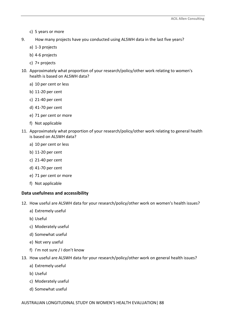- c) 5 years or more
- 9. How many projects have you conducted using ALSWH data in the last five years?
	- a) 1-3 projects
	- b) 4-6 projects
	- c) 7+ projects
- 10. Approximately what proportion of your research/policy/other work relating to women's health is based on ALSWH data?
	- a) 10 per cent or less
	- b) 11-20 per cent
	- c) 21-40 per cent
	- d) 41-70 per cent
	- e) 71 per cent or more
	- f) Not applicable
- 11. Approximately what proportion of your research/policy/other work relating to general health is based on ALSWH data?
	- a) 10 per cent or less
	- b) 11-20 per cent
	- c) 21-40 per cent
	- d) 41-70 per cent
	- e) 71 per cent or more
	- f) Not applicable

#### **Data usefulness and accessibility**

- 12. How useful are ALSWH data for your research/policy/other work on women's health issues?
	- a) Extremely useful
	- b) Useful
	- c) Moderately useful
	- d) Somewhat useful
	- e) Not very useful
	- f) I'm not sure / I don't know
- 13. How useful are ALSWH data for your research/policy/other work on general health issues?
	- a) Extremely useful
	- b) Useful
	- c) Moderately useful
	- d) Somewhat useful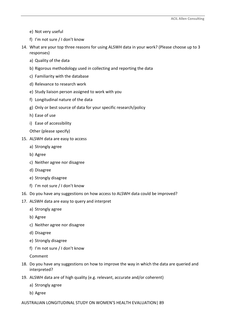- e) Not very useful
- f) I'm not sure / I don't know
- 14. What are your top three reasons for using ALSWH data in your work? (Please choose up to 3 responses)
	- a) Quality of the data
	- b) Rigorous methodology used in collecting and reporting the data
	- c) Familiarity with the database
	- d) Relevance to research work
	- e) Study liaison person assigned to work with you
	- f) Longitudinal nature of the data
	- g) Only or best source of data for your specific research/policy
	- h) Ease of use
	- i) Ease of accessibility
	- Other (please specify)
- 15. ALSWH data are easy to access
	- a) Strongly agree
	- b) Agree
	- c) Neither agree nor disagree
	- d) Disagree
	- e) Strongly disagree
	- f) I'm not sure / I don't know
- 16. Do you have any suggestions on how access to ALSWH data could be improved?
- 17. ALSWH data are easy to query and interpret
	- a) Strongly agree
	- b) Agree
	- c) Neither agree nor disagree
	- d) Disagree
	- e) Strongly disagree
	- f) I'm not sure / I don't know

Comment

- 18. Do you have any suggestions on how to improve the way in which the data are queried and interpreted?
- 19. ALSWH data are of high quality (e.g. relevant, accurate and/or coherent)
	- a) Strongly agree
	- b) Agree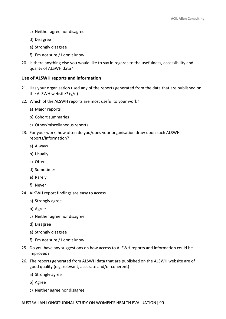- c) Neither agree nor disagree
- d) Disagree
- e) Strongly disagree
- f) I'm not sure / I don't know
- 20. Is there anything else you would like to say in regards to the usefulness, accessibility and quality of ALSWH data?

#### **Use of ALSWH reports and information**

- 21. Has your organisation used any of the reports generated from the data that are published on the ALSWH website? (y/n)
- 22. Which of the ALSWH reports are most useful to your work?
	- a) Major reports
	- b) Cohort summaries
	- c) Other/miscellaneous reports
- 23. For your work, how often do you/does your organisation draw upon such ALSWH reports/information?
	- a) Always
	- b) Usually
	- c) Often
	- d) Sometimes
	- e) Rarely
	- f) Never
- 24. ALSWH report findings are easy to access
	- a) Strongly agree
	- b) Agree
	- c) Neither agree nor disagree
	- d) Disagree
	- e) Strongly disagree
	- f) I'm not sure / I don't know
- 25. Do you have any suggestions on how access to ALSWH reports and information could be improved?
- 26. The reports generated from ALSWH data that are published on the ALSWH website are of good quality (e.g. relevant, accurate and/or coherent)
	- a) Strongly agree
	- b) Agree
	- c) Neither agree nor disagree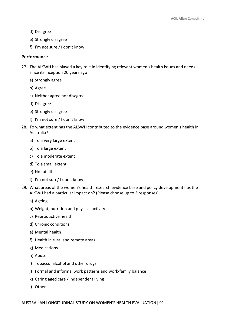- d) Disagree
- e) Strongly disagree
- f) I'm not sure / I don't know

#### **Performance**

- 27. The ALSWH has played a key role in identifying relevant women's health issues and needs since its inception 20 years ago
	- a) Strongly agree
	- b) Agree
	- c) Neither agree nor disagree
	- d) Disagree
	- e) Strongly disagree
	- f) I'm not sure / I don't know
- 28. To what extent has the ALSWH contributed to the evidence base around women's health in Australia?
	- a) To a very large extent
	- b) To a large extent
	- c) To a moderate extent
	- d) To a small extent
	- e) Not at all
	- f) I'm not sure/ I don't know
- 29. What areas of the women's health research evidence base and policy development has the ALSWH had a particular impact on? (Please choose up to 3 responses)
	- a) Ageing
	- b) Weight, nutrition and physical activity
	- c) Reproductive health
	- d) Chronic conditions
	- e) Mental health
	- f) Health in rural and remote areas
	- g) Medications
	- h) Abuse
	- i) Tobacco, alcohol and other drugs
	- j) Formal and informal work patterns and work-family balance
	- k) Caring aged care / independent living
	- l) Other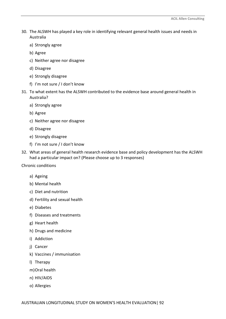- 30. The ALSWH has played a key role in identifying relevant general health issues and needs in Australia
	- a) Strongly agree
	- b) Agree
	- c) Neither agree nor disagree
	- d) Disagree
	- e) Strongly disagree
	- f) I'm not sure / I don't know
- 31. To what extent has the ALSWH contributed to the evidence base around general health in Australia?
	- a) Strongly agree
	- b) Agree
	- c) Neither agree nor disagree
	- d) Disagree
	- e) Strongly disagree
	- f) I'm not sure / I don't know
- 32. What areas of general health research evidence base and policy development has the ALSWH had a particular impact on? (Please choose up to 3 responses)

Chronic conditions

- a) Ageing
- b) Mental health
- c) Diet and nutrition
- d) Fertility and sexual health
- e) Diabetes
- f) Diseases and treatments
- g) Heart health
- h) Drugs and medicine
- i) Addiction
- j) Cancer
- k) Vaccines / immunisation
- l) Therapy
- m)Oral health
- n) HIV/AIDS
- o) Allergies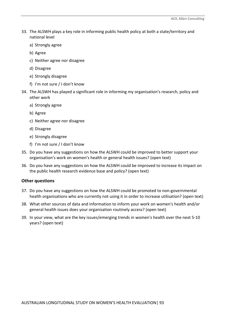- 33. The ALSWH plays a key role in informing public health policy at both a state/territory and national level
	- a) Strongly agree
	- b) Agree
	- c) Neither agree nor disagree
	- d) Disagree
	- e) Strongly disagree
	- f) I'm not sure / I don't know
- 34. The ALSWH has played a significant role in informing my organisation's research, policy and other work
	- a) Strongly agree
	- b) Agree
	- c) Neither agree nor disagree
	- d) Disagree
	- e) Strongly disagree
	- f) I'm not sure / I don't know
- 35. Do you have any suggestions on how the ALSWH could be improved to better support your organisation's work on women's health or general health issues? (open text)
- 36. Do you have any suggestions on how the ALSWH could be improved to increase its impact on the public health research evidence base and policy? (open text)

#### **Other questions**

- 37. Do you have any suggestions on how the ALSWH could be promoted to non-governmental health organisations who are currently not using it in order to increase utilisation? (open text)
- 38. What other sources of data and information to inform your work on women's health and/or general health issues does your organisation routinely access? (open text)
- 39. In your view, what are the key issues/emerging trends in women's health over the next 5-10 years? (open text)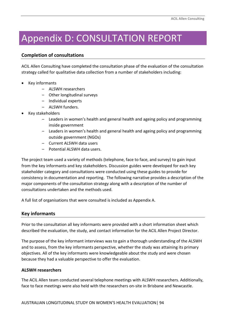# Appendix D: CONSULTATION REPORT

#### **Completion of consultations**

ACIL Allen Consulting have completed the consultation phase of the evaluation of the consultation strategy called for qualitative data collection from a number of stakeholders including:

- Key informants
	- ALSWH researchers
	- Other longitudinal surveys
	- Individual experts
	- ALSWH funders.
- Key stakeholders
	- Leaders in women's health and general health and ageing policy and programming inside government
	- Leaders in women's health and general health and ageing policy and programming outside government (NGOs)
	- Current ALSWH data users
	- Potential ALSWH data users.

The project team used a variety of methods (telephone, face to face, and survey) to gain input from the key informants and key stakeholders. Discussion guides were developed for each key stakeholder category and consultations were conducted using these guides to provide for consistency in documentation and reporting. The following narrative provides a description of the major components of the consultation strategy along with a description of the number of consultations undertaken and the methods used.

A full list of organisations that were consulted is included as Appendix A.

#### **Key informants**

Prior to the consultation all key informants were provided with a short information sheet which described the evaluation, the study, and contact information for the ACIL Allen Project Director.

The purpose of the key informant interviews was to gain a thorough understanding of the ALSWH and to assess, from the key informants perspective, whether the study was attaining its primary objectives. All of the key informants were knowledgeable about the study and were chosen because they had a valuable perspective to offer the evaluation.

#### **ALSWH researchers**

The ACIL Allen team conducted several telephone meetings with ALSWH researchers. Additionally, face to face meetings were also held with the researchers on-site in Brisbane and Newcastle.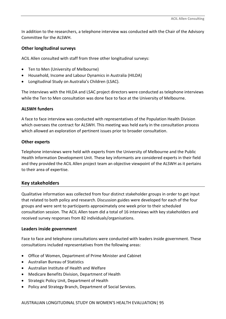In addition to the researchers, a telephone interview was conducted with the Chair of the Advisory Committee for the ALSWH.

#### **Other longitudinal surveys**

ACIL Allen consulted with staff from three other longitudinal surveys:

- Ten to Men (University of Melbourne)
- Household, Income and Labour Dynamics in Australia (HILDA)
- Longitudinal Study on Australia's Children (LSAC).

The interviews with the HILDA and LSAC project directors were conducted as telephone interviews while the Ten to Men consultation was done face to face at the University of Melbourne.

#### **ALSWH funders**

A face to face interview was conducted with representatives of the Population Health Division which oversees the contract for ALSWH. This meeting was held early in the consultation process which allowed an exploration of pertinent issues prior to broader consultation.

#### **Other experts**

Telephone interviews were held with experts from the University of Melbourne and the Public Health Information Development Unit. These key informants are considered experts in their field and they provided the ACIL Allen project team an objective viewpoint of the ALSWH as it pertains to their area of expertise.

## **Key stakeholders**

Qualitative information was collected from four distinct stakeholder groups in order to get input that related to both policy and research. Discussion guides were developed for each of the four groups and were sent to participants approximately one week prior to their scheduled consultation session. The ACIL Allen team did a total of 16 interviews with key stakeholders and received survey responses from 82 individuals/organisations.

#### **Leaders inside government**

Face to face and telephone consultations were conducted with leaders inside government. These consultations included representatives from the following areas:

- Office of Women, Department of Prime Minister and Cabinet
- Australian Bureau of Statistics
- Australian Institute of Health and Welfare
- Medicare Benefits Division, Department of Health
- Strategic Policy Unit, Department of Health
- Policy and Strategy Branch, Department of Social Services.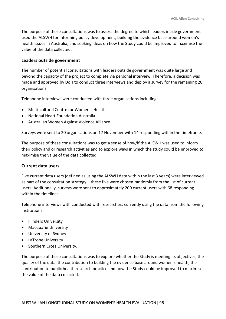The purpose of these consultations was to assess the degree to which leaders inside government used the ALSWH for informing policy development, building the evidence base around women's health issues in Australia, and seeking ideas on how the Study could be improved to maximise the value of the data collected.

#### **Leaders outside government**

The number of potential consultations with leaders outside government was quite large and beyond the capacity of the project to complete via personal interview. Therefore, a decision was made and approved by DoH to conduct three interviews and deploy a survey for the remaining 20 organisations.

Telephone interviews were conducted with three organisations including:

- Multi-cultural Centre for Women's Health
- National Heart Foundation Australia
- Australian Women Against Violence Alliance.

Surveys were sent to 20 organisations on 17 November with 14 responding within the timeframe.

The purpose of these consultations was to get a sense of how/if the ALSWH was used to inform their policy and or research activities and to explore ways in which the study could be improved to maximise the value of the data collected.

#### **Current data users**

Five current data users (defined as using the ALSWH data within the last 3 years) were interviewed as part of the consultation strategy – these five were chosen randomly from the list of current users. Additionally, surveys were sent to approximately 200 current users with 68 responding within the timelines.

Telephone interviews with conducted with researchers currently using the data from the following institutions:

- Flinders University
- Macquarie University
- University of Sydney
- LaTrobe University
- Southern Cross University.

The purpose of these consultations was to explore whether the Study is meeting its objectives, the quality of the data, the contribution to building the evidence base around women's health, the contribution to public health research practice and how the Study could be improved to maximise the value of the data collected.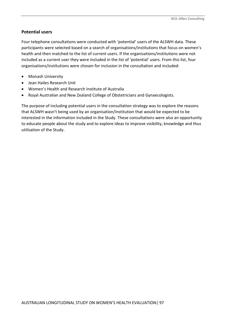## **Potential users**

Four telephone consultations were conducted with 'potential' users of the ALSWH data. These participants were selected based on a search of organisations/institutions that focus on women's health and then matched to the list of current users. If the organisations/institutions were not included as a current user they were included in the list of 'potential' users. From this list, four organisations/institutions were chosen for inclusion in the consultation and included:

- Monash University
- Jean Hailes Research Unit
- Women's Health and Research Institute of Australia
- Royal Australian and New Zealand College of Obstetricians and Gynaecologists.

The purpose of including potential users in the consultation strategy was to explore the reasons that ALSWH wasn't being used by an organisation/institution that would be expected to be interested in the information included in the Study. These consultations were also an opportunity to educate people about the study and to explore ideas to improve visibility, knowledge and thus utilisation of the Study.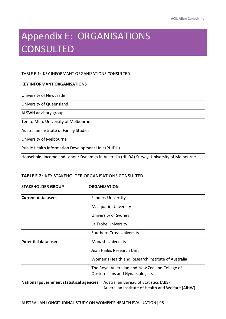# Appendix E: ORGANISATIONS **CONSULTED**

#### TABLE E.1: KEY INFORMANT ORGANISATIONS CONSULTED

#### **KEY INFORMANT ORGANISATIONS**

University of Newcastle

University of Queensland

ALSWH advisory group

Ten to Men, University of Melbourne

Australian Institute of Family Studies

University of Melbourne

Public Health Information Development Unit (PHIDU)

Household, Income and Labour Dynamics in Australia (HILDA) Survey, University of Melbourne

#### **TABLE E.2:** KEY STAKEHOLDER ORGANISATIONS CONSULTED

| <b>STAKEHOLDER GROUP</b>                 | <b>ORGANISATION</b>                                                                               |  |  |  |
|------------------------------------------|---------------------------------------------------------------------------------------------------|--|--|--|
| <b>Current data users</b>                | <b>Flinders University</b>                                                                        |  |  |  |
|                                          | <b>Macquarie University</b>                                                                       |  |  |  |
|                                          | University of Sydney                                                                              |  |  |  |
|                                          | La Trobe University                                                                               |  |  |  |
|                                          | Southern Cross University                                                                         |  |  |  |
| <b>Potential data users</b>              | <b>Monash University</b>                                                                          |  |  |  |
|                                          | Jean Hailes Research Unit                                                                         |  |  |  |
|                                          | Women's Health and Research Institute of Australia                                                |  |  |  |
|                                          | The Royal Australian and New Zealand College of<br><b>Obstetricians and Gynaecologists</b>        |  |  |  |
| National government statistical agencies | <b>Australian Bureau of Statistics (ABS)</b><br>Australian Institute of Health and Welfare (AIHW) |  |  |  |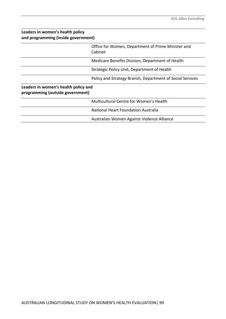| Leaders in women's health policy<br>and programming (inside government)  |                                                               |  |
|--------------------------------------------------------------------------|---------------------------------------------------------------|--|
|                                                                          | Office for Women, Department of Prime Minister and<br>Cabinet |  |
|                                                                          | Medicare Benefits Division, Department of Health              |  |
|                                                                          | Strategic Policy Unit, Department of Health                   |  |
|                                                                          | Policy and Strategy Branch, Department of Social Services     |  |
| Leaders in women's health policy and<br>programming (outside government) |                                                               |  |
|                                                                          | Multicultural Centre for Women's Health                       |  |
|                                                                          | National Heart Foundation Australia                           |  |
|                                                                          | Australian Women Against Violence Alliance                    |  |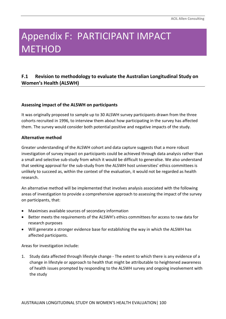# Appendix F: PARTICIPANT IMPACT **METHOD**

## **F.1 Revision to methodology to evaluate the Australian Longitudinal Study on Women's Health (ALSWH)**

## **Assessing impact of the ALSWH on participants**

It was originally proposed to sample up to 30 ALSWH survey participants drawn from the three cohorts recruited in 1996, to interview them about how participating in the survey has affected them. The survey would consider both potential positive and negative impacts of the study.

## **Alternative method**

Greater understanding of the ALSWH cohort and data capture suggests that a more robust investigation of survey impact on participants could be achieved through data analysis rather than a small and selective sub-study from which it would be difficult to generalise. We also understand that seeking approval for the sub-study from the ALSWH host universities' ethics committees is unlikely to succeed as, within the context of the evaluation, it would not be regarded as health research.

An alternative method will be implemented that involves analysis associated with the following areas of investigation to provide a comprehensive approach to assessing the impact of the survey on participants, that:

- Maximises available sources of secondary information
- Better meets the requirements of the ALSWH's ethics committees for access to raw data for research purposes
- Will generate a stronger evidence base for establishing the way in which the ALSWH has affected participants.

Areas for investigation include:

1. Study data affected through lifestyle change - The extent to which there is any evidence of a change in lifestyle or approach to health that might be attributable to heightened awareness of health issues prompted by responding to the ALSWH survey and ongoing involvement with the study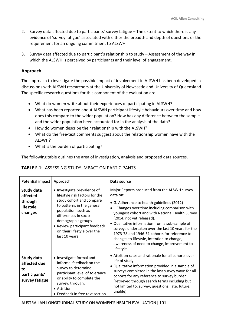- 2. Survey data affected due to participants' survey fatigue The extent to which there is any evidence of 'survey fatigue' associated with either the breadth and depth of questions or the requirement for an ongoing commitment to ALSWH
- 3. Survey data affected due to participant's relationship to study Assessment of the way in which the ALSWH is perceived by participants and their level of engagement.

## **Approach**

The approach to investigate the possible impact of involvement in ALSWH has been developed in discussions with ALSWH researchers at the University of Newcastle and University of Queensland. The specific research questions for this component of the evaluation are:

- What do women write about their experiences of participating in ALSWH?
- What has been reported about ALSWH participant lifestyle behaviours over time and how does this compare to the wider population? How has any difference between the sample and the wider population been accounted for in the analysis of the data?
- How do women describe their relationship with the ALSWH?
- What do the free-text comments suggest about the relationship women have with the ALSWH?
- What is the burden of participating?

The following table outlines the area of investigation, analysis and proposed data sources.

## **TABLE F.1:** ASSESSING STUDY IMPACT ON PARTICIPANTS

| Potential impact                                                    | Approach                                                                                                                                                                                                                                                                       | Data source                                                                                                                                                                                                                                                                                                                                                                                                                                                                                                  |
|---------------------------------------------------------------------|--------------------------------------------------------------------------------------------------------------------------------------------------------------------------------------------------------------------------------------------------------------------------------|--------------------------------------------------------------------------------------------------------------------------------------------------------------------------------------------------------------------------------------------------------------------------------------------------------------------------------------------------------------------------------------------------------------------------------------------------------------------------------------------------------------|
| Study data<br>affected<br>through<br>lifestyle<br>changes           | • Investigate prevalence of<br>lifestyle risk factors for the<br>study cohort and compare<br>to patterns in the general<br>population, such as<br>differences in socio-<br>demographic groups<br>• Review participant feedback<br>on their lifestyle over the<br>last 10 years | Major Reports produced from the ALSWH survey<br>data on:<br>• G. Adherence to health guidelines (2012)<br>• I. Changes over time including comparison with<br>youngest cohort and with National Health Survey<br>(2014, not yet released).<br>• Qualitative information from a sub-sample of<br>surveys undertaken over the last 10 years for the<br>1973-78 and 1946-51 cohorts for reference to<br>changes to lifestyle, intention to change,<br>awareness of need to change, improvement to<br>lifestyle. |
| Study data<br>affected due<br>to<br>participants'<br>survey fatigue | • Investigate formal and<br>informal feedback on the<br>survey to determine<br>participant level of tolerance<br>or ability to complete the<br>survey, through:<br>• Attrition<br>• Feedback in free text section                                                              | • Attrition rates and rationale for all cohorts over<br>life of study<br>• Qualitative information provided in a sample of<br>surveys completed in the last survey wave for all<br>cohorts for any reference to survey burden<br>(retrieved through search terms including but<br>not limited to: survey, questions, late, future,<br>unable)                                                                                                                                                                |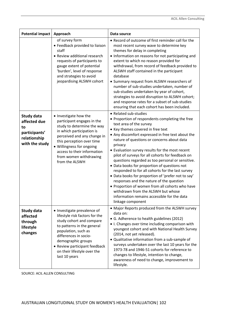| <b>Potential impact</b>                                                             | Approach                                                                                                                                                                                                                                                                           | Data source                                                                                                                                                                                                                                                                                                                                                                                                                                                                                                                                                                                                                                                                                                                                                                          |  |
|-------------------------------------------------------------------------------------|------------------------------------------------------------------------------------------------------------------------------------------------------------------------------------------------------------------------------------------------------------------------------------|--------------------------------------------------------------------------------------------------------------------------------------------------------------------------------------------------------------------------------------------------------------------------------------------------------------------------------------------------------------------------------------------------------------------------------------------------------------------------------------------------------------------------------------------------------------------------------------------------------------------------------------------------------------------------------------------------------------------------------------------------------------------------------------|--|
|                                                                                     | of survey form<br>• Feedback provided to liaison<br>staff<br>• Review additional research<br>requests of participants to<br>gauge extent of potential<br>'burden', level of response<br>and strategies to avoid<br>jeopardising ALSWH cohort                                       | • Record of outcome of first reminder call for the<br>most recent survey wave to determine key<br>themes for delay in completing<br>• Information on reasons for not participating and<br>extent to which no reason provided for<br>withdrawal, from record of feedback provided to<br>ALSWH staff contained in the participant<br>database<br>• Summary request from ALSWH researchers of<br>number of sub-studies undertaken, number of<br>sub-studies undertaken by year of cohort,<br>strategies to avoid disruption to ALSWH cohort;<br>and response rates for a subset of sub-studies<br>ensuring that each cohort has been included.                                                                                                                                          |  |
| Study data<br>affected due<br>to<br>participants'<br>relationship<br>with the study | • Investigate how the<br>participant engages in the<br>study to determine the way<br>in which participation is<br>perceived and any change in<br>this perception over time<br>• Willingness for ongoing<br>access to their information<br>from women withdrawing<br>from the ALSWH | • Related sub-studies<br>• Proportion of respondents completing the free<br>text area of the survey<br>• Key themes covered in free text<br>• Any discomfort expressed in free text about the<br>nature of questions or concerns about data<br>privacy<br>• Evaluation survey results for the most recent<br>pilot of surveys for all cohorts for feedback on<br>questions regarded as too personal or sensitive.<br>• Data books for proportion of questions not<br>responded to for all cohorts for the last survey<br>• Data books for proportion of 'prefer not to say'<br>responses and the nature of the question<br>• Proportion of women from all cohorts who have<br>withdrawn from the ALSWH but whose<br>information remains accessible for the data<br>linkage component |  |
| Study data<br>affected<br>through<br>lifestyle<br>changes                           | • Investigate prevalence of<br>lifestyle risk factors for the<br>study cohort and compare<br>to patterns in the general<br>population, such as<br>differences in socio-<br>demographic groups<br>• Review participant feedback<br>on their lifestyle over the<br>last 10 years     | • Major Reports produced from the ALSWH survey<br>data on:<br>• G. Adherence to health guidelines (2012)<br>• I. Changes over time including comparison with<br>youngest cohort and with National Health Survey<br>(2014, not yet released).<br>. Qualitative information from a sub-sample of<br>surveys undertaken over the last 10 years for the<br>1973-78 and 1946-51 cohorts for reference to<br>changes to lifestyle, intention to change,<br>awareness of need to change, improvement to<br>lifestyle.                                                                                                                                                                                                                                                                       |  |

SOURCE: ACIL ALLEN CONSULTING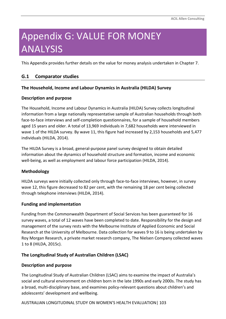# Appendix G: VALUE FOR MONEY ANALYSIS

This Appendix provides further details on the value for money analysis undertaken in Chapter 7.

## **G.1 Comparator studies**

## **The Household, Income and Labour Dynamics in Australia (HILDA) Survey**

## **Description and purpose**

The Household, Income and Labour Dynamics in Australia (HILDA) Survey collects longitudinal information from a large nationally representative sample of Australian households through both face-to-face interviews and self-completion questionnaires, for a sample of household members aged 15 years and older. A total of 13,969 individuals in 7,682 households were interviewed in wave 1 of the HILDA survey. By wave 11, this figure had increased by 2,153 households and 5,477 individuals (HILDA, 2014).

The HILDA Survey is a broad, general-purpose panel survey designed to obtain detailed information about the dynamics of household structure and formation, income and economic well-being, as well as employment and labour force participation (HILDA, 2014).

## **Methodology**

HILDA surveys were initially collected only through face-to-face interviews, however, in survey wave 12, this figure decreased to 82 per cent, with the remaining 18 per cent being collected through telephone interviews (HILDA, 2014).

## **Funding and implementation**

Funding from the Commonwealth Department of Social Services has been guaranteed for 16 survey waves, a total of 12 waves have been completed to date. Responsibility for the design and management of the survey rests with the Melbourne Institute of Applied Economic and Social Research at the University of Melbourne. Data collection for waves 9 to 16 is being undertaken by Roy Morgan Research, a private market research company, The Nielsen Company collected waves 1 to 8 (HILDA, 2015c).

## **The Longitudinal Study of Australian Children (LSAC)**

## **Description and purpose**

The Longitudinal Study of Australian Children (LSAC) aims to examine the impact of Australia's social and cultural environment on children born in the late 1990s and early 2000s. The study has a broad, multi-disciplinary base, and examines policy-relevant questions about children's and adolescents' development and wellbeing.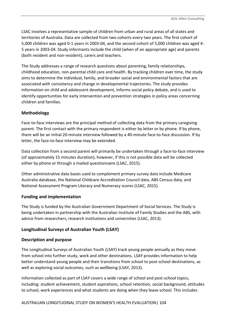LSAC involves a representative sample of children from urban and rural areas of all states and territories of Australia. Data are collected from two cohorts every two years. The first cohort of 5,000 children was aged 0-1 years in 2003-04, and the second cohort of 5,000 children was aged 4- 5 years in 2003-04. Study informants include the child (when of an appropriate age) and parents (both resident and non-resident), carers and teachers.

The Study addresses a range of research questions about parenting, family relationships, childhood education, non-parental child care and health. By tracking children over time, the study aims to determine the individual, family, and broader social and environmental factors that are associated with consistency and change in developmental trajectories. The study provides information on child and adolescent development, informs social policy debate, and is used to identify opportunities for early intervention and prevention strategies in policy areas concerning children and families.

## **Methodology**

Face-to-face interviews are the principal method of collecting data from the primary caregiving parent. The first contact with the primary respondent is either by letter or by phone. If by phone, there will be an initial 20-minute interview followed by a 40-minute face-to-face discussion. If by letter, the face-to-face interview may be extended.

Data collection from a second parent will primarily be undertaken through a face-to-face interview (of approximately 15 minutes duration), however, if this is not possible data will be collected either by phone or through a mailed questionnaire (LSAC, 2015).

Other administrative data bases used to complement primary survey data include Medicare Australia database, the National Childcare Accreditation Council data, ABS Census data, and National Assessment Program Literacy and Numeracy scores (LSAC, 2015).

## **Funding and implementation**

The Study is funded by the Australian Government Department of Social Services. The Study is being undertaken in partnership with the Australian Institute of Family Studies and the ABS, with advice from researchers, research institutions and universities (LSAC, 2013).

## **Longitudinal Surveys of Australian Youth (LSAY)**

## **Description and purpose**

The Longitudinal Surveys of Australian Youth (LSAY) track young people annually as they move from school into further study, work and other destinations. LSAY provides information to help better understand young people and their transitions from school to post-school destinations, as well as exploring social outcomes, such as wellbeing (LSAY, 2013).

Information collected as part of LSAY covers a wide range of school and post-school topics, including: student achievement, student aspirations, school retention, social background, attitudes to school, work experiences and what students are doing when they leave school. This includes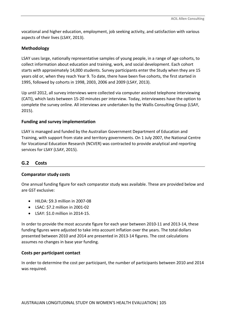vocational and higher education, employment, job seeking activity, and satisfaction with various aspects of their lives (LSAY, 2013).

## **Methodology**

LSAY uses large, nationally representative samples of young people, in a range of age cohorts, to collect information about education and training, work, and social development. Each cohort starts with approximately 14,000 students. Survey participants enter the Study when they are 15 years old or, when they reach Year 9. To date, there have been five cohorts, the first started in 1995, followed by cohorts in 1998, 2003, 2006 and 2009 (LSAY, 2013).

Up until 2012, all survey interviews were collected via computer assisted telephone interviewing (CATI), which lasts between 15-20 minutes per interview. Today, interviewees have the option to complete the survey online. All interviews are undertaken by the Wallis Consulting Group (LSAY, 2015).

## **Funding and survey implementation**

LSAY is managed and funded by the Australian Government Department of Education and Training, with support from state and territory governments. On 1 July 2007, the National Centre for Vocational Education Research (NCVER) was contracted to provide analytical and reporting services for LSAY (LSAY, 2015).

## **G.2 Costs**

## **Comparator study costs**

One annual funding figure for each comparator study was available. These are provided below and are GST exclusive:

- HILDA: \$9.3 million in 2007-08
- LSAC: \$7.2 million in 2001-02
- LSAY: \$1.0 million in 2014-15.

In order to provide the most accurate figure for each year between 2010-11 and 2013-14, these funding figures were adjusted to take into account inflation over the years. The total dollars presented between 2010 and 2014 are presented in 2013-14 figures. The cost calculations assumes no changes in base year funding.

## **Costs per participant contact**

In order to determine the cost per participant, the number of participants between 2010 and 2014 was required.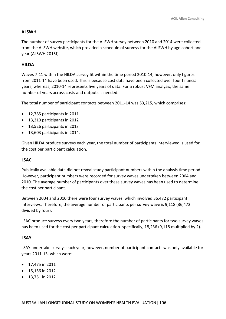## **ALSWH**

The number of survey participants for the ALSWH survey between 2010 and 2014 were collected from the ALSWH website, which provided a schedule of surveys for the ALSWH by age cohort and year (ALSWH 2015f).

## **HILDA**

Waves 7-11 within the HILDA survey fit within the time period 2010-14, however, only figures from 2011-14 have been used. This is because cost data have been collected over four financial years, whereas, 2010-14 represents five years of data. For a robust VFM analysis, the same number of years across costs and outputs is needed.

The total number of participant contacts between 2011-14 was 53,215, which comprises:

- 12,785 participants in 2011
- 13,310 participants in 2012
- 13,526 participants in 2013
- 13,603 participants in 2014.

Given HILDA produce surveys each year, the total number of participants interviewed is used for the cost per participant calculation.

## **LSAC**

Publically available data did not reveal study participant numbers within the analysis time period. However, participant numbers were recorded for survey waves undertaken between 2004 and 2010. The average number of participants over these survey waves has been used to determine the cost per participant.

Between 2004 and 2010 there were four survey waves, which involved 36,472 participant interviews. Therefore, the average number of participants per survey wave is 9,118 (36,472 divided by four).

LSAC produce surveys every two years, therefore the number of participants for two survey waves has been used for the cost per participant calculation–specifically, 18,236 (9,118 multiplied by 2).

#### **LSAY**

LSAY undertake surveys each year, however, number of participant contacts was only available for years 2011-13, which were:

- 17,475 in 2011
- 15,156 in 2012
- 13.751 in 2012.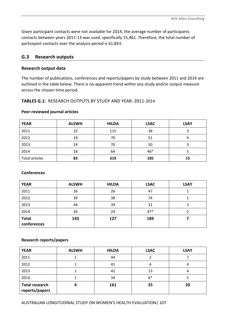Given participant contacts were not available for 2014, the average number of participants contacts between years 2011-13 was used, specifically 15,461. Therefore, the total number of participant contacts over the analysis period is 61,843.

## **G.3 Research outputs**

#### **Research output data**

The number of publications, conferences and reports/papers by study between 2011 and 2014 are outlined in the table below. There is no apparent trend within any study and/or output measure across the chosen time period.

## **TABLES G.1:** RESEARCH OUTPUTS BY STUDY AND YEAR: 2011-2014

#### **Peer-reviewed journal articles**

| <b>YEAR</b>           | <b>ALSWH</b> | <b>HILDA</b> | <b>LSAC</b> | <b>LSAY</b> |
|-----------------------|--------------|--------------|-------------|-------------|
| 2011                  | 22           | 115          | 38          |             |
| 2012                  | 19           | 70           | 51          |             |
| 2013                  | 24           | 70           | 50          |             |
| 2014                  | 18           | 64           | 46*         |             |
| <b>Total articles</b> | 83           | 319          | 185         | 15          |

#### **Conferences**

| <b>YEAR</b>                 | <b>ALSWH</b> | <b>HILDA</b> | <b>LSAC</b> | <b>LSAY</b> |
|-----------------------------|--------------|--------------|-------------|-------------|
| 2011                        | 26           | 26           | 47          |             |
| 2012                        | 39           | 38           | 74          |             |
| 2013                        | 44           | 39           | 21          |             |
| 2014                        | 34           | 24           | $47*$       |             |
| <b>Total</b><br>conferences | 143          | 127          | 189         |             |

#### **Research reports/papers**

| <b>YEAR</b>                             | <b>ALSWH</b> | <b>HILDA</b> | <b>LSAC</b> | <b>LSAY</b> |
|-----------------------------------------|--------------|--------------|-------------|-------------|
| 2011                                    |              | 44           |             |             |
| 2012                                    |              | 41           |             |             |
| 2013                                    |              | 42           | 13          |             |
| 2014                                    |              | 34           | $6*$        |             |
| <b>Total research</b><br>reports/papers |              | 161          | 25          | 20          |

#### AUSTRALIAN LONGITUDINAL STUDY ON WOMEN'S HEALTH EVALUATION| 107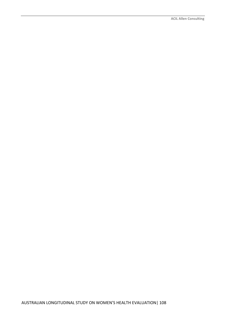**ACIL Allen Consulting**